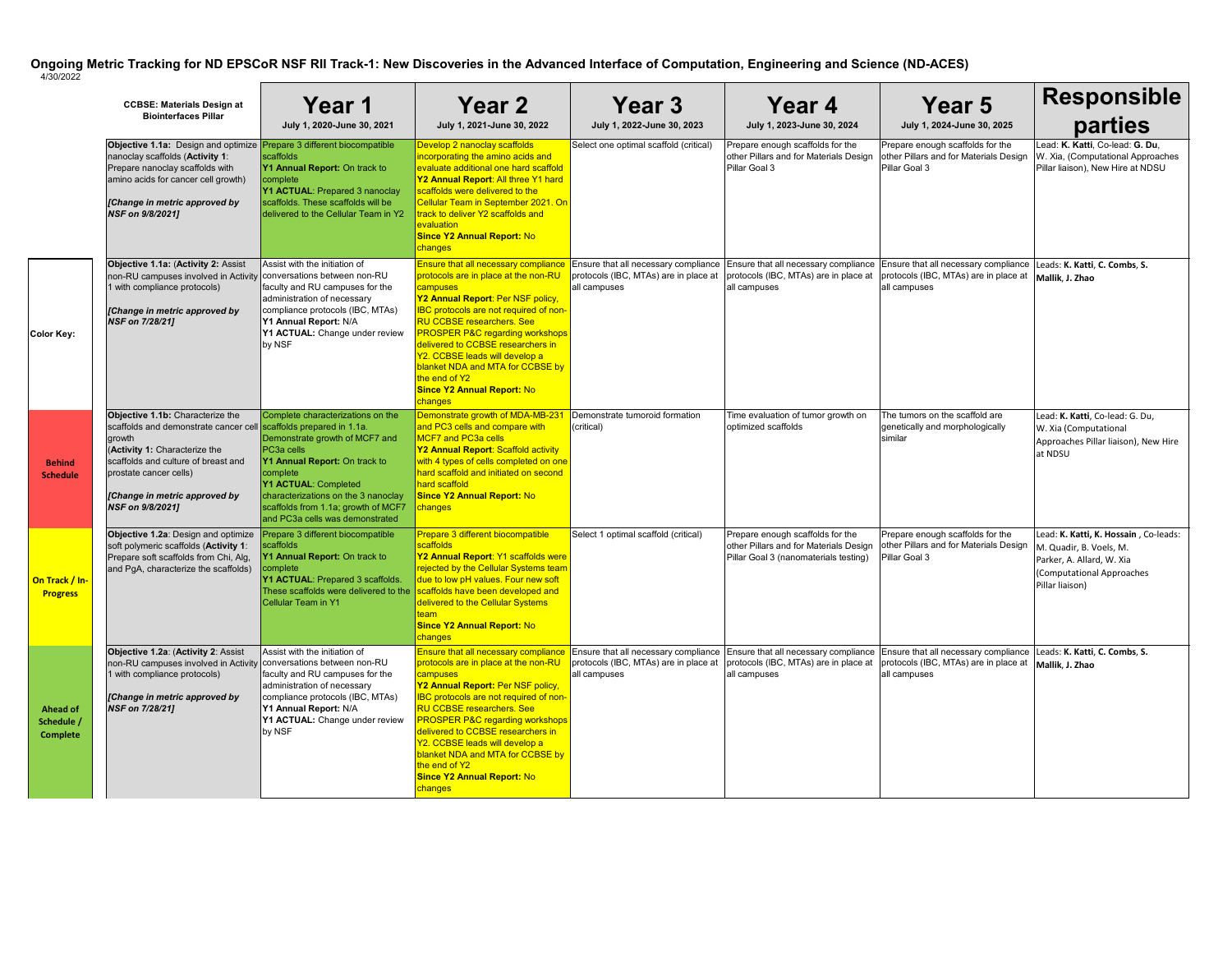|                                                  | <b>CCBSE: Materials Design at</b><br><b>Biointerfaces Pillar</b>                                                                                                                                                                                                       | Year 1<br>July 1, 2020-June 30, 2021                                                                                                                                                                                                                                    | Year 2<br>July 1, 2021-June 30, 2022                                                                                                                                                                                                                                                                                                                                                                                                                             | Year 3<br>July 1, 2022-June 30, 2023                                                          | Year 4<br>July 1, 2023-June 30, 2024                                                                                | Year 5<br>July 1, 2024-June 30, 2025                                                                                                                                                                  | <b>Responsible</b><br>parties                                                                                                                 |
|--------------------------------------------------|------------------------------------------------------------------------------------------------------------------------------------------------------------------------------------------------------------------------------------------------------------------------|-------------------------------------------------------------------------------------------------------------------------------------------------------------------------------------------------------------------------------------------------------------------------|------------------------------------------------------------------------------------------------------------------------------------------------------------------------------------------------------------------------------------------------------------------------------------------------------------------------------------------------------------------------------------------------------------------------------------------------------------------|-----------------------------------------------------------------------------------------------|---------------------------------------------------------------------------------------------------------------------|-------------------------------------------------------------------------------------------------------------------------------------------------------------------------------------------------------|-----------------------------------------------------------------------------------------------------------------------------------------------|
|                                                  | Objective 1.1a: Design and optimize <b>Prepare 3 different biocompatible</b><br>nanoclay scaffolds (Activity 1:<br>Prepare nanoclay scaffolds with<br>amino acids for cancer cell growth)<br>[Change in metric approved by<br>NSF on 9/8/2021]                         | scaffolds<br>Y1 Annual Report: On track to<br>complete<br>Y1 ACTUAL: Prepared 3 nanoclay<br>scaffolds. These scaffolds will be<br>delivered to the Cellular Team in Y2                                                                                                  | Develop 2 nanoclay scaffolds<br>incorporating the amino acids and<br>evaluate additional one hard scaffold<br>Y2 Annual Report: All three Y1 hard<br>scaffolds were delivered to the<br>Cellular Team in September 2021. On<br>track to deliver Y2 scaffolds and<br>evaluation<br><b>Since Y2 Annual Report: No</b><br>changes                                                                                                                                   | Select one optimal scaffold (critical)                                                        | Prepare enough scaffolds for the<br>other Pillars and for Materials Design<br>Pillar Goal 3                         | Prepare enough scaffolds for the<br>other Pillars and for Materials Design<br>Pillar Goal 3                                                                                                           | Lead: K. Katti, Co-lead: G. Du,<br>W. Xia, (Computational Approaches<br>Pillar liaison), New Hire at NDSU                                     |
| Color Key:                                       | Objective 1.1a: (Activity 2: Assist<br>non-RU campuses involved in Activity conversations between non-RU<br>1 with compliance protocols)<br>[Change in metric approved by<br>NSF on 7/28/21]                                                                           | Assist with the initiation of<br>faculty and RU campuses for the<br>administration of necessary<br>compliance protocols (IBC, MTAs)<br>Y1 Annual Report: N/A<br>Y1 ACTUAL: Change under review<br>by NSF                                                                | <b>Ensure that all necessary compliance</b><br>protocols are in place at the non-RU<br>campuses<br>Y2 Annual Report: Per NSF policy,<br><b>IBC</b> protocols are not required of non-<br><b>RU CCBSE researchers. See</b><br><b>PROSPER P&amp;C regarding workshops</b><br>delivered to CCBSE researchers in<br>Y2. CCBSE leads will develop a<br>blanket NDA and MTA for CCBSE by<br>the end of Y2<br><b>Since Y2 Annual Report: No</b><br>changes              | Ensure that all necessary compliance<br>protocols (IBC, MTAs) are in place at<br>all campuses | Ensure that all necessary compliance<br>protocols (IBC, MTAs) are in place at<br>all campuses                       | Ensure that all necessary compliance<br>protocols (IBC, MTAs) are in place at<br>all campuses                                                                                                         | Leads: K. Katti, C. Combs, S.<br>Mallik, J. Zhao                                                                                              |
| <b>Behind</b><br><b>Schedule</b>                 | Objective 1.1b: Characterize the<br>scaffolds and demonstrate cancer cell scaffolds prepared in 1.1a.<br>growth<br>(Activity 1: Characterize the<br>scaffolds and culture of breast and<br>prostate cancer cells)<br>[Change in metric approved by<br>NSF on 9/8/2021] | Complete characterizations on the<br>Demonstrate growth of MCF7 and<br>PC3a cells<br>Y1 Annual Report: On track to<br>complete<br>Y1 ACTUAL: Completed<br>characterizations on the 3 nanoclay<br>scaffolds from 1.1a; growth of MCF7<br>and PC3a cells was demonstrated | Demonstrate growth of MDA-MB-23<br>and PC3 cells and compare with<br>MCF7 and PC3a cells<br><b>Y2 Annual Report: Scaffold activity</b><br>with 4 types of cells completed on one<br>hard scaffold and initiated on second<br>hard scaffold<br><b>Since Y2 Annual Report: No</b><br>changes                                                                                                                                                                       | Demonstrate tumoroid formation<br>(critical)                                                  | Time evaluation of tumor growth on<br>optimized scaffolds                                                           | The tumors on the scaffold are<br>genetically and morphologically<br>similar                                                                                                                          | Lead: K. Katti, Co-lead: G. Du,<br>W. Xia (Computational<br>Approaches Pillar liaison), New Hire<br>at NDSU                                   |
| On Track / In-<br><b>Progress</b>                | Objective 1.2a: Design and optimize<br>soft polymeric scaffolds (Activity 1:<br>Prepare soft scaffolds from Chi, Alg,<br>and PgA, characterize the scaffolds)                                                                                                          | Prepare 3 different biocompatible<br>scaffolds<br>Y1 Annual Report: On track to<br>complete<br>Y1 ACTUAL: Prepared 3 scaffolds.<br>These scaffolds were delivered to the scaffolds have been developed and<br><b>Cellular Team in Y1</b>                                | Prepare 3 different biocompatible<br>scaffolds<br>Y2 Annual Report: Y1 scaffolds were<br>rejected by the Cellular Systems team<br>due to low pH values. Four new soft<br>delivered to the Cellular Systems<br><b>Since Y2 Annual Report: No</b><br>changes                                                                                                                                                                                                       | Select 1 optimal scaffold (critical)                                                          | Prepare enough scaffolds for the<br>other Pillars and for Materials Design<br>Pillar Goal 3 (nanomaterials testing) | Prepare enough scaffolds for the<br>other Pillars and for Materials Design<br>Pillar Goal 3                                                                                                           | Lead: K. Katti, K. Hossain, Co-leads:<br>M. Quadir, B. Voels, M.<br>Parker, A. Allard, W. Xia<br>(Computational Approaches<br>Pillar liaison) |
| <b>Ahead of</b><br>Schedule /<br><b>Complete</b> | Objective 1.2a: (Activity 2: Assist<br>non-RU campuses involved in Activity conversations between non-RU<br>1 with compliance protocols)<br>[Change in metric approved by<br><b>NSF on 7/28/21]</b>                                                                    | Assist with the initiation of<br>faculty and RU campuses for the<br>administration of necessary<br>compliance protocols (IBC, MTAs)<br>Y1 Annual Report: N/A<br>Y1 ACTUAL: Change under review<br>by NSF                                                                | <b>Ensure that all necessary compliance</b><br>protocols are in place at the non-RU<br>campuses<br>Y2 Annual Report: Per NSF policy,<br><b>IBC</b> protocols are not required of non-<br><b>RU CCBSE researchers. See</b><br><b>PROSPER P&amp;C regarding workshops</b><br>delivered to CCBSE researchers in<br>Y2. CCBSE leads will develop a<br>blanket NDA and MTA for CCBSE by<br>the end of Y2<br><b>Since Y2 Annual Report: No</b><br><mark>changes</mark> | protocols (IBC, MTAs) are in place at<br>all campuses                                         | protocols (IBC, MTAs) are in place at<br>all campuses                                                               | Ensure that all necessary compliance Ensure that all necessary compliance Ensure that all necessary compliance Leads: K. Katti, C. Combs, S.<br>protocols (IBC, MTAs) are in place at<br>all campuses | Mallik, J. Zhao                                                                                                                               |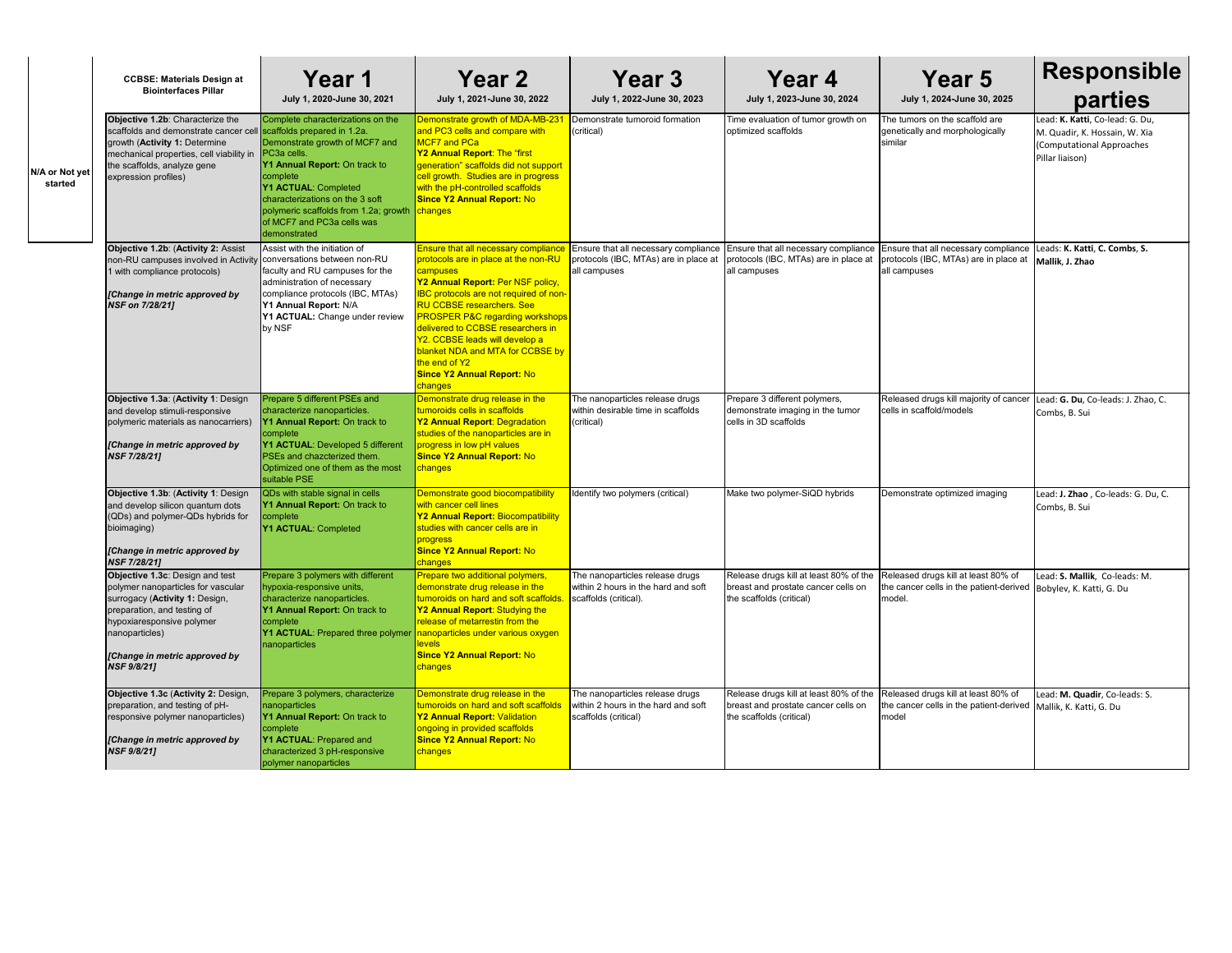|                           | <b>CCBSE: Materials Design at</b>                                                                                                                                                                                                                   | Year 1                                                                                                                                                                                                                                                                                           | Year 2                                                                                                                                                                                                                                                                                                                                                                                                                                             | Year <sub>3</sub>                                                                                    | Year 4                                                                                                                                        | Year 5                                                                                        | Responsible                                                                                                      |
|---------------------------|-----------------------------------------------------------------------------------------------------------------------------------------------------------------------------------------------------------------------------------------------------|--------------------------------------------------------------------------------------------------------------------------------------------------------------------------------------------------------------------------------------------------------------------------------------------------|----------------------------------------------------------------------------------------------------------------------------------------------------------------------------------------------------------------------------------------------------------------------------------------------------------------------------------------------------------------------------------------------------------------------------------------------------|------------------------------------------------------------------------------------------------------|-----------------------------------------------------------------------------------------------------------------------------------------------|-----------------------------------------------------------------------------------------------|------------------------------------------------------------------------------------------------------------------|
|                           | <b>Biointerfaces Pillar</b>                                                                                                                                                                                                                         | July 1, 2020-June 30, 2021                                                                                                                                                                                                                                                                       | July 1, 2021-June 30, 2022                                                                                                                                                                                                                                                                                                                                                                                                                         | July 1, 2022-June 30, 2023                                                                           | July 1, 2023-June 30, 2024                                                                                                                    | July 1, 2024-June 30, 2025                                                                    | parties                                                                                                          |
| N/A or Not yet<br>started | Objective 1.2b: Characterize the<br>scaffolds and demonstrate cancer cell scaffolds prepared in 1.2a.<br>growth (Activity 1: Determine<br>mechanical properties, cell viability in<br>the scaffolds, analyze gene<br>expression profiles)           | Complete characterizations on the<br>Demonstrate growth of MCF7 and<br>PC3a cells.<br>Y1 Annual Report: On track to<br>complete<br><b>Y1 ACTUAL: Completed</b><br>characterizations on the 3 soft<br>polymeric scaffolds from 1.2a; growth changes<br>of MCF7 and PC3a cells was<br>demonstrated | Demonstrate growth of MDA-MB-23<br>and PC3 cells and compare with<br>MCF7 and PCa<br><b>Y2 Annual Report: The "first</b><br>generation" scaffolds did not support<br>cell growth. Studies are in progress<br>with the pH-controlled scaffolds<br><b>Since Y2 Annual Report: No</b>                                                                                                                                                                 | Demonstrate tumoroid formation<br>(critical)                                                         | Time evaluation of tumor growth on<br>optimized scaffolds                                                                                     | The tumors on the scaffold are<br>genetically and morphologically<br>similar                  | Lead: K. Katti, Co-lead: G. Du,<br>M. Quadir, K. Hossain, W. Xia<br>(Computational Approaches<br>Pillar liaison) |
|                           | Objective 1.2b: (Activity 2: Assist<br>non-RU campuses involved in Activity conversations between non-RU<br>1 with compliance protocols)<br>[Change in metric approved by<br>NSF on 7/28/21]                                                        | Assist with the initiation of<br>faculty and RU campuses for the<br>administration of necessary<br>compliance protocols (IBC, MTAs)<br>Y1 Annual Report: N/A<br>Y1 ACTUAL: Change under review<br>by NSF                                                                                         | <b>Ensure that all necessary compliand</b><br>protocols are in place at the non-RU<br>campuses<br>Y2 Annual Report: Per NSF policy,<br><b>IBC</b> protocols are not required of non-<br><b>RU CCBSE researchers. See</b><br><b>PROSPER P&amp;C regarding workshops</b><br>delivered to CCBSE researchers in<br>Y2. CCBSE leads will develop a<br>blanket NDA and MTA for CCBSE by<br>the end of Y2<br><b>Since Y2 Annual Report: No</b><br>changes | <b>Ensure that all necessary compliance</b><br>protocols (IBC, MTAs) are in place at<br>all campuses | Ensure that all necessary compliance<br>protocols (IBC, MTAs) are in place at<br>all campuses                                                 | Ensure that all necessary compliance<br>protocols (IBC, MTAs) are in place at<br>all campuses | Leads: K. Katti, C. Combs, S.<br>Mallik, J. Zhao                                                                 |
|                           | Objective 1.3a: (Activity 1: Design<br>and develop stimuli-responsive<br>polymeric materials as nanocarriers)<br>[Change in metric approved by<br><b>NSF 7/28/21]</b>                                                                               | Prepare 5 different PSEs and<br>characterize nanoparticles.<br><b>Y1 Annual Report:</b> On track to<br>complete<br>Y1 ACTUAL: Developed 5 different<br>PSEs and chazcterized them.<br>Optimized one of them as the most<br>suitable PSE                                                          | Demonstrate drug release in the<br>tumoroids cells in scaffolds<br><b>Y2 Annual Report: Degradation</b><br>studies of the nanoparticles are in<br>progress in low pH values<br><b>Since Y2 Annual Report: No</b><br><mark>changes</mark>                                                                                                                                                                                                           | The nanoparticles release drugs<br>within desirable time in scaffolds<br>(critical)                  | Prepare 3 different polymers,<br>demonstrate imaging in the tumor<br>cells in 3D scaffolds                                                    | Released drugs kill majority of cancer<br>cells in scaffold/models                            | Lead: G. Du, Co-leads: J. Zhao, C.<br>Combs, B. Sui                                                              |
|                           | Objective 1.3b: (Activity 1: Design<br>and develop silicon quantum dots<br>(QDs) and polymer-QDs hybrids for<br>bioimaging)<br>[Change in metric approved by<br><b>NSF 7/28/21]</b>                                                                 | QDs with stable signal in cells<br><b>Y1 Annual Report:</b> On track to<br>complete<br>Y1 ACTUAL: Completed                                                                                                                                                                                      | Demonstrate good biocompatibility<br>with cancer cell lines<br><b>Y2 Annual Report: Biocompatibility</b><br>studies with cancer cells are in<br>progress<br><b>Since Y2 Annual Report: No</b><br><mark>changes</mark>                                                                                                                                                                                                                              | Identify two polymers (critical)                                                                     | Make two polymer-SiQD hybrids                                                                                                                 | Demonstrate optimized imaging                                                                 | Lead: J. Zhao, Co-leads: G. Du, C.<br>Combs, B. Sui                                                              |
|                           | <b>Objective 1.3c: Design and test</b><br>polymer nanoparticles for vascular<br>surrogacy (Activity 1: Design,<br>preparation, and testing of<br>hypoxiaresponsive polymer<br>nanoparticles)<br>[Change in metric approved by<br><b>NSF 9/8/21]</b> | Prepare 3 polymers with different<br>hypoxia-responsive units,<br>characterize nanoparticles.<br><b>Y1 Annual Report:</b> On track to<br>complete<br><b>Y1 ACTUAL:</b> Prepared three polymer nanoparticles under various oxygen<br>nanoparticles                                                | Prepare two additional polymers,<br>demonstrate drug release in the<br>tumoroids on hard and soft scaffolds<br><b>Y2 Annual Report: Studying the</b><br>release of metarrestin from the<br>levels<br><b>Since Y2 Annual Report: No</b><br><mark>lchanges</mark>                                                                                                                                                                                    | The nanoparticles release drugs<br>within 2 hours in the hard and soft<br>scaffolds (critical).      | Release drugs kill at least 80% of the Released drugs kill at least 80% of<br>breast and prostate cancer cells on<br>the scaffolds (critical) | the cancer cells in the patient-derived Bobylev, K. Katti, G. Du<br>model.                    | Lead: S. Mallik, Co-leads: M.                                                                                    |
|                           | Objective 1.3c (Activity 2: Design,<br>preparation, and testing of pH-<br>responsive polymer nanoparticles)<br>[Change in metric approved by<br><b>NSF 9/8/21]</b>                                                                                  | Prepare 3 polymers, characterize<br>nanoparticles<br>Y1 Annual Report: On track to<br><b>complete</b><br>Y1 ACTUAL: Prepared and<br>characterized 3 pH-responsive<br>polymer nanoparticles                                                                                                       | Demonstrate drug release in the<br>tumoroids on hard and soft scaffolds<br><b>Y2 Annual Report: Validation</b><br>ongoing in provided scaffolds<br><b>Since Y2 Annual Report: No</b><br><b>changes</b>                                                                                                                                                                                                                                             | The nanoparticles release drugs<br>within 2 hours in the hard and soft<br>scaffolds (critical)       | Release drugs kill at least 80% of the Released drugs kill at least 80% of<br>breast and prostate cancer cells on<br>the scaffolds (critical) | the cancer cells in the patient-derived Mallik, K. Katti, G. Du<br>model                      | Lead: M. Quadir, Co-leads: S.                                                                                    |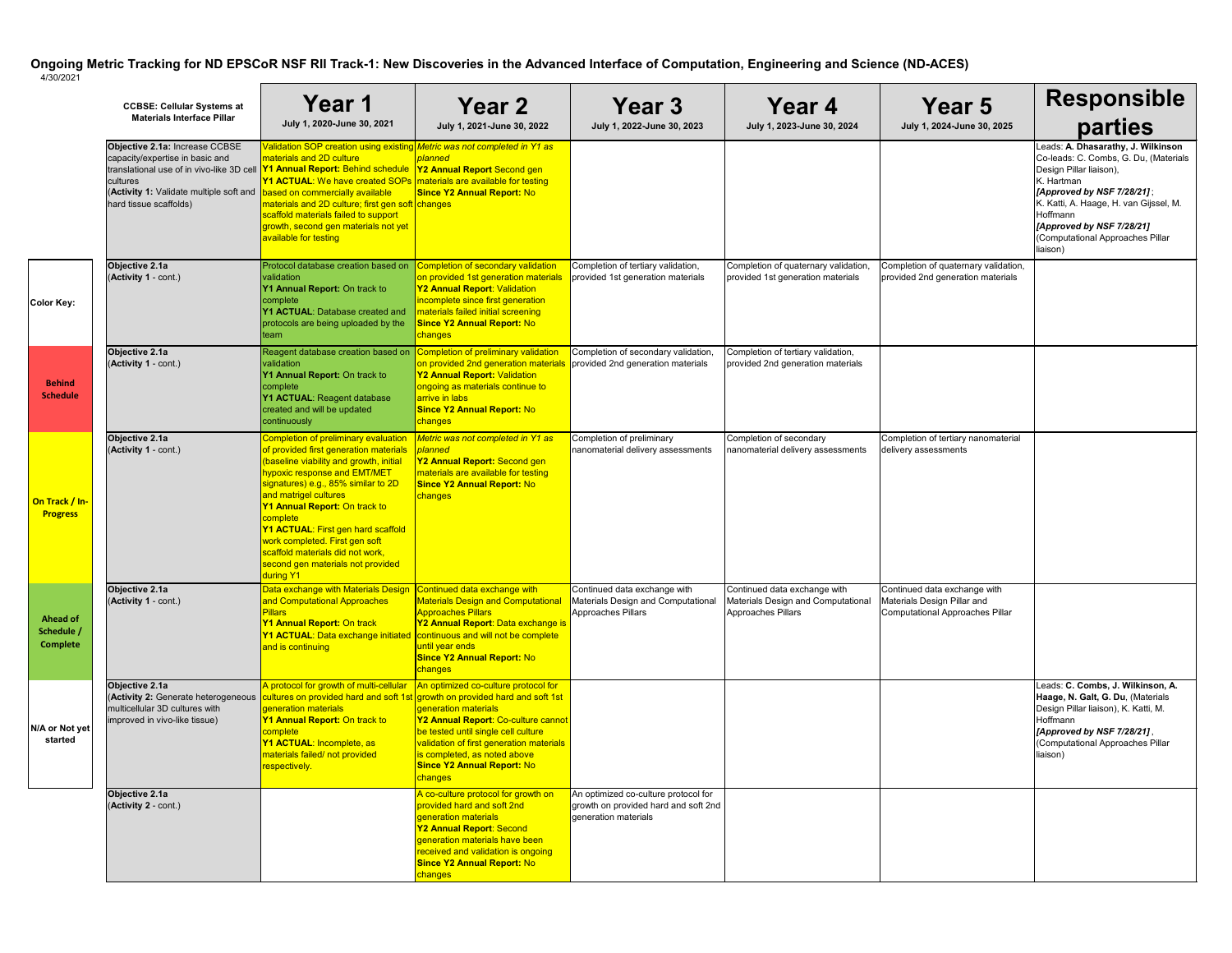|                                                  | <b>CCBSE: Cellular Systems at</b><br><b>Materials Interface Pillar</b>                                                                                                                                                                                                   | Year 1<br>July 1, 2020-June 30, 2021                                                                                                                                                                                                                                                                                                                                                                                                        | <b>Year 2</b><br>July 1, 2021-June 30, 2022                                                                                                                                                                                                                                   | Year 3<br>July 1, 2022-June 30, 2023                                                                 | <b>Year 4</b><br>July 1, 2023-June 30, 2024                                              | Year 5<br>July 1, 2024-June 30, 2025                                                           | <b>Responsible</b><br>parties                                                                                                                                                                                                                                                         |
|--------------------------------------------------|--------------------------------------------------------------------------------------------------------------------------------------------------------------------------------------------------------------------------------------------------------------------------|---------------------------------------------------------------------------------------------------------------------------------------------------------------------------------------------------------------------------------------------------------------------------------------------------------------------------------------------------------------------------------------------------------------------------------------------|-------------------------------------------------------------------------------------------------------------------------------------------------------------------------------------------------------------------------------------------------------------------------------|------------------------------------------------------------------------------------------------------|------------------------------------------------------------------------------------------|------------------------------------------------------------------------------------------------|---------------------------------------------------------------------------------------------------------------------------------------------------------------------------------------------------------------------------------------------------------------------------------------|
|                                                  | Objective 2.1a: Increase CCBSE<br>capacity/expertise in basic and<br>translational use of in vivo-like 3D cell <b>Y1 Annual Report:</b> Behind schedule<br>cultures<br>(Activity 1: Validate multiple soft and based on commercially available<br>hard tissue scaffolds) | Validation SOP creation using existing <i>Metric was not completed in Y1 as</i><br>materials and 2D culture<br><b>Y1 ACTUAL:</b> We have created SOPs   materials are available for testing<br>materials and 2D culture; first gen soft changes<br>scaffold materials failed to support<br>growth, second gen materials not yet<br>available for testing                                                                                    | planned<br><b>Y2 Annual Report Second gen</b><br><b>Since Y2 Annual Report: No</b>                                                                                                                                                                                            |                                                                                                      |                                                                                          |                                                                                                | Leads: A. Dhasarathy, J. Wilkinson<br>Co-leads: C. Combs, G. Du, (Materials<br>Design Pillar liaison),<br>K. Hartman<br>[Approved by NSF 7/28/21];<br>K. Katti, A. Haage, H. van Gijssel, M.<br>Hoffmann<br>[Approved by NSF 7/28/21]<br>(Computational Approaches Pillar<br>liaison) |
| Color Key:                                       | Objective 2.1a<br>(Activity 1 - cont.)                                                                                                                                                                                                                                   | Protocol database creation based on<br>validation<br>Y1 Annual Report: On track to<br>complete<br><b>Y1 ACTUAL: Database created and</b><br>protocols are being uploaded by the<br>team                                                                                                                                                                                                                                                     | <b>Completion of secondary validation</b><br>on provided 1st generation materials<br>Y2 Annual Report: Validation<br>incomplete since first generation<br>materials failed initial screening<br><b>Since Y2 Annual Report: No</b><br>changes                                  | Completion of tertiary validation,<br>provided 1st generation materials                              | Completion of quaternary validation,<br>provided 1st generation materials                | Completion of quaternary validation,<br>provided 2nd generation materials                      |                                                                                                                                                                                                                                                                                       |
| <b>Behind</b><br><b>Schedule</b>                 | Objective 2.1a<br>(Activity 1 - cont.)                                                                                                                                                                                                                                   | Reagent database creation based on<br>validation<br>Y1 Annual Report: On track to<br>complete<br>Y1 ACTUAL: Reagent database<br>created and will be updated<br>continuously                                                                                                                                                                                                                                                                 | <b>Completion of preliminary validation</b><br>on provided 2nd generation materials<br>Y2 Annual Report: Validation<br>ongoing as materials continue to<br>arrive in labs<br><b>Since Y2 Annual Report: No</b><br>changes                                                     | Completion of secondary validation,<br>provided 2nd generation materials                             | Completion of tertiary validation,<br>provided 2nd generation materials                  |                                                                                                |                                                                                                                                                                                                                                                                                       |
| On Track / In-<br><b>Progress</b>                | Objective 2.1a<br>(Activity 1 - cont.)                                                                                                                                                                                                                                   | <b>Completion of preliminary evaluation</b><br>of provided first generation materials<br>(baseline viability and growth, initial<br>hypoxic response and EMT/MET<br>signatures) e.g., 85% similar to 2D<br>and matrigel cultures<br>Y1 Annual Report: On track to<br>complete<br>Y1 ACTUAL: First gen hard scaffold<br>work completed. First gen soft<br>scaffold materials did not work,<br>second gen materials not provided<br>during Y1 | Metric was not completed in Y1 as<br>planned<br>Y2 Annual Report: Second gen<br>materials are available for testing<br><b>Since Y2 Annual Report: No</b><br>changes                                                                                                           | Completion of preliminary<br>nanomaterial delivery assessments                                       | Completion of secondary<br>nanomaterial delivery assessments                             | Completion of tertiary nanomaterial<br>delivery assessments                                    |                                                                                                                                                                                                                                                                                       |
| <b>Ahead of</b><br>Schedule /<br><b>Complete</b> | Objective 2.1a<br>(Activity 1 - cont.)                                                                                                                                                                                                                                   | Data exchange with Materials Design<br>and Computational Approaches<br><b>Pillars</b><br>Y1 Annual Report: On track<br><b>Y1 ACTUAL:</b> Data exchange initiated continuous and will not be complete<br>and is continuing                                                                                                                                                                                                                   | Continued data exchange with<br><b>Materials Design and Computational</b><br><b>Approaches Pillars</b><br>Y2 Annual Report: Data exchange is<br>until year ends<br><b>Since Y2 Annual Report: No</b><br>changes                                                               | Continued data exchange with<br>Materials Design and Computational<br>Approaches Pillars             | Continued data exchange with<br>Materials Design and Computational<br>Approaches Pillars | Continued data exchange with<br>Materials Design Pillar and<br>Computational Approaches Pillar |                                                                                                                                                                                                                                                                                       |
| N/A or Not yet<br>started                        | Objective 2.1a<br>(Activity 2: Generate heterogeneous<br>multicellular 3D cultures with<br>improved in vivo-like tissue)                                                                                                                                                 | A protocol for growth of multi-cellular<br>cultures on provided hard and soft 1st growth on provided hard and soft 1st<br>generation materials<br>Y1 Annual Report: On track to<br>complete<br>Y1 ACTUAL: Incomplete, as<br>materials failed/ not provided<br>respectively.                                                                                                                                                                 | An optimized co-culture protocol for<br>generation materials<br><b>Y2 Annual Report: Co-culture cannot</b><br>be tested until single cell culture<br>validation of first generation materials<br>is completed, as noted above<br><b>Since Y2 Annual Report: No</b><br>changes |                                                                                                      |                                                                                          |                                                                                                | Leads: C. Combs, J. Wilkinson, A.<br>Haage, N. Galt, G. Du, (Materials<br>Design Pillar liaison), K. Katti, M.<br>Hoffmann<br>[Approved by NSF 7/28/21],<br>(Computational Approaches Pillar<br>liaison)                                                                              |
|                                                  | Objective 2.1a<br>(Activity 2 - cont.)                                                                                                                                                                                                                                   |                                                                                                                                                                                                                                                                                                                                                                                                                                             | A co-culture protocol for growth on<br>provided hard and soft 2nd<br>generation materials<br><b>Y2 Annual Report: Second</b><br>generation materials have been<br>received and validation is ongoing<br><b>Since Y2 Annual Report: No</b><br><mark>changes</mark>             | An optimized co-culture protocol for<br>growth on provided hard and soft 2nd<br>generation materials |                                                                                          |                                                                                                |                                                                                                                                                                                                                                                                                       |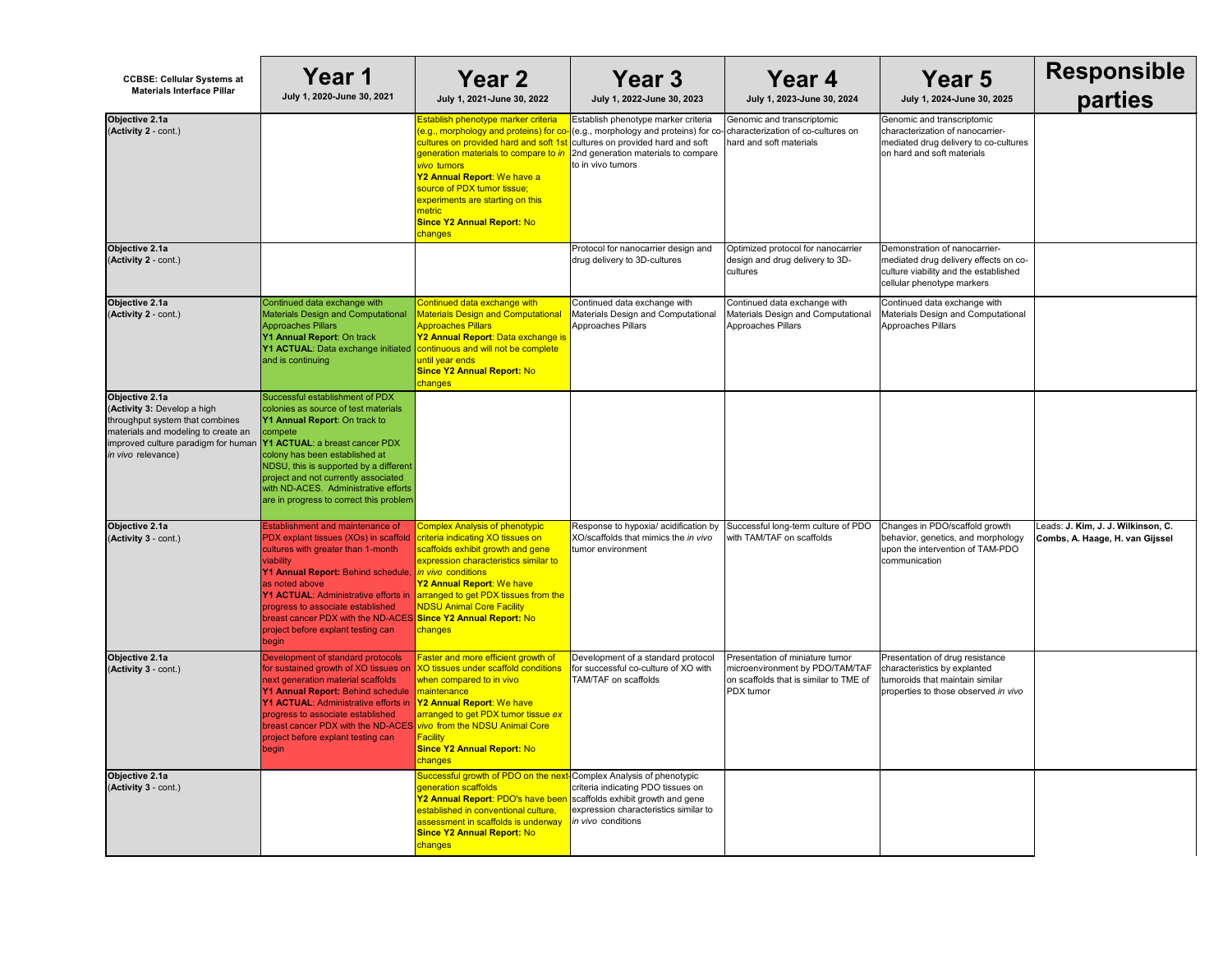| Year 4<br>July 1, 2023-June 30, 2024                                                                      | <b>Year 5</b><br>July 1, 2024-June 30, 2025                                                                                                   | <b>Responsible</b><br>parties                                         |
|-----------------------------------------------------------------------------------------------------------|-----------------------------------------------------------------------------------------------------------------------------------------------|-----------------------------------------------------------------------|
| omic and transcriptomic<br>acterization of co-cultures on<br>and soft materials                           | Genomic and transcriptomic<br>characterization of nanocarrier-<br>mediated drug delivery to co-cultures<br>on hard and soft materials         |                                                                       |
| nized protocol for nanocarrier<br>gn and drug delivery to 3D-<br>res                                      | Demonstration of nanocarrier-<br>mediated drug delivery effects on co-<br>culture viability and the established<br>cellular phenotype markers |                                                                       |
| inued data exchange with<br>rials Design and Computational<br>oaches Pillars                              | Continued data exchange with<br>Materials Design and Computational<br>Approaches Pillars                                                      |                                                                       |
|                                                                                                           |                                                                                                                                               |                                                                       |
| essful long-term culture of PDO:<br><b>TAM/TAF on scaffolds</b>                                           | Changes in PDO/scaffold growth<br>behavior, genetics, and morphology<br>upon the intervention of TAM-PDO<br>communication                     | Leads: J. Kim, J. J. Wilkinson, C.<br>Combs, A. Haage, H. van Gijssel |
| entation of miniature tumor<br>benvironment by PDO/TAM/TAF<br>caffolds that is similar to TME of<br>tumor | Presentation of drug resistance<br>characteristics by explanted<br>tumoroids that maintain similar<br>properties to those observed in vivo    |                                                                       |
|                                                                                                           |                                                                                                                                               |                                                                       |

| <b>CCBSE: Cellular Systems at</b><br><b>Materials Interface Pillar</b>                                                                                                                                                      | Year 1<br>July 1, 2020-June 30, 2021                                                                                                                                                                                                                                                                                                                                                                               | <b>Year 2</b><br>July 1, 2021-June 30, 2022                                                                                                                                                                                                                                                                                                                              | Year 3<br>July 1, 2022-June 30, 2023                                                                                                                                         | Year 4<br>July 1, 2023-June 30, 2024                                                                                      | <b>Year 5</b><br>July 1, 2024-June 30, 202                                                                                             |
|-----------------------------------------------------------------------------------------------------------------------------------------------------------------------------------------------------------------------------|--------------------------------------------------------------------------------------------------------------------------------------------------------------------------------------------------------------------------------------------------------------------------------------------------------------------------------------------------------------------------------------------------------------------|--------------------------------------------------------------------------------------------------------------------------------------------------------------------------------------------------------------------------------------------------------------------------------------------------------------------------------------------------------------------------|------------------------------------------------------------------------------------------------------------------------------------------------------------------------------|---------------------------------------------------------------------------------------------------------------------------|----------------------------------------------------------------------------------------------------------------------------------------|
| Objective 2.1a<br>(Activity 2 - cont.)                                                                                                                                                                                      |                                                                                                                                                                                                                                                                                                                                                                                                                    | Establish phenotype marker criteria<br>cultures on provided hard and soft 1st cultures on provided hard and soft<br>generation materials to compare to in 2nd generation materials to compare<br>vivo tumors<br>Y2 Annual Report: We have a<br>source of PDX tumor tissue;<br>experiments are starting on this<br>metric<br><b>Since Y2 Annual Report: No</b><br>changes | Establish phenotype marker criteria<br>(e.g., morphology and proteins) for co-(e.g., morphology and proteins) for co-characterization of co-cultures on<br>to in vivo tumors | Genomic and transcriptomic<br>hard and soft materials                                                                     | Genomic and transcriptomic<br>characterization of nanocarrier-<br>mediated drug delivery to co-cu<br>on hard and soft materials        |
| Objective 2.1a<br>(Activity 2 - cont.)                                                                                                                                                                                      |                                                                                                                                                                                                                                                                                                                                                                                                                    |                                                                                                                                                                                                                                                                                                                                                                          | Protocol for nanocarrier design and<br>drug delivery to 3D-cultures                                                                                                          | Optimized protocol for nanocarrier<br>design and drug delivery to 3D-<br>cultures                                         | Demonstration of nanocarrier-<br>mediated drug delivery effects c<br>culture viability and the establish<br>cellular phenotype markers |
| Objective 2.1a<br>(Activity 2 - cont.)                                                                                                                                                                                      | Continued data exchange with<br><b>Materials Design and Computational</b><br><b>Approaches Pillars</b><br>Y1 Annual Report: On track<br><b>Y1 ACTUAL:</b> Data exchange initiated <b>continuous and will not be complete</b><br>and is continuing                                                                                                                                                                  | Continued data exchange with<br><b>Materials Design and Computational</b><br><b>Approaches Pillars</b><br>Y2 Annual Report: Data exchange is<br>until year ends<br><b>Since Y2 Annual Report: No</b><br>changes                                                                                                                                                          | Continued data exchange with<br>Materials Design and Computational<br><b>Approaches Pillars</b>                                                                              | Continued data exchange with<br>Materials Design and Computational<br>Approaches Pillars                                  | Continued data exchange with<br><b>Materials Design and Computat</b><br>Approaches Pillars                                             |
| Objective 2.1a<br>(Activity 3: Develop a high<br>throughput system that combines<br>materials and modeling to create an<br>improved culture paradigm for human <b>Y1 ACTUAL</b> : a breast cancer PDX<br>in vivo relevance) | Successful establishment of PDX<br>colonies as source of test materials<br>Y1 Annual Report: On track to<br>compete<br>colony has been established at<br>NDSU, this is supported by a different<br>project and not currently associated<br>with ND-ACES. Administrative efforts<br>are in progress to correct this problem                                                                                         |                                                                                                                                                                                                                                                                                                                                                                          |                                                                                                                                                                              |                                                                                                                           |                                                                                                                                        |
| Objective 2.1a<br>(Activity 3 - cont.)                                                                                                                                                                                      | <b>Establishment and maintenance of</b><br>PDX explant tissues (XOs) in scaffold<br>cultures with greater than 1-month<br>viability<br>Y1 Annual Report: Behind schedule, in vivo conditions<br>as noted above<br><b>Y1 ACTUAL: Administrative efforts in</b><br>progress to associate established<br>breast cancer PDX with the ND-ACES Since Y2 Annual Report: No<br>project before explant testing can<br>begin | <b>Complex Analysis of phenotypic</b><br>criteria indicating XO tissues on<br>scaffolds exhibit growth and gene<br>expression characteristics similar to<br>Y2 Annual Report: We have<br>arranged to get PDX tissues from the<br><b>NDSU Animal Core Facility</b><br>changes                                                                                             | Response to hypoxia/ acidification by<br>XO/scaffolds that mimics the in vivo<br>tumor environment                                                                           | Successful long-term culture of PDO<br>with TAM/TAF on scaffolds                                                          | Changes in PDO/scaffold growtl<br>behavior, genetics, and morpho<br>upon the intervention of TAM-PI<br>communication                   |
| Objective 2.1a<br>(Activity 3 - cont.)                                                                                                                                                                                      | Development of standard protocols<br>for sustained growth of XO tissues on<br>next generation material scaffolds<br>Y1 Annual Report: Behind schedule<br><b>Y1 ACTUAL: Administrative efforts in</b><br>progress to associate established<br>breast cancer PDX with the ND-ACES vivo from the NDSU Animal Core<br>project before explant testing can<br>begin                                                      | Faster and more efficient growth of<br>XO tissues under scaffold conditions<br>when compared to in vivo<br><b>maintenance</b><br>Y2 Annual Report: We have<br>arranged to get PDX tumor tissue ex<br>Facility<br><b>Since Y2 Annual Report: No</b><br>changes                                                                                                            | Development of a standard protocol<br>for successful co-culture of XO with<br>TAM/TAF on scaffolds                                                                           | Presentation of miniature tumor<br>microenvironment by PDO/TAM/TAF<br>on scaffolds that is similar to TME of<br>PDX tumor | Presentation of drug resistance<br>characteristics by explanted<br>tumoroids that maintain similar<br>properties to those observed in  |
| Objective 2.1a<br>(Activity 3 - cont.)                                                                                                                                                                                      |                                                                                                                                                                                                                                                                                                                                                                                                                    | Successful growth of PDO on the next- Complex Analysis of phenotypic<br>generation scaffolds<br>Y2 Annual Report: PDO's have been<br>established in conventional culture,<br>assessment in scaffolds is underway<br><b>Since Y2 Annual Report: No</b><br>changes                                                                                                         | criteria indicating PDO tissues on<br>scaffolds exhibit growth and gene<br>expression characteristics similar to<br>in vivo conditions                                       |                                                                                                                           |                                                                                                                                        |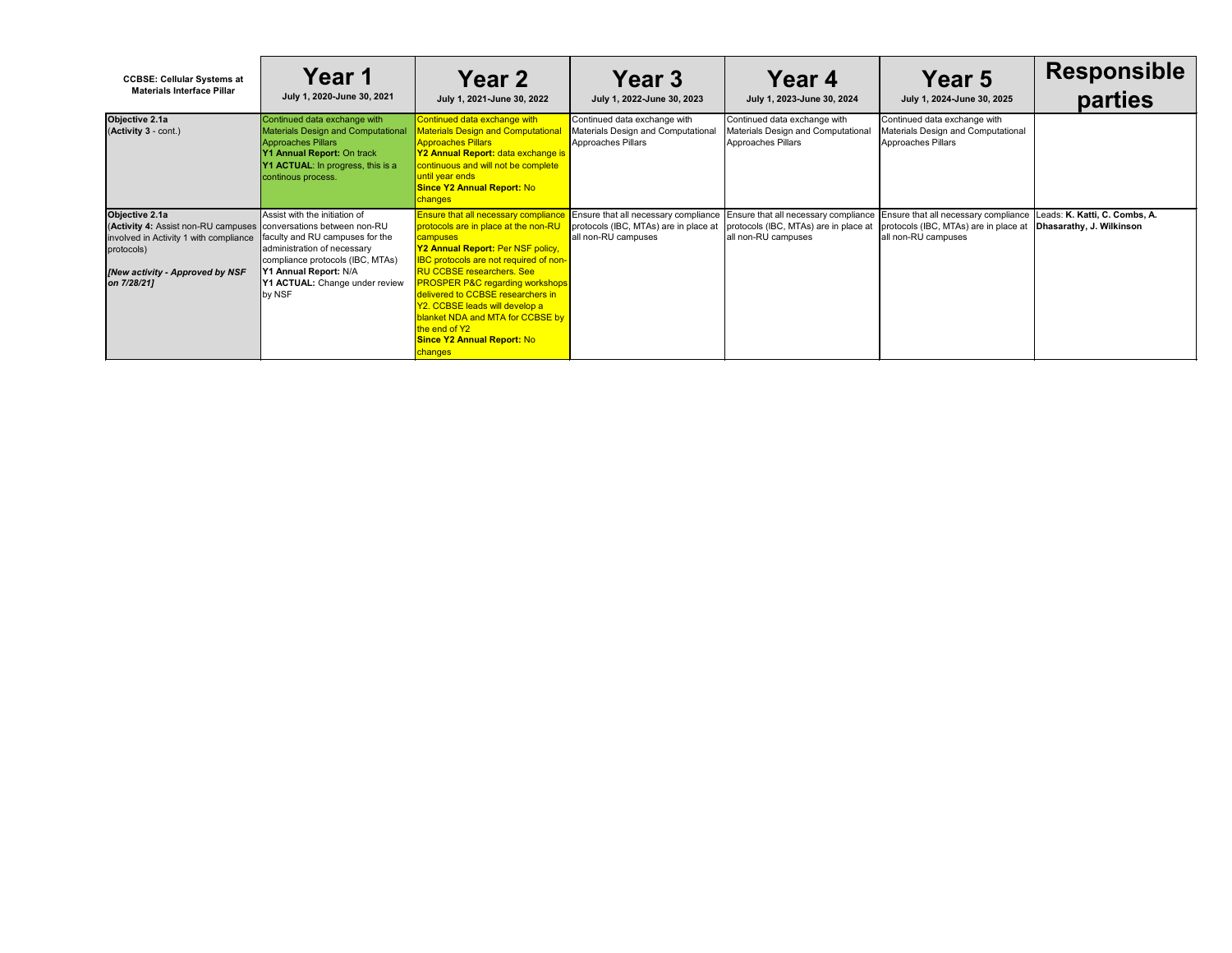| <b>CCBSE: Cellular Systems at</b><br><b>Materials Interface Pillar</b>                                                                                                                         | <b>Year 1</b><br>July 1, 2020-June 30, 2021                                                                                                                                                              | <b>Year 2</b><br>July 1, 2021-June 30, 2022                                                                                                                                                                                                                                                                                                                                                                                                                             | <b>Year 3</b><br>July 1, 2022-June 30, 2023                                                          | Year 4<br>July 1, 2023-June 30, 2024                                                                                                                                              | <b>Year 5</b><br>July 1, 2024-June 30, 2025                                              | <b>Responsible</b><br>parties                             |
|------------------------------------------------------------------------------------------------------------------------------------------------------------------------------------------------|----------------------------------------------------------------------------------------------------------------------------------------------------------------------------------------------------------|-------------------------------------------------------------------------------------------------------------------------------------------------------------------------------------------------------------------------------------------------------------------------------------------------------------------------------------------------------------------------------------------------------------------------------------------------------------------------|------------------------------------------------------------------------------------------------------|-----------------------------------------------------------------------------------------------------------------------------------------------------------------------------------|------------------------------------------------------------------------------------------|-----------------------------------------------------------|
| Objective 2.1a<br>(Activity 3 - cont.)                                                                                                                                                         | Continued data exchange with<br><b>Materials Design and Computational</b><br><b>Approaches Pillars</b><br>Y1 Annual Report: On track<br>Y1 ACTUAL: In progress, this is a<br>continous process.          | Continued data exchange with<br>Materials Design and Computationa<br><b>Approaches Pillars</b><br>Y2 Annual Report: data exchange is<br>continuous and will not be complete<br>until year ends<br><b>Since Y2 Annual Report: No</b><br><mark>changes</mark>                                                                                                                                                                                                             | Continued data exchange with<br>Materials Design and Computational<br>Approaches Pillars             | Continued data exchange with<br>Materials Design and Computational<br>Approaches Pillars                                                                                          | Continued data exchange with<br>Materials Design and Computational<br>Approaches Pillars |                                                           |
| Objective 2.1a<br>(Activity 4: Assist non-RU campuses   conversations between non-RU<br>involved in Activity 1 with compliance<br>protocols)<br>[New activity - Approved by NSF<br>on 7/28/21] | Assist with the initiation of<br>faculty and RU campuses for the<br>administration of necessary<br>compliance protocols (IBC, MTAs)<br>Y1 Annual Report: N/A<br>Y1 ACTUAL: Change under review<br>by NSF | <b>Ensure that all necessary compliance</b><br>protocols are in place at the non-RU<br>campuses<br>Y2 Annual Report: Per NSF policy,<br><b>IBC</b> protocols are not required of non-<br><b>RU CCBSE researchers. See</b><br><b>PROSPER P&amp;C regarding workshops</b><br>delivered to CCBSE researchers in<br>Y2. CCBSE leads will develop a<br><b>blanket NDA and MTA for CCBSE by</b><br>the end of Y2<br><b>Since Y2 Annual Report: No</b><br><mark>changes</mark> | Ensure that all necessary compliance<br>protocols (IBC, MTAs) are in place at<br>all non-RU campuses | Ensure that all necessary compliance Ensure that all necessary compliance<br>protocols (IBC, MTAs) are in place at   protocols (IBC, MTAs) are in place at<br>all non-RU campuses | all non-RU campuses                                                                      | Leads: K. Katti, C. Combs, A.<br>Dhasarathy, J. Wilkinson |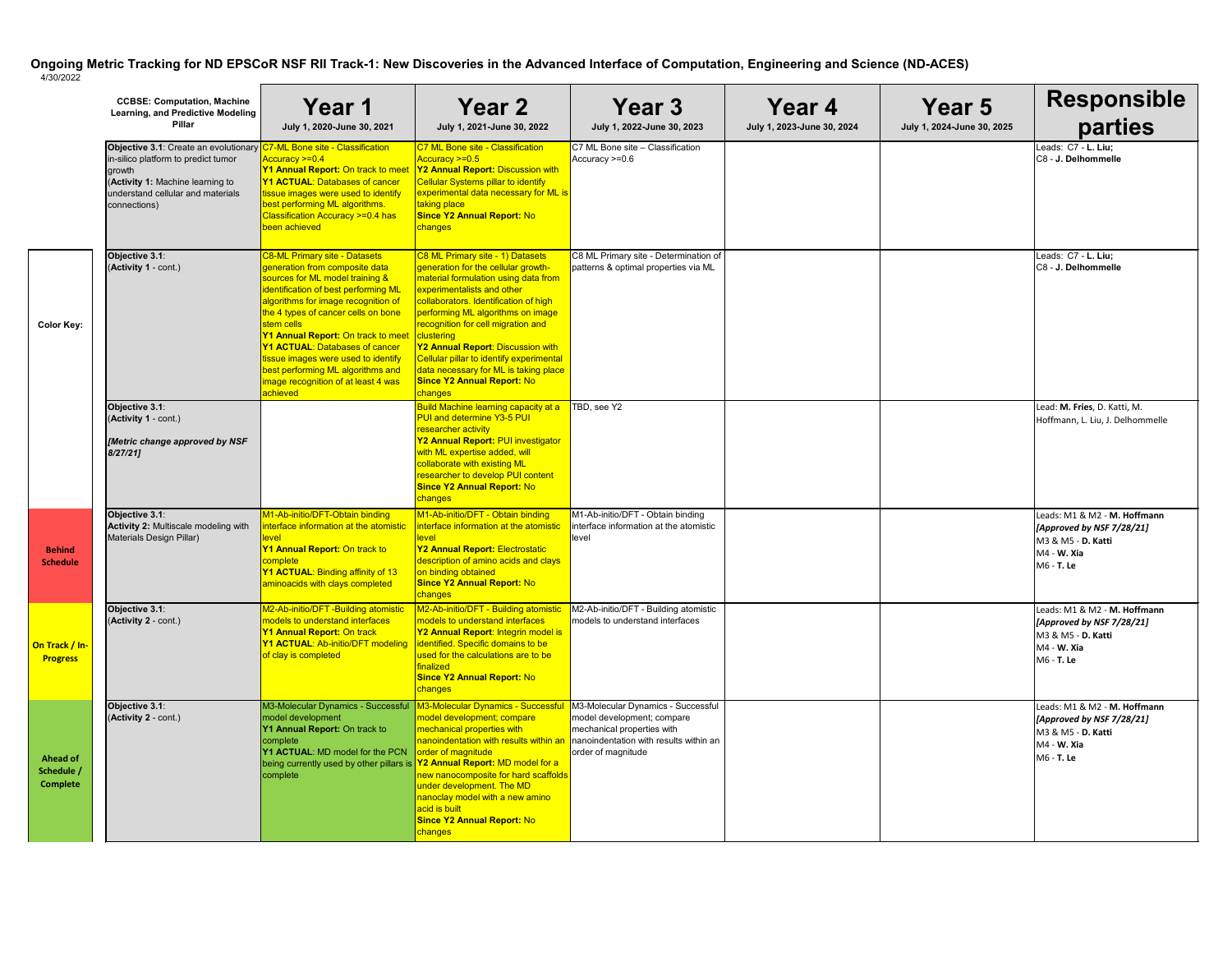|                                                  | <b>CCBSE: Computation, Machine</b><br><b>Learning, and Predictive Modeling</b><br><b>Pillar</b>                                                                                 | <b>Year 1</b><br>July 1, 2020-June 30, 2021                                                                                                                                                                                                                                                                                                                                                                                                                 | <b>Year 2</b><br>July 1, 2021-June 30, 2022                                                                                                                                                                                                                                                                                                                                                                                                               | Year 3<br>July 1, 2022-June 30, 2023                                                                                                                           | Year 4<br>July 1, 2023-June 30, 2024 |
|--------------------------------------------------|---------------------------------------------------------------------------------------------------------------------------------------------------------------------------------|-------------------------------------------------------------------------------------------------------------------------------------------------------------------------------------------------------------------------------------------------------------------------------------------------------------------------------------------------------------------------------------------------------------------------------------------------------------|-----------------------------------------------------------------------------------------------------------------------------------------------------------------------------------------------------------------------------------------------------------------------------------------------------------------------------------------------------------------------------------------------------------------------------------------------------------|----------------------------------------------------------------------------------------------------------------------------------------------------------------|--------------------------------------|
|                                                  | Objective 3.1: Create an evolutionary<br>in-silico platform to predict tumor<br>growth<br>(Activity 1: Machine learning to<br>understand cellular and materials<br>connections) | <b>C7-ML Bone site - Classification</b><br>Accuracy >=0.4<br>Y1 Annual Report: On track to meet<br><b>Y1 ACTUAL: Databases of cancer</b><br>tissue images were used to identify<br>best performing ML algorithms.<br>Classification Accuracy >=0.4 has<br>been achieved                                                                                                                                                                                     | C7 ML Bone site - Classification<br>Accuracy >=0.5<br>Y2 Annual Report: Discussion with<br><b>Cellular Systems pillar to identify</b><br>experimental data necessary for ML is<br>taking place<br><b>Since Y2 Annual Report: No</b><br>changes                                                                                                                                                                                                            | C7 ML Bone site - Classification<br>Accuracy >=0.6                                                                                                             |                                      |
| <b>Color Key:</b>                                | Objective 3.1:<br>(Activity 1 - cont.)                                                                                                                                          | <b>C8-ML Primary site - Datasets</b><br>generation from composite data<br>sources for ML model training &<br>identification of best performing ML<br>algorithms for image recognition of<br>the 4 types of cancer cells on bone<br>stem cells<br>Y1 Annual Report: On track to meet<br><b>Y1 ACTUAL: Databases of cancer</b><br>tissue images were used to identify<br>best performing ML algorithms and<br>image recognition of at least 4 was<br>achieved | C8 ML Primary site - 1) Datasets<br>generation for the cellular growth-<br>material formulation using data from<br>experimentalists and other<br>collaborators. Identification of high<br>performing ML algorithms on image<br>recognition for cell migration and<br>clustering<br>Y2 Annual Report: Discussion with<br>Cellular pillar to identify experimental<br>data necessary for ML is taking place<br><b>Since Y2 Annual Report: No</b><br>changes | C8 ML Primary site - Determination of<br>patterns & optimal properties via ML                                                                                  |                                      |
|                                                  | Objective 3.1:<br>(Activity 1 - cont.)<br>[Metric change approved by NSF<br>8/27/21                                                                                             |                                                                                                                                                                                                                                                                                                                                                                                                                                                             | <b>Build Machine learning capacity at a</b><br><b>PUI and determine Y3-5 PUI</b><br>researcher activity<br>Y2 Annual Report: PUI investigator<br>with ML expertise added, will<br>collaborate with existing ML<br>researcher to develop PUI content<br><b>Since Y2 Annual Report: No</b><br>changes                                                                                                                                                       | TBD, see Y2                                                                                                                                                    |                                      |
| <b>Behind</b><br><b>Schedule</b>                 | Objective 3.1:<br>Activity 2: Multiscale modeling with<br>Materials Design Pillar)                                                                                              | M1-Ab-initio/DFT-Obtain binding<br>interface information at the atomistic<br>level<br>Y1 Annual Report: On track to<br>complete<br>Y1 ACTUAL: Binding affinity of 13<br>aminoacids with clays completed                                                                                                                                                                                                                                                     | M1-Ab-initio/DFT - Obtain binding<br>interface information at the atomistic<br>level<br>Y2 Annual Report: Electrostatic<br>description of amino acids and clays<br>on binding obtained<br><b>Since Y2 Annual Report: No</b><br>changes                                                                                                                                                                                                                    | M1-Ab-initio/DFT - Obtain binding<br>interface information at the atomistic<br>level                                                                           |                                      |
| On Track / In-<br><b>Progress</b>                | Objective 3.1:<br>(Activity 2 - cont.)                                                                                                                                          | M2-Ab-initio/DFT -Building atomistic<br>models to understand interfaces<br>Y1 Annual Report: On track<br>Y1 ACTUAL: Ab-initio/DFT modeling<br>of clay is completed                                                                                                                                                                                                                                                                                          | M2-Ab-initio/DFT - Building atomistic<br>models to understand interfaces<br>Y2 Annual Report: Integrin model is<br>identified. Specific domains to be<br>used for the calculations are to be<br>finalized<br><b>Since Y2 Annual Report: No</b><br>changes                                                                                                                                                                                                 | M2-Ab-initio/DFT - Building atomistic<br>models to understand interfaces                                                                                       |                                      |
| <b>Ahead of</b><br>Schedule /<br><b>Complete</b> | Objective 3.1:<br>(Activity 2 - cont.)                                                                                                                                          | M3-Molecular Dynamics - Successful<br>model development<br>Y1 Annual Report: On track to<br>complete<br>Y1 ACTUAL: MD model for the PCN<br>being currently used by other pillars is <b>Y2 Annual Report:</b> MD model for a<br>complete                                                                                                                                                                                                                     | M3-Molecular Dynamics - Successful<br>model development; compare<br>mechanical properties with<br>nanoindentation with results within an<br>order of magnitude<br>new nanocomposite for hard scaffolds<br>under development. The MD<br>nanoclay model with a new amino<br>acid is built<br><b>Since Y2 Annual Report: No</b><br>changes                                                                                                                   | M3-Molecular Dynamics - Successful<br>model development; compare<br>mechanical properties with<br>nanoindentation with results within an<br>order of magnitude |                                      |

| <b>Year 3</b><br>July 1, 2022-June 30, 2023                                                                                                                    | <b>Year 4</b><br>July 1, 2023-June 30, 2024 | <b>Year 5</b><br>July 1, 2024-June 30, 2025 | <b>Responsible</b><br>parties                                                                                |
|----------------------------------------------------------------------------------------------------------------------------------------------------------------|---------------------------------------------|---------------------------------------------|--------------------------------------------------------------------------------------------------------------|
| C7 ML Bone site - Classification<br>Accuracy >=0.6                                                                                                             |                                             |                                             | Leads: C7 - L. Liu;<br>C8 - J. Delhommelle                                                                   |
| C8 ML Primary site - Determination of<br>patterns & optimal properties via ML                                                                                  |                                             |                                             | Leads: C7 - L. Liu;<br>C8 - J. Delhommelle                                                                   |
| TBD, see Y2                                                                                                                                                    |                                             |                                             | Lead: M. Fries, D. Katti, M.<br>Hoffmann, L. Liu, J. Delhommelle                                             |
| M1-Ab-initio/DFT - Obtain binding<br>interface information at the atomistic<br>level                                                                           |                                             |                                             | Leads: M1 & M2 - M. Hoffmann<br>[Approved by NSF 7/28/21]<br>M3 & M5 - D. Katti<br>M4 - W. Xia<br>M6 - T. Le |
| M2-Ab-initio/DFT - Building atomistic<br>models to understand interfaces                                                                                       |                                             |                                             | Leads: M1 & M2 - M. Hoffmann<br>[Approved by NSF 7/28/21]<br>M3 & M5 - D. Katti<br>M4 - W. Xia<br>M6 - T. Le |
| M3-Molecular Dynamics - Successful<br>model development; compare<br>mechanical properties with<br>nanoindentation with results within an<br>order of magnitude |                                             |                                             | Leads: M1 & M2 - M. Hoffmann<br>[Approved by NSF 7/28/21]<br>M3 & M5 - D. Katti<br>M4 - W. Xia<br>M6 - T. Le |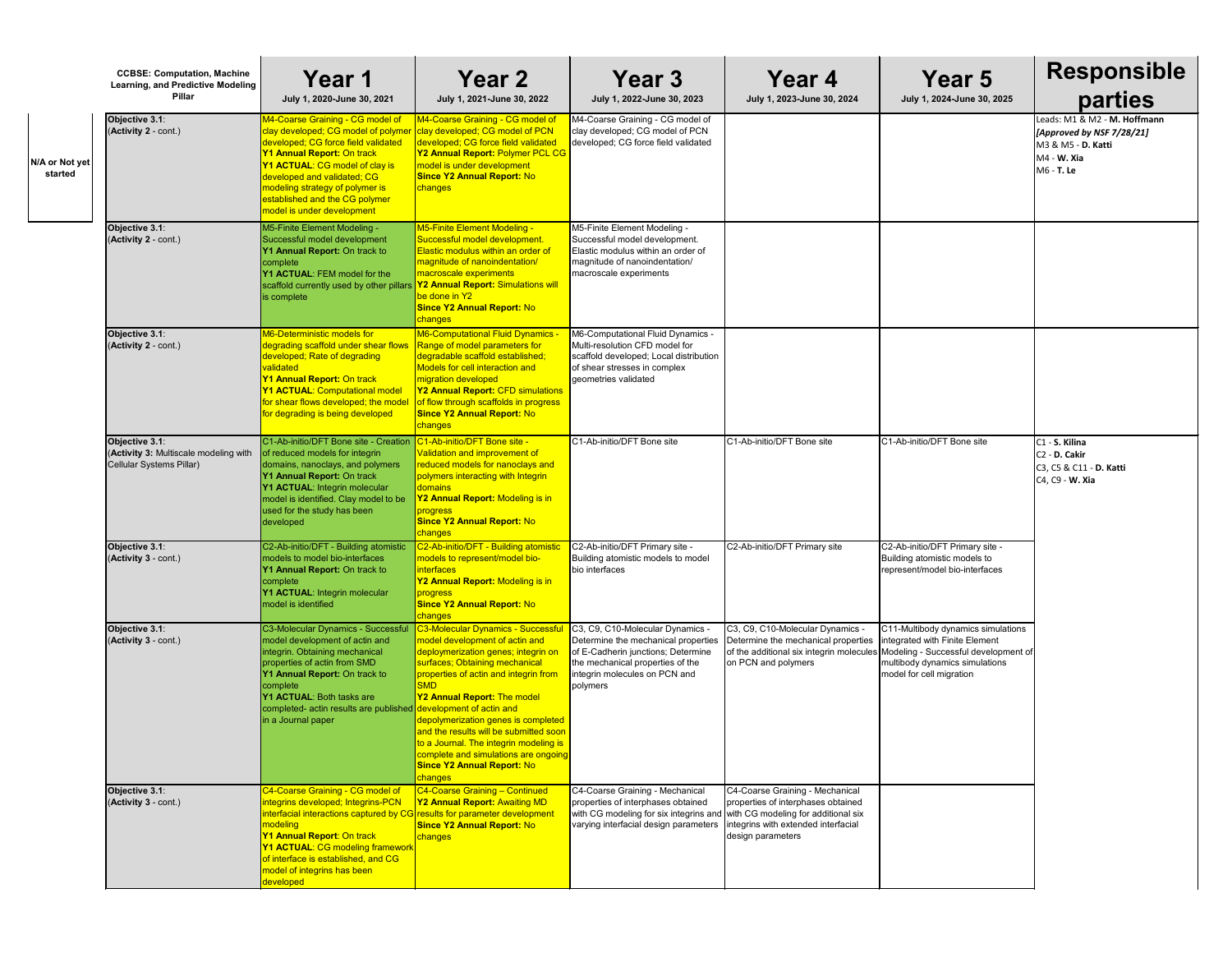|                           | <b>CCBSE: Computation, Machine</b><br>Learning, and Predictive Modeling<br>Pillar   | Year 1<br>July 1, 2020-June 30, 2021                                                                                                                                                                                                                                                                                               | <b>Year 2</b><br>July 1, 2021-June 30, 2022                                                                                                                                                                                                                                                                                                                                                                                                          | Year 3<br>July 1, 2022-June 30, 2023                                                                                                                                                           | Year 4<br>July 1, 2023-June 30, 2024                                                                                                       | Year 5<br>July 1, 2024-June 30, 2025                                                                                                                                       | <b>Responsible</b><br>parties                                                                                    |
|---------------------------|-------------------------------------------------------------------------------------|------------------------------------------------------------------------------------------------------------------------------------------------------------------------------------------------------------------------------------------------------------------------------------------------------------------------------------|------------------------------------------------------------------------------------------------------------------------------------------------------------------------------------------------------------------------------------------------------------------------------------------------------------------------------------------------------------------------------------------------------------------------------------------------------|------------------------------------------------------------------------------------------------------------------------------------------------------------------------------------------------|--------------------------------------------------------------------------------------------------------------------------------------------|----------------------------------------------------------------------------------------------------------------------------------------------------------------------------|------------------------------------------------------------------------------------------------------------------|
| N/A or Not yet<br>started | Objective 3.1:<br>(Activity 2 - cont.)                                              | M4-Coarse Graining - CG model of<br>clay developed; CG model of polymer<br>developed; CG force field validated<br>Y1 Annual Report: On track<br>Y1 ACTUAL: CG model of clay is<br>developed and validated; CG<br>modeling strategy of polymer is<br>established and the CG polymer<br>model is under development                   | M4-Coarse Graining - CG model of<br>clay developed; CG model of PCN<br>developed; CG force field validated<br>Y2 Annual Report: Polymer PCL CG<br>model is under development<br><b>Since Y2 Annual Report: No</b><br>changes                                                                                                                                                                                                                         | M4-Coarse Graining - CG model of<br>clay developed; CG model of PCN<br>developed; CG force field validated                                                                                     |                                                                                                                                            |                                                                                                                                                                            | Leads: M1 & M2 - M. Hoffmann<br>[Approved by NSF 7/28/21]<br>M3 & M5 - D. Katti<br>$MA - W. Xia$<br>$M6 - T.$ Le |
|                           | Objective 3.1:<br>(Activity 2 - cont.)                                              | M5-Finite Element Modeling -<br>Successful model development<br>Y1 Annual Report: On track to<br>complete<br>Y1 ACTUAL: FEM model for the<br>scaffold currently used by other pillars<br>is complete                                                                                                                               | M5-Finite Element Modeling -<br>Successful model development.<br>Elastic modulus within an order of<br>magnitude of nanoindentation/<br>macroscale experiments<br><b>Y2 Annual Report: Simulations will</b><br>be done in Y2<br><b>Since Y2 Annual Report: No</b><br>changes                                                                                                                                                                         | M5-Finite Element Modeling -<br>Successful model development.<br>Elastic modulus within an order of<br>magnitude of nanoindentation/<br>macroscale experiments                                 |                                                                                                                                            |                                                                                                                                                                            |                                                                                                                  |
|                           | Objective 3.1:<br>(Activity 2 - cont.)                                              | M6-Deterministic models for<br>degrading scaffold under shear flows<br>developed; Rate of degrading<br>validated<br><b>Y1 Annual Report: On track</b><br><b>Y1 ACTUAL: Computational model</b><br>for shear flows developed; the model<br>for degrading is being developed                                                         | M6-Computational Fluid Dynamics ·<br>Range of model parameters for<br>degradable scaffold established;<br>Models for cell interaction and<br>migration developed<br>Y2 Annual Report: CFD simulations<br>of flow through scaffolds in progress<br><b>Since Y2 Annual Report: No</b><br>changes                                                                                                                                                       | M6-Computational Fluid Dynamics -<br>Multi-resolution CFD model for<br>scaffold developed; Local distribution<br>of shear stresses in complex<br>geometries validated                          |                                                                                                                                            |                                                                                                                                                                            |                                                                                                                  |
|                           | Objective 3.1:<br>(Activity 3: Multiscale modeling with<br>Cellular Systems Pillar) | C1-Ab-initio/DFT Bone site - Creation<br>of reduced models for integrin<br>domains, nanoclays, and polymers<br>Y1 Annual Report: On track<br>Y1 ACTUAL: Integrin molecular<br>model is identified. Clay model to be<br>used for the study has been<br>developed                                                                    | C1-Ab-initio/DFT Bone site -<br>Validation and improvement of<br>reduced models for nanoclays and<br>polymers interacting with Integrin<br>domains<br>Y2 Annual Report: Modeling is in<br>progress<br><b>Since Y2 Annual Report: No</b><br><u>changes</u>                                                                                                                                                                                            | C1-Ab-initio/DFT Bone site                                                                                                                                                                     | C1-Ab-initio/DFT Bone site                                                                                                                 | C1-Ab-initio/DFT Bone site                                                                                                                                                 | C <sub>1</sub> - S. Kilina<br>C <sub>2</sub> - D. Cakir<br>C3, C5 & C11 - D. Katti<br>$C4, C9 - W.$ Xia          |
|                           | Objective 3.1:<br>(Activity 3 - cont.)                                              | C2-Ab-initio/DFT - Building atomistic<br>models to model bio-interfaces<br>Y1 Annual Report: On track to<br>complete<br>Y1 ACTUAL: Integrin molecular<br>model is identified                                                                                                                                                       | C2-Ab-initio/DFT - Building atomistic<br>models to represent/model bio-<br><i>interfaces</i><br>Y2 Annual Report: Modeling is in<br>progress<br><b>Since Y2 Annual Report: No</b><br>changes                                                                                                                                                                                                                                                         | C2-Ab-initio/DFT Primary site -<br>Building atomistic models to model<br>bio interfaces                                                                                                        | C2-Ab-initio/DFT Primary site                                                                                                              | C2-Ab-initio/DFT Primary site -<br>Building atomistic models to<br>represent/model bio-interfaces                                                                          |                                                                                                                  |
|                           | Objective 3.1:<br>(Activity 3 - cont.)                                              | C3-Molecular Dynamics - Successful<br>model development of actin and<br>integrin. Obtaining mechanical<br>properties of actin from SMD<br>Y1 Annual Report: On track to<br>complete<br>Y1 ACTUAL: Both tasks are<br>completed- actin results are published development of actin and<br>in a Journal paper                          | C3-Molecular Dynamics - Successfu<br>model development of actin and<br>deploymerization genes; integrin on<br>surfaces; Obtaining mechanical<br>properties of actin and integrin from<br>Y2 Annual Report: The model<br>depolymerization genes is completed<br>and the results will be submitted soon<br>to a Journal. The integrin modeling is<br><mark>complete and simulations are ongoing</mark><br><b>Since Y2 Annual Report: No</b><br>changes | C3, C9, C10-Molecular Dynamics -<br>Determine the mechanical properties<br>of E-Cadherin junctions; Determine<br>the mechanical properties of the<br>integrin molecules on PCN and<br>polymers | C3, C9, C10-Molecular Dynamics -<br>Determine the mechanical properties<br>of the additional six integrin molecules<br>on PCN and polymers | C11-Multibody dynamics simulations<br>integrated with Finite Element<br>Modeling - Successful development of<br>multibody dynamics simulations<br>model for cell migration |                                                                                                                  |
|                           | Objective 3.1:<br>(Activity 3 - cont.)                                              | C4-Coarse Graining - CG model of<br>integrins developed; Integrins-PCN<br>interfacial interactions captured by CG results for parameter development<br>modeling<br><b>Y1 Annual Report: On track</b><br><b>Y1 ACTUAL: CG modeling framework</b><br>of interface is established, and CG<br>model of integrins has been<br>developed | C4-Coarse Graining - Continued<br><b>Y2 Annual Report: Awaiting MD</b><br>Since Y2 Annual Report: No<br>changes                                                                                                                                                                                                                                                                                                                                      | C4-Coarse Graining - Mechanical<br>properties of interphases obtained<br>with CG modeling for six integrins and with CG modeling for additional six<br>varying interfacial design parameters   | C4-Coarse Graining - Mechanical<br>properties of interphases obtained<br>integrins with extended interfacial<br>design parameters          |                                                                                                                                                                            |                                                                                                                  |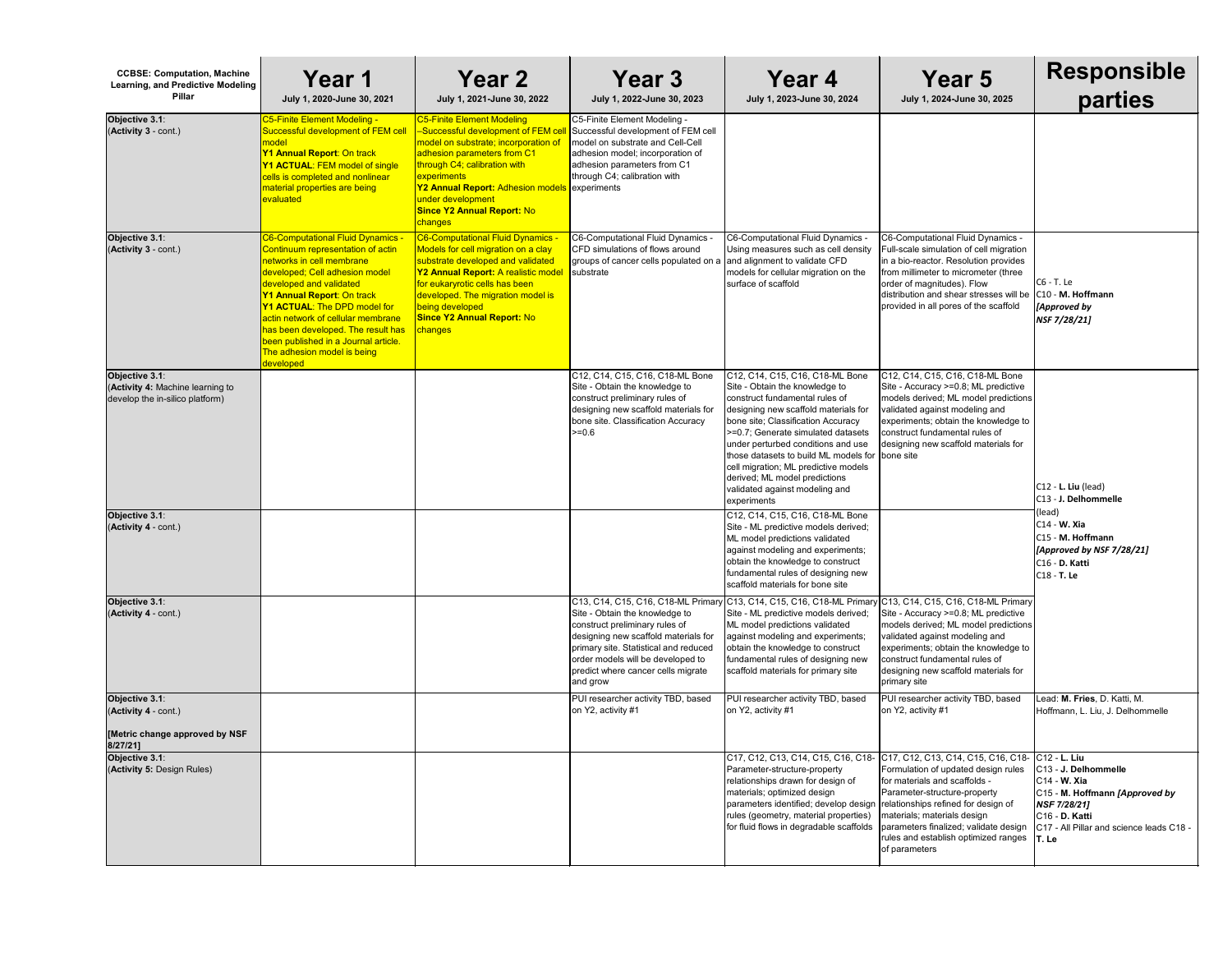| <b>CCBSE: Computation, Machine</b><br><b>Learning, and Predictive Modeling</b><br><b>Pillar</b> | Year 1<br>July 1, 2020-June 30, 2021                                                                                                                                                                                                                                                                                                                                                                         | <b>Year 2</b><br>July 1, 2021-June 30, 2022                                                                                                                                                                                                                                                                                           | Year 3<br>July 1, 2022-June 30, 2023                                                                                                                                                                                                     | Year 4<br>July 1, 2023-June 30, 2024                                                                                                                                                                                                                                                                                                                                                                                                         | <b>Year 5</b><br>July 1, 2024-June 30, 2025                                                                                                                                                                                                                                                                                             | <b>Responsible</b><br>parties                                                                                                                                                   |
|-------------------------------------------------------------------------------------------------|--------------------------------------------------------------------------------------------------------------------------------------------------------------------------------------------------------------------------------------------------------------------------------------------------------------------------------------------------------------------------------------------------------------|---------------------------------------------------------------------------------------------------------------------------------------------------------------------------------------------------------------------------------------------------------------------------------------------------------------------------------------|------------------------------------------------------------------------------------------------------------------------------------------------------------------------------------------------------------------------------------------|----------------------------------------------------------------------------------------------------------------------------------------------------------------------------------------------------------------------------------------------------------------------------------------------------------------------------------------------------------------------------------------------------------------------------------------------|-----------------------------------------------------------------------------------------------------------------------------------------------------------------------------------------------------------------------------------------------------------------------------------------------------------------------------------------|---------------------------------------------------------------------------------------------------------------------------------------------------------------------------------|
| Objective 3.1:<br>(Activity 3 - cont.)                                                          | C5-Finite Element Modeling -<br>Successful development of FEM cell<br>model<br>Y1 Annual Report: On track<br><b>Y1 ACTUAL: FEM model of single</b><br>cells is completed and nonlinear<br><b>material properties are being</b><br>evaluated                                                                                                                                                                  | <b>C5-Finite Element Modeling</b><br>-Successful development of FEM c<br><mark>model on substrate; incorporation of</mark><br>adhesion parameters from C1<br>through C4; calibration with<br>experiments<br>Y2 Annual Report: Adhesion models experiments<br>under development<br><b>Since Y2 Annual Report: No</b><br><b>changes</b> | C5-Finite Element Modeling -<br>Successful development of FEM cell<br>model on substrate and Cell-Cell<br>adhesion model; incorporation of<br>adhesion parameters from C1<br>through C4; calibration with                                |                                                                                                                                                                                                                                                                                                                                                                                                                                              |                                                                                                                                                                                                                                                                                                                                         |                                                                                                                                                                                 |
| Objective 3.1:<br>(Activity 3 - cont.)                                                          | C6-Computational Fluid Dynamics -<br>Continuum representation of actin<br>networks in cell membrane<br>developed; Cell adhesion model<br>developed and validated<br><b>Y1 Annual Report: On track</b><br><b>Y1 ACTUAL: The DPD model for</b><br>actin network of cellular membrane<br>has been developed. The result has<br>been published in a Journal article.<br>The adhesion model is being<br>developed | <b>C6-Computational Fluid Dynamics</b><br>Models for cell migration on a clay<br>substrate developed and validated<br>Y2 Annual Report: A realistic mode<br>for eukaryrotic cells has been<br>developed. The migration model is<br>being developed<br><b>Since Y2 Annual Report: No</b><br>changes                                    | C6-Computational Fluid Dynamics<br>CFD simulations of flows around<br>groups of cancer cells populated on a<br>substrate                                                                                                                 | C6-Computational Fluid Dynamics -<br>Using measures such as cell density<br>and alignment to validate CFD<br>models for cellular migration on the<br>surface of scaffold                                                                                                                                                                                                                                                                     | C6-Computational Fluid Dynamics -<br>Full-scale simulation of cell migration<br>in a bio-reactor. Resolution provides<br>from millimeter to micrometer (three<br>order of magnitudes). Flow<br>distribution and shear stresses will be<br>provided in all pores of the scaffold                                                         | C6 - T. Le<br>C <sub>10</sub> - M. Hoffmann<br>[Approved by<br>NSF 7/28/21]                                                                                                     |
| Objective 3.1:<br>(Activity 4: Machine learning to<br>develop the in-silico platform)           |                                                                                                                                                                                                                                                                                                                                                                                                              |                                                                                                                                                                                                                                                                                                                                       | C12, C14, C15, C16, C18-ML Bone<br>Site - Obtain the knowledge to<br>construct preliminary rules of<br>designing new scaffold materials for<br>bone site. Classification Accuracy<br>$>=0.6$                                             | C12, C14, C15, C16, C18-ML Bone<br>Site - Obtain the knowledge to<br>construct fundamental rules of<br>designing new scaffold materials for<br>bone site; Classification Accuracy<br>>=0.7; Generate simulated datasets<br>under perturbed conditions and use<br>those datasets to build ML models for   bone site<br>cell migration; ML predictive models<br>derived; ML model predictions<br>validated against modeling and<br>experiments | C12, C14, C15, C16, C18-ML Bone<br>Site - Accuracy >=0.8; ML predictive<br>models derived; ML model predictions<br>validated against modeling and<br>experiments; obtain the knowledge to<br>construct fundamental rules of<br>designing new scaffold materials for                                                                     | C12 - L. Liu (lead)<br>lC13 - J. Delhommelle                                                                                                                                    |
| Objective 3.1:<br>(Activity 4 - cont.)                                                          |                                                                                                                                                                                                                                                                                                                                                                                                              |                                                                                                                                                                                                                                                                                                                                       |                                                                                                                                                                                                                                          | C12, C14, C15, C16, C18-ML Bone<br>Site - ML predictive models derived;<br>ML model predictions validated<br>against modeling and experiments;<br>obtain the knowledge to construct<br>fundamental rules of designing new<br>scaffold materials for bone site                                                                                                                                                                                |                                                                                                                                                                                                                                                                                                                                         | (lead)<br>$C14 - W.$ Xia<br>C15 - M. Hoffmann<br>[Approved by NSF 7/28/21]<br>C16 - D. Katti<br>C <sub>18</sub> - <b>T. Le</b>                                                  |
| Objective 3.1:<br>(Activity 4 - cont.)                                                          |                                                                                                                                                                                                                                                                                                                                                                                                              |                                                                                                                                                                                                                                                                                                                                       | Site - Obtain the knowledge to<br>construct preliminary rules of<br>designing new scaffold materials for<br>primary site. Statistical and reduced<br>order models will be developed to<br>predict where cancer cells migrate<br>and grow | C13, C14, C15, C16, C18-ML Primary C13, C14, C15, C16, C18-ML Primary C13, C14, C15, C16, C18-ML Primary<br>Site - ML predictive models derived;<br>ML model predictions validated<br>against modeling and experiments;<br>obtain the knowledge to construct<br>fundamental rules of designing new<br>scaffold materials for primary site                                                                                                    | Site - Accuracy >=0.8; ML predictive<br>models derived; ML model predictions<br>validated against modeling and<br>experiments; obtain the knowledge to<br>construct fundamental rules of<br>designing new scaffold materials for<br>primary site                                                                                        |                                                                                                                                                                                 |
| Objective 3.1:<br>(Activity 4 - cont.)<br>[Metric change approved by NSF                        |                                                                                                                                                                                                                                                                                                                                                                                                              |                                                                                                                                                                                                                                                                                                                                       | PUI researcher activity TBD, based<br>on Y2, activity #1                                                                                                                                                                                 | PUI researcher activity TBD, based<br>on Y2, activity #1                                                                                                                                                                                                                                                                                                                                                                                     | PUI researcher activity TBD, based<br>on Y2, activity #1                                                                                                                                                                                                                                                                                | Lead: M. Fries, D. Katti, M.<br>Hoffmann, L. Liu, J. Delhommelle                                                                                                                |
| 8/27/21]<br>Objective 3.1:<br>(Activity 5: Design Rules)                                        |                                                                                                                                                                                                                                                                                                                                                                                                              |                                                                                                                                                                                                                                                                                                                                       |                                                                                                                                                                                                                                          | C17, C12, C13, C14, C15, C16, C18-<br>Parameter-structure-property<br>relationships drawn for design of<br>materials; optimized design<br>parameters identified; develop design<br>rules (geometry, material properties)<br>for fluid flows in degradable scaffolds                                                                                                                                                                          | C17, C12, C13, C14, C15, C16, C18- C12 - L. Liu<br>Formulation of updated design rules<br>for materials and scaffolds -<br>Parameter-structure-property<br>relationships refined for design of<br>materials; materials design<br>parameters finalized; validate design<br>rules and establish optimized ranges   T. Le<br>of parameters | C <sub>13</sub> - J. Delhommelle<br>$C14 - W.$ Xia<br>C15 - M. Hoffmann [Approved by<br>NSF 7/28/21]<br>C <sub>16</sub> - D. Katti<br>IC17 - All Pillar and science leads C18 - |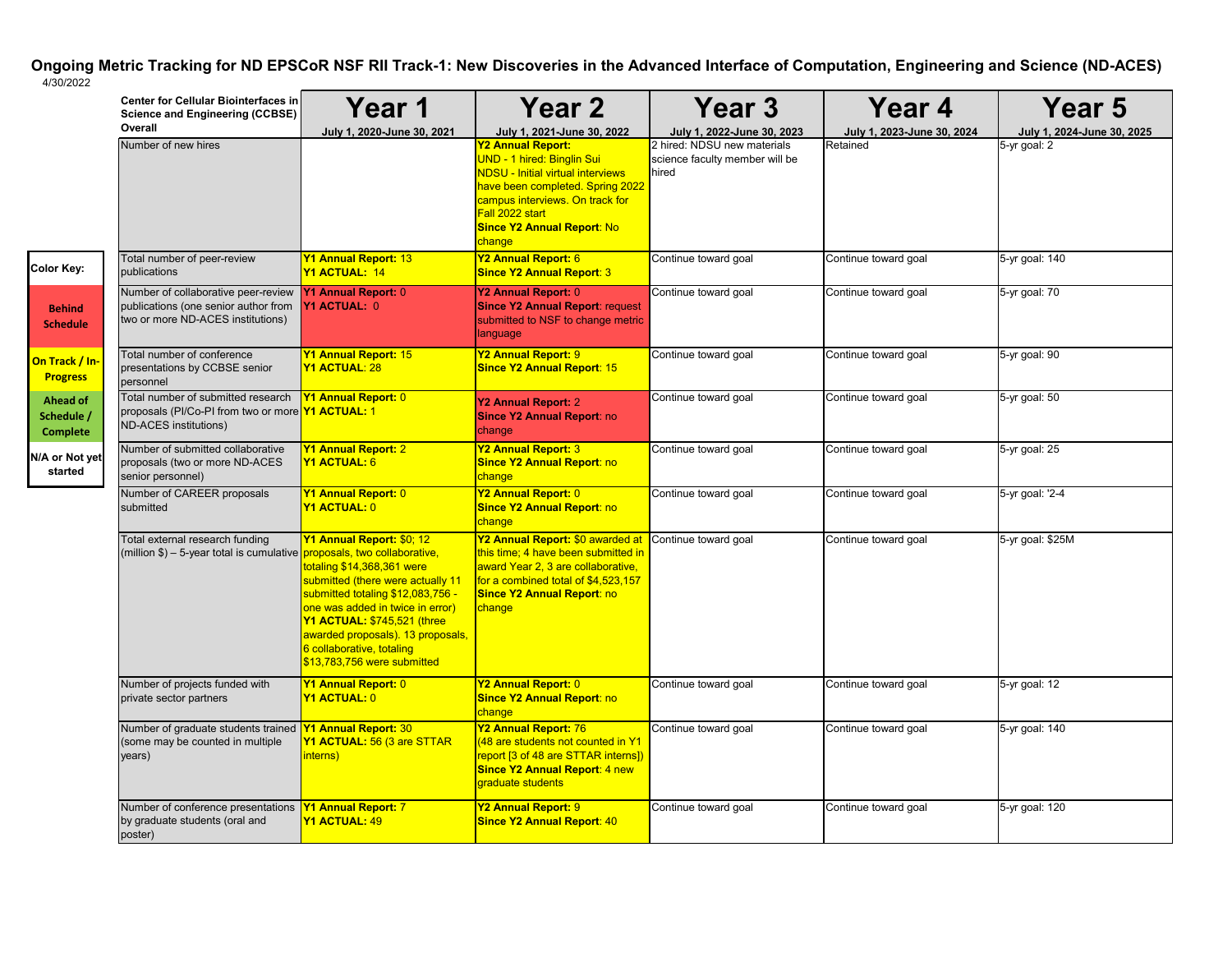| <b>Year 5</b><br>July 1, 2024-June 30, 2025 |
|---------------------------------------------|
| 5-yr goal: 2                                |
|                                             |
| 5-yr goal: 140                              |
| 5-yr goal: 70                               |
| 5-yr goal: 90                               |
| 5-yr goal: 50                               |
| 5-yr goal: 25                               |
| 5-yr goal: '2-4                             |
| 5-yr goal: \$25M                            |
| $5 - yr$ goal: $12$                         |
| 5-yr goal: 140                              |
| 5-yr goal: 120                              |

|                                                  | <b>Center for Cellular Biointerfaces in</b><br><b>Science and Engineering (CCBSE)</b>                            | Year 1                                                                                                                                                                                                                                                                                                | <b>Year 2</b>                                                                                                                                                                                                                                                             | <b>Year 3</b>                                                                                        | Year 4                                 | Ye                                               |
|--------------------------------------------------|------------------------------------------------------------------------------------------------------------------|-------------------------------------------------------------------------------------------------------------------------------------------------------------------------------------------------------------------------------------------------------------------------------------------------------|---------------------------------------------------------------------------------------------------------------------------------------------------------------------------------------------------------------------------------------------------------------------------|------------------------------------------------------------------------------------------------------|----------------------------------------|--------------------------------------------------|
|                                                  | Overall<br>Number of new hires                                                                                   | July 1, 2020-June 30, 2021                                                                                                                                                                                                                                                                            | July 1, 2021-June 30, 2022<br><b>Y2 Annual Report:</b><br>UND - 1 hired: Binglin Sui<br><b>NDSU - Initial virtual interviews</b><br>have been completed. Spring 2022<br>campus interviews. On track for<br>Fall 2022 start<br><b>Since Y2 Annual Report: No</b><br>change | July 1, 2022-June 30, 2023<br>2 hired: NDSU new materials<br>science faculty member will be<br>hired | July 1, 2023-June 30, 2024<br>Retained | <b>July 1, 202</b><br>$\overline{5}$ -yr goal: 2 |
| Color Key:                                       | Total number of peer-review<br>publications                                                                      | <b>Y1 Annual Report: 13</b><br>Y1 ACTUAL: 14                                                                                                                                                                                                                                                          | Y2 Annual Report: 6<br><b>Since Y2 Annual Report: 3</b>                                                                                                                                                                                                                   | Continue toward goal                                                                                 | Continue toward goal                   | 5-yr goal: 140                                   |
| <b>Behind</b><br><b>Schedule</b>                 | Number of collaborative peer-review<br>publications (one senior author from<br>two or more ND-ACES institutions) | <b>Y1 Annual Report: 0</b><br>Y1 ACTUAL: 0                                                                                                                                                                                                                                                            | Y2 Annual Report: 0<br><b>Since Y2 Annual Report: request</b><br>submitted to NSF to change metric<br>language                                                                                                                                                            | Continue toward goal                                                                                 | Continue toward goal                   | 5-yr goal: 70                                    |
| On Track / In-<br><b>Progress</b>                | Total number of conference<br>presentations by CCBSE senior<br>personnel                                         | <b>Y1 Annual Report: 15</b><br><b>Y1 ACTUAL: 28</b>                                                                                                                                                                                                                                                   | Y2 Annual Report: 9<br><b>Since Y2 Annual Report: 15</b>                                                                                                                                                                                                                  | Continue toward goal                                                                                 | Continue toward goal                   | 5-yr goal: 90                                    |
| <b>Ahead of</b><br>Schedule /<br><b>Complete</b> | Total number of submitted research<br>proposals (PI/Co-PI from two or more Y1 ACTUAL: 1<br>ND-ACES institutions) | <b>Y1 Annual Report: 0</b>                                                                                                                                                                                                                                                                            | Y2 Annual Report: 2<br>Since Y2 Annual Report: no<br>change                                                                                                                                                                                                               | Continue toward goal                                                                                 | Continue toward goal                   | 5-yr goal: 50                                    |
| N/A or Not yet<br>started                        | Number of submitted collaborative<br>proposals (two or more ND-ACES<br>senior personnel)                         | <b>Y1 Annual Report: 2</b><br><b>Y1 ACTUAL: 6</b>                                                                                                                                                                                                                                                     | Y2 Annual Report: 3<br><b>Since Y2 Annual Report: no</b><br>change                                                                                                                                                                                                        | Continue toward goal                                                                                 | Continue toward goal                   | 5-yr goal: 25                                    |
|                                                  | Number of CAREER proposals<br>submitted                                                                          | <b>Y1 Annual Report: 0</b><br>Y1 ACTUAL: 0                                                                                                                                                                                                                                                            | Y2 Annual Report: 0<br><b>Since Y2 Annual Report: no</b><br>change                                                                                                                                                                                                        | Continue toward goal                                                                                 | Continue toward goal                   | 5-yr goal: '2-4                                  |
|                                                  | Total external research funding<br>(million \$) - 5-year total is cumulative proposals, two collaborative,       | Y1 Annual Report: \$0; 12<br>totaling \$14,368,361 were<br>submitted (there were actually 11<br>submitted totaling \$12,083,756 -<br>one was added in twice in error)<br>Y1 ACTUAL: \$745,521 (three<br>awarded proposals). 13 proposals,<br>6 collaborative, totaling<br>\$13,783,756 were submitted | Y2 Annual Report: \$0 awarded at<br>this time; 4 have been submitted in<br>award Year 2, 3 are collaborative,<br>for a combined total of $$4,523,157$<br><b>Since Y2 Annual Report: no</b><br>change                                                                      | Continue toward goal                                                                                 | Continue toward goal                   | 5-yr goal: \$25M                                 |
|                                                  | Number of projects funded with<br>private sector partners                                                        | <b>Y1 Annual Report: 0</b><br><u>Y1 ACTUAL: 0</u>                                                                                                                                                                                                                                                     | Y2 Annual Report: 0<br><b>Since Y2 Annual Report: no</b><br>change                                                                                                                                                                                                        | Continue toward goal                                                                                 | Continue toward goal                   | 5-yr goal: 12                                    |
|                                                  | Number of graduate students trained<br>(some may be counted in multiple<br>years)                                | <b>Y1 Annual Report: 30</b><br><b>Y1 ACTUAL: 56 (3 are STTAR</b><br>interns)                                                                                                                                                                                                                          | Y2 Annual Report: 76<br>(48 are students not counted in Y1<br>report [3 of 48 are STTAR interns])<br><b>Since Y2 Annual Report: 4 new</b><br>graduate students                                                                                                            | Continue toward goal                                                                                 | Continue toward goal                   | 5-yr goal: 140                                   |
|                                                  | Number of conference presentations<br>by graduate students (oral and<br>poster)                                  | Y1 Annual Report: 7<br><b>Y1 ACTUAL: 49</b>                                                                                                                                                                                                                                                           | Y2 Annual Report: 9<br><b>Since Y2 Annual Report: 40</b>                                                                                                                                                                                                                  | Continue toward goal                                                                                 | Continue toward goal                   | 5-yr goal: 120                                   |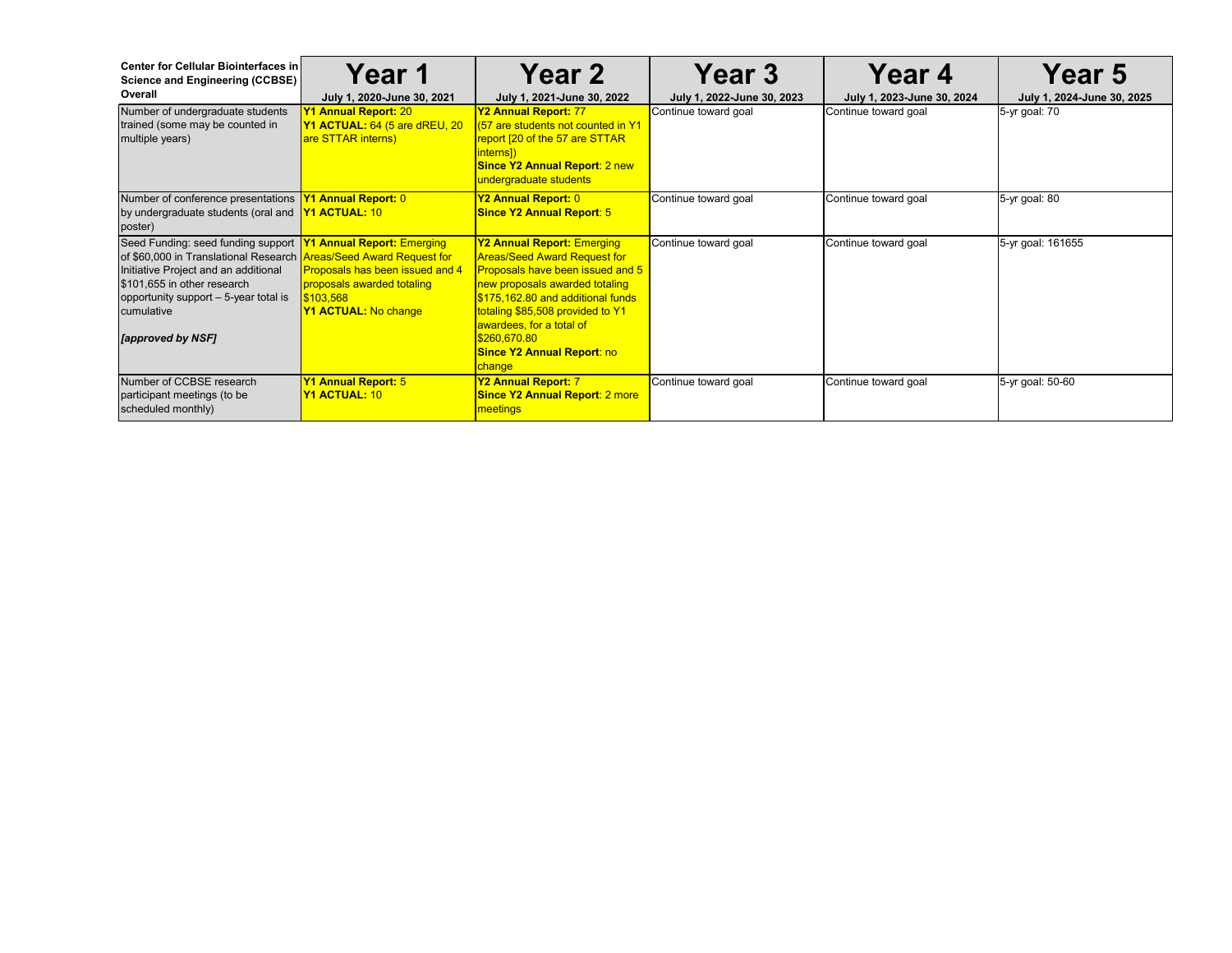| <b>Center for Cellular Biointerfaces in</b><br>Science and Engineering (CCBSE)<br>Overall                                                                                                                                                                   | <b>Year 1</b><br>July 1, 2020-June 30, 2021                                                                                                           | <b>Year 2</b><br>July 1, 2021-June 30, 2022                                                                                                                                                                                                                                                                        | <b>Year 3</b><br>July 1, 2022-June 30, 2023 | <b>Year 4</b><br>July 1, 2023-June 30, 2024 | <b>Year 5</b><br>July 1, 2024-June 30, 2025 |
|-------------------------------------------------------------------------------------------------------------------------------------------------------------------------------------------------------------------------------------------------------------|-------------------------------------------------------------------------------------------------------------------------------------------------------|--------------------------------------------------------------------------------------------------------------------------------------------------------------------------------------------------------------------------------------------------------------------------------------------------------------------|---------------------------------------------|---------------------------------------------|---------------------------------------------|
| Number of undergraduate students<br>trained (some may be counted in<br>multiple years)                                                                                                                                                                      | <b>Y1 Annual Report: 20</b><br>Y1 ACTUAL: 64 (5 are dREU, 20<br>are STTAR interns)                                                                    | Y2 Annual Report: 77<br>(57 are students not counted in Y1<br>report [20 of the 57 are STTAR<br>interns])<br><b>Since Y2 Annual Report: 2 new</b><br>undergraduate students                                                                                                                                        | Continue toward goal                        | Continue toward goal                        | 5-yr goal: 70                               |
| Number of conference presentations <b>Y1 Annual Report:</b> 0<br>by undergraduate students (oral and<br>poster)                                                                                                                                             | <b>Y1 ACTUAL: 10</b>                                                                                                                                  | Y2 Annual Report: 0<br><b>Since Y2 Annual Report: 5</b>                                                                                                                                                                                                                                                            | Continue toward goal                        | Continue toward goal                        | 5-yr goal: 80                               |
| Seed Funding: seed funding support<br>of \$60,000 in Translational Research Areas/Seed Award Request for<br>Initiative Project and an additional<br>\$101,655 in other research<br>opportunity support - 5-year total is<br>cumulative<br>[approved by NSF] | <b>Y1 Annual Report: Emerging</b><br><b>Proposals has been issued and 4</b><br>proposals awarded totaling<br>\$103,568<br><b>Y1 ACTUAL: No change</b> | <b>Y2 Annual Report: Emerging</b><br><b>Areas/Seed Award Request for</b><br>Proposals have been issued and 5<br>new proposals awarded totaling<br>\$175,162.80 and additional funds<br>totaling \$85,508 provided to Y1<br>awardees, for a total of<br>\$260,670.80<br><b>Since Y2 Annual Report: no</b><br>change | Continue toward goal                        | Continue toward goal                        | 5-yr goal: 161655                           |
| Number of CCBSE research<br>participant meetings (to be<br>scheduled monthly)                                                                                                                                                                               | <b>Y1 Annual Report: 5</b><br><b>Y1 ACTUAL: 10</b>                                                                                                    | Y2 Annual Report: 7<br><b>Since Y2 Annual Report: 2 more</b><br>meetings                                                                                                                                                                                                                                           | Continue toward goal                        | Continue toward goal                        | 5-yr goal: 50-60                            |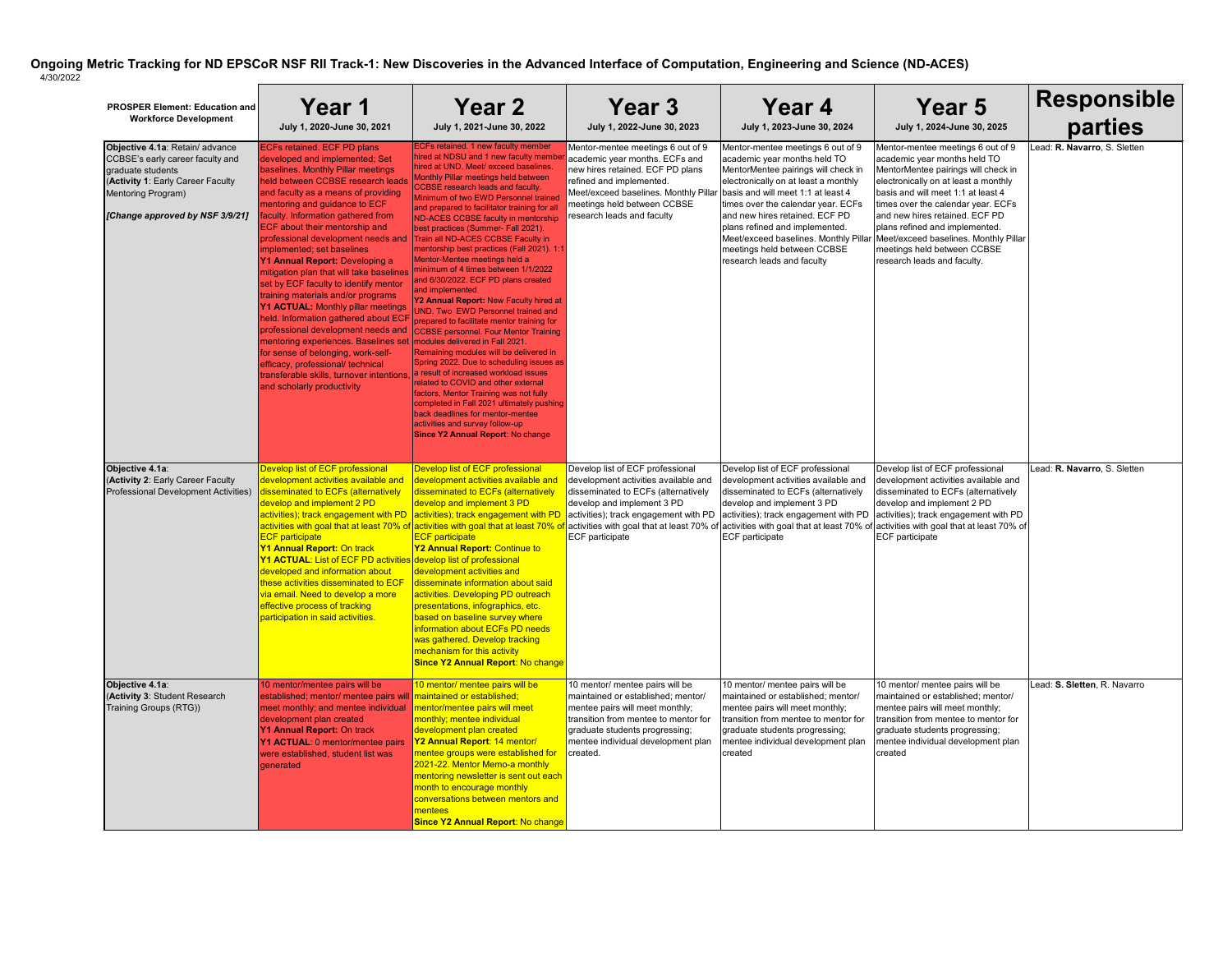| <b>PROSPER Element: Education and</b><br><b>Workforce Development</b>                                                                                                                  | <b>Year 1</b><br>July 1, 2020-June 30, 2021                                                                                                                                                                                                                                                                                                                                                                                                                                                                                                                                                                                                                                                                                                                                                                                                              | <b>Year 2</b><br>July 1, 2021-June 30, 2022                                                                                                                                                                                                                                                                                                                                                                                                                                                                                                                                                                                                                                                                                                                                                                                                                                                                                                                                                                                                                                                                                                                                                                         | <b>Year 3</b><br>July 1, 2022-June 30, 2023                                                                                                                                                                                               | Year 4<br>July 1, 2023-June 30, 2024                                                                                                                                                                                                                                                                                                                                                                   | Year 5<br>July 1, 2024-June 30, 2025                                                                                                                                                                                                                                                                                                                                                                    | <b>Responsible</b><br>parties |
|----------------------------------------------------------------------------------------------------------------------------------------------------------------------------------------|----------------------------------------------------------------------------------------------------------------------------------------------------------------------------------------------------------------------------------------------------------------------------------------------------------------------------------------------------------------------------------------------------------------------------------------------------------------------------------------------------------------------------------------------------------------------------------------------------------------------------------------------------------------------------------------------------------------------------------------------------------------------------------------------------------------------------------------------------------|---------------------------------------------------------------------------------------------------------------------------------------------------------------------------------------------------------------------------------------------------------------------------------------------------------------------------------------------------------------------------------------------------------------------------------------------------------------------------------------------------------------------------------------------------------------------------------------------------------------------------------------------------------------------------------------------------------------------------------------------------------------------------------------------------------------------------------------------------------------------------------------------------------------------------------------------------------------------------------------------------------------------------------------------------------------------------------------------------------------------------------------------------------------------------------------------------------------------|-------------------------------------------------------------------------------------------------------------------------------------------------------------------------------------------------------------------------------------------|--------------------------------------------------------------------------------------------------------------------------------------------------------------------------------------------------------------------------------------------------------------------------------------------------------------------------------------------------------------------------------------------------------|---------------------------------------------------------------------------------------------------------------------------------------------------------------------------------------------------------------------------------------------------------------------------------------------------------------------------------------------------------------------------------------------------------|-------------------------------|
| Objective 4.1a: Retain/ advance<br>CCBSE's early career faculty and<br>graduate students<br>(Activity 1: Early Career Faculty<br>Mentoring Program)<br>[Change approved by NSF 3/9/21] | <b>ECFs retained. ECF PD plans</b><br>developed and implemented; Set<br>baselines. Monthly Pillar meetings<br>held between CCBSE research leads<br>and faculty as a means of providing<br>mentoring and guidance to ECF<br>faculty. Information gathered from<br><b>ECF about their mentorship and</b><br>professional development needs and<br>implemented; set baselines<br>Y1 Annual Report: Developing a<br>mitigation plan that will take baselines<br>set by ECF faculty to identify mentor<br>training materials and/or programs<br>Y1 ACTUAL: Monthly pillar meetings<br>held. Information gathered about ECF<br>professional development needs and<br>mentoring experiences. Baselines set<br>for sense of belonging, work-self-<br>efficacy, professional/ technical<br>transferable skills, turnover intentions<br>and scholarly productivity | <b>ECFs retained. 1 new faculty member</b><br>hired at NDSU and 1 new faculty membe<br>hired at UND. Meet/ exceed baselines.<br>Monthly Pillar meetings held between<br><b>CCBSE</b> research leads and faculty.<br>Minimum of two EWD Personnel trained<br>and prepared to facilitator training for al<br>ND-ACES CCBSE faculty in mentorship<br>best practices (Summer- Fall 2021).<br>Train all ND-ACES CCBSE Faculty in<br>mentorship best practices (Fall 2021). 1:1<br>Mentor-Mentee meetings held a<br>minimum of 4 times between 1/1/2022<br>and 6/30/2022. ECF PD plans created<br>and implemented<br>Y2 Annual Report: New Faculty hired at<br><b>UND. Two EWD Personnel trained and</b><br>prepared to facilitate mentor training for<br><b>CCBSE personnel. Four Mentor Training</b><br>modules delivered in Fall 2021.<br>Remaining modules will be delivered in<br>Spring 2022. Due to scheduling issues as<br>a result of increased workload issues<br>related to COVID and other external<br>factors, Mentor Training was not fully<br>completed in Fall 2021 ultimately pushing<br>back deadlines for mentor-mentee<br>activities and survey follow-up<br><b>Since Y2 Annual Report: No change</b> | Mentor-mentee meetings 6 out of 9<br>academic year months. ECFs and<br>new hires retained. ECF PD plans<br>refined and implemented.<br>Meet/exceed baselines. Monthly Pillar<br>meetings held between CCBSE<br>research leads and faculty | Mentor-mentee meetings 6 out of 9<br>academic year months held TO<br>MentorMentee pairings will check in<br>electronically on at least a monthly<br>basis and will meet 1:1 at least 4<br>times over the calendar year. ECFs<br>and new hires retained. ECF PD<br>plans refined and implemented.<br>Meet/exceed baselines. Monthly Pillar<br>meetings held between CCBSE<br>research leads and faculty | Mentor-mentee meetings 6 out of 9<br>academic year months held TO<br>MentorMentee pairings will check in<br>electronically on at least a monthly<br>basis and will meet 1:1 at least 4<br>times over the calendar year. ECFs<br>and new hires retained. ECF PD<br>plans refined and implemented.<br>Meet/exceed baselines. Monthly Pillar<br>meetings held between CCBSE<br>research leads and faculty. | Lead: R. Navarro, S. Sletten  |
| Objective 4.1a:<br>(Activity 2: Early Career Faculty<br>Professional Development Activities)                                                                                           | Develop list of ECF professional<br>development activities available and<br>disseminated to ECFs (alternatively<br>develop and implement 2 PD<br>activities); track engagement with PD activities); track engagement with PD<br>activities with goal that at least 70% of activities with goal that at least 70% o<br><b>ECF</b> participate<br><b>Y1 Annual Report: On track</b><br><b>Y1 ACTUAL:</b> List of ECF PD activities develop list of professional<br>developed and information about<br>these activities disseminated to ECF<br>via email. Need to develop a more<br>effective process of tracking<br>participation in said activities.                                                                                                                                                                                                      | Develop list of ECF professional<br>development activities available and<br>disseminated to ECFs (alternatively<br>develop and implement 3 PD<br><b>ECF</b> participate<br>Y2 Annual Report: Continue to<br>development activities and<br>disseminate information about said<br>activities. Developing PD outreach<br>presentations, infographics, etc.<br>based on baseline survey where<br>information about ECFs PD needs<br>was gathered. Develop tracking<br>mechanism for this activity<br><b>Since Y2 Annual Report: No change</b>                                                                                                                                                                                                                                                                                                                                                                                                                                                                                                                                                                                                                                                                           | Develop list of ECF professional<br>development activities available and<br>disseminated to ECFs (alternatively<br>develop and implement 3 PD<br>activities); track engagement with PD<br><b>ECF</b> participate                          | Develop list of ECF professional<br>development activities available and<br>disseminated to ECFs (alternatively<br>develop and implement 3 PD<br>activities); track engagement with PD<br><b>ECF</b> participate                                                                                                                                                                                       | Develop list of ECF professional<br>development activities available and<br>disseminated to ECFs (alternatively<br>develop and implement 2 PD<br>activities); track engagement with PD<br>activities with goal that at least 70% of activities with goal that at least 70% of activities with goal that at least 70% of<br><b>ECF</b> participate                                                       | Lead: R. Navarro, S. Sletten  |
| Objective 4.1a:<br>(Activity 3: Student Research<br>Training Groups (RTG))                                                                                                             | 10 mentor/mentee pairs will be<br>established; mentor/ mentee pairs will maintained or established;<br>meet monthly; and mentee individual<br>development plan created<br>Y1 Annual Report: On track<br>Y1 ACTUAL: 0 mentor/mentee pairs<br>were established, student list was<br>generated                                                                                                                                                                                                                                                                                                                                                                                                                                                                                                                                                              | 10 mentor/ mentee pairs will be<br>mentor/mentee pairs will meet<br>monthly; mentee individual<br>development plan created<br>Y2 Annual Report: 14 mentor/<br>mentee groups were established for<br>2021-22. Mentor Memo-a monthly<br>mentoring newsletter is sent out each<br>month to encourage monthly<br>conversations between mentors and<br>mentees<br><b>Since Y2 Annual Report: No change</b>                                                                                                                                                                                                                                                                                                                                                                                                                                                                                                                                                                                                                                                                                                                                                                                                               | 10 mentor/ mentee pairs will be<br>maintained or established; mentor/<br>mentee pairs will meet monthly;<br>transition from mentee to mentor for<br>graduate students progressing;<br>mentee individual development plan<br>created.      | 10 mentor/ mentee pairs will be<br>maintained or established; mentor/<br>mentee pairs will meet monthly;<br>transition from mentee to mentor for<br>graduate students progressing;<br>nentee individual development plan<br>created                                                                                                                                                                    | 10 mentor/ mentee pairs will be<br>maintained or established; mentor/<br>mentee pairs will meet monthly;<br>transition from mentee to mentor for<br>graduate students progressing;<br>mentee individual development plan<br>created                                                                                                                                                                     | Lead: S. Sletten, R. Navarro  |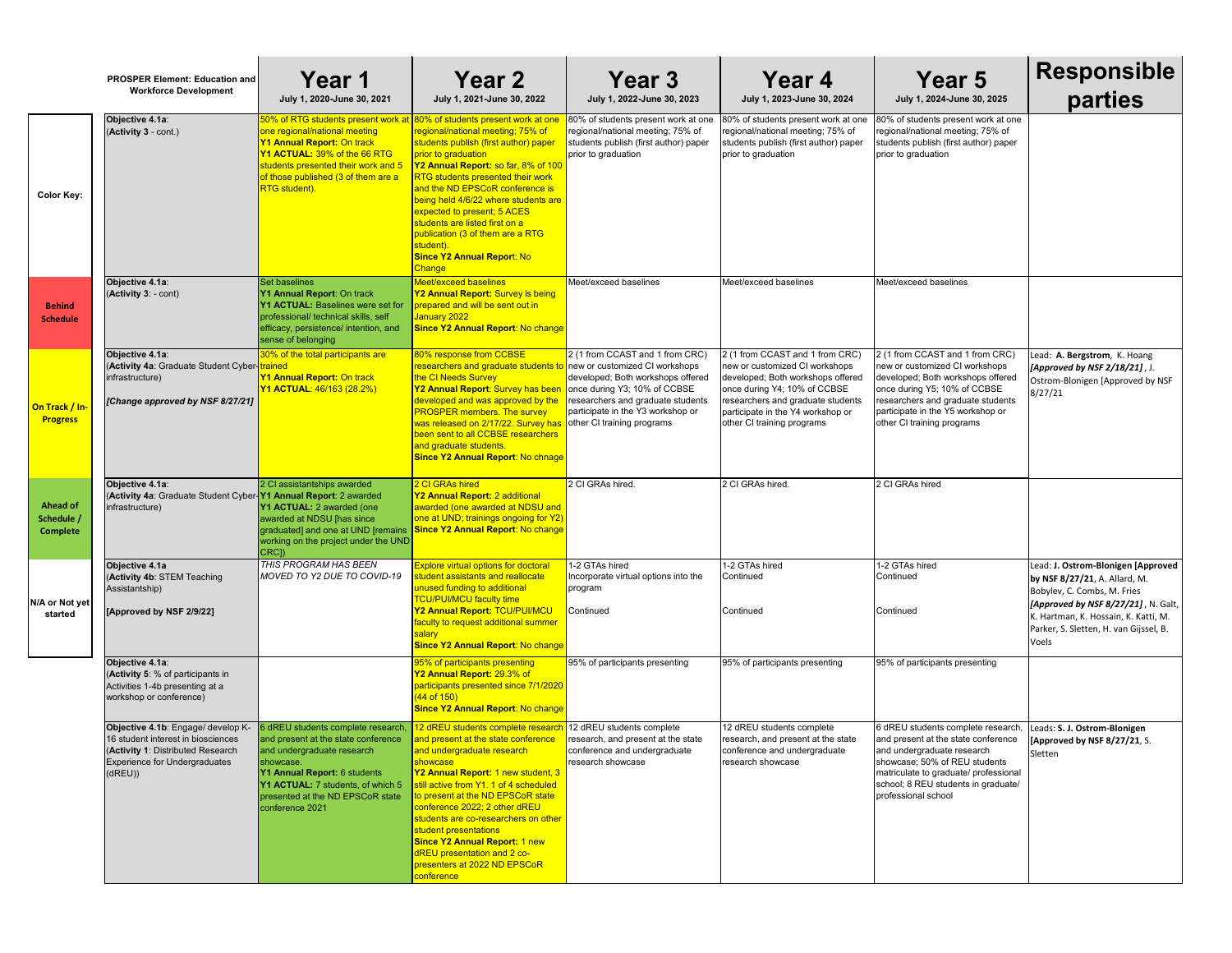|                                                  | <b>PROSPER Element: Education and</b><br><b>Workforce Development</b>                                                                                            | Year 1<br>July 1, 2020-June 30, 2021                                                                                                                                                                                                                                                       | <b>Year 2</b><br>July 1, 2021-June 30, 2022                                                                                                                                                                                                                                                                                                                                                                                                                             | Year 3<br>July 1, 2022-June 30, 2023                                                                                                                                                                         | Year 4<br>July 1, 2023-June 30, 2024                                                                                                                                                                                                           | <b>Year 5</b><br>July 1, 2024-June 30, 2025                                                                                                                                                                                                    |
|--------------------------------------------------|------------------------------------------------------------------------------------------------------------------------------------------------------------------|--------------------------------------------------------------------------------------------------------------------------------------------------------------------------------------------------------------------------------------------------------------------------------------------|-------------------------------------------------------------------------------------------------------------------------------------------------------------------------------------------------------------------------------------------------------------------------------------------------------------------------------------------------------------------------------------------------------------------------------------------------------------------------|--------------------------------------------------------------------------------------------------------------------------------------------------------------------------------------------------------------|------------------------------------------------------------------------------------------------------------------------------------------------------------------------------------------------------------------------------------------------|------------------------------------------------------------------------------------------------------------------------------------------------------------------------------------------------------------------------------------------------|
| <b>Color Key:</b>                                | Objective 4.1a:<br>(Activity 3 - cont.)                                                                                                                          | 50% of RTG students present work at <mark>I80% of students present work at one</mark><br>one regional/national meeting<br>Y1 Annual Report: On track<br>Y1 ACTUAL: 39% of the 66 RTG<br>students presented their work and 5<br>of those published (3 of them are a<br><b>RTG</b> student). | regional/national meeting; 75% of<br>students publish (first author) paper<br>prior to graduation<br>Y2 Annual Report: so far, 8% of 100<br><b>RTG</b> students presented their work<br>and the ND EPSCoR conference is<br>being held 4/6/22 where students are<br>expected to present; 5 ACES<br>students are listed first on a<br>publication (3 of them are a RTG<br>student).<br><b>Since Y2 Annual Report: No</b><br><b>Change</b>                                 | 80% of students present work at one<br>regional/national meeting; 75% of<br>students publish (first author) paper<br>prior to graduation                                                                     | 80% of students present work at one<br>regional/national meeting; 75% of<br>students publish (first author) paper<br>prior to graduation                                                                                                       | 80% of students present work at on<br>regional/national meeting; 75% of<br>students publish (first author) paper<br>prior to graduation                                                                                                        |
| <b>Behind</b><br><b>Schedule</b>                 | Objective 4.1a:<br>(Activity 3: - cont)                                                                                                                          | Set baselines<br>Y1 Annual Report: On track<br><b>Y1 ACTUAL: Baselines were set for</b><br>professional/ technical skills, self<br>efficacy, persistence/ intention, and<br>sense of belonging                                                                                             | <b>Meet/exceed baselines</b><br>Y2 Annual Report: Survey is being<br>prepared and will be sent out in<br>January 2022<br><b>Since Y2 Annual Report: No change</b>                                                                                                                                                                                                                                                                                                       | Meet/exceed baselines                                                                                                                                                                                        | Meet/exceed baselines                                                                                                                                                                                                                          | Meet/exceed baselines                                                                                                                                                                                                                          |
| On Track / In-<br><b>Progress</b>                | Objective 4.1a:<br>(Activity 4a: Graduate Student Cyber-trained<br>infrastructure)<br>[Change approved by NSF 8/27/21]                                           | 30% of the total participants are<br>Y1 Annual Report: On track<br>Y1 ACTUAL: 46/163 (28.2%)                                                                                                                                                                                               | 80% response from CCBSE<br><mark>researchers and graduate students to </mark> new or customized CI workshops<br>the CI Needs Survey<br>Y2 Annual Report: Survey has been<br>developed and was approved by the<br><b>PROSPER members. The survey</b><br>was released on 2/17/22. Survey has<br>been sent to all CCBSE researchers<br>and graduate students.<br><b>Since Y2 Annual Report: No chnage</b>                                                                  | 2 (1 from CCAST and 1 from CRC)<br>developed; Both workshops offered<br>once during Y3; 10% of CCBSE<br>researchers and graduate students<br>participate in the Y3 workshop or<br>other CI training programs | 2 (1 from CCAST and 1 from CRC)<br>new or customized CI workshops<br>developed; Both workshops offered<br>once during Y4; 10% of CCBSE<br>researchers and graduate students<br>participate in the Y4 workshop or<br>other CI training programs | 2 (1 from CCAST and 1 from CRC)<br>new or customized CI workshops<br>developed; Both workshops offered<br>once during Y5; 10% of CCBSE<br>researchers and graduate students<br>participate in the Y5 workshop or<br>other CI training programs |
| <b>Ahead of</b><br>Schedule /<br><b>Complete</b> | Objective 4.1a:<br>(Activity 4a: Graduate Student Cyber- <b>Y1 Annual Report</b> : 2 awarded<br>infrastructure)                                                  | 2 CI assistantships awarded<br>Y1 ACTUAL: 2 awarded (one<br>awarded at NDSU [has since<br>graduated] and one at UND [remains<br>working on the project under the UND<br>CRC])                                                                                                              | 2 CI GRAs hired<br>Y2 Annual Report: 2 additional<br>awarded (one awarded at NDSU and<br>one at UND; trainings ongoing for Y2)<br><b>Since Y2 Annual Report: No change</b>                                                                                                                                                                                                                                                                                              | 2 CI GRAs hired                                                                                                                                                                                              | 2 CI GRAs hired.                                                                                                                                                                                                                               | 2 CI GRAs hired                                                                                                                                                                                                                                |
| N/A or Not yet<br>started                        | Objective 4.1a<br>(Activity 4b: STEM Teaching<br>Assistantship)<br>[Approved by NSF 2/9/22]                                                                      | THIS PROGRAM HAS BEEN<br>MOVED TO Y2 DUE TO COVID-19                                                                                                                                                                                                                                       | <b>Explore virtual options for doctoral</b><br>student assistants and reallocate<br>unused funding to additional<br><b>TCU/PUI/MCU faculty time</b><br>Y2 Annual Report: TCU/PUI/MCU<br>faculty to request additional summer<br>salary<br><b>Since Y2 Annual Report: No change</b>                                                                                                                                                                                      | 1-2 GTAs hired<br>Incorporate virtual options into the<br>program<br>Continued                                                                                                                               | 1-2 GTAs hired<br>Continued<br>Continued                                                                                                                                                                                                       | 1-2 GTAs hired<br>Continued<br>Continued                                                                                                                                                                                                       |
|                                                  | Objective 4.1a:<br>(Activity 5: % of participants in<br>Activities 1-4b presenting at a<br>workshop or conference)                                               |                                                                                                                                                                                                                                                                                            | 95% of participants presenting<br>Y2 Annual Report: 29.3% of<br>participants presented since 7/1/2020<br>$(44$ of $150)$<br><b>Since Y2 Annual Report: No change</b>                                                                                                                                                                                                                                                                                                    | 95% of participants presenting                                                                                                                                                                               | 95% of participants presenting                                                                                                                                                                                                                 | 95% of participants presenting                                                                                                                                                                                                                 |
|                                                  | Objective 4.1b: Engage/ develop K-<br>16 student interest in biosciences<br>(Activity 1: Distributed Research<br><b>Experience for Undergraduates</b><br>(dREU)) | 6 dREU students complete research<br>and present at the state conference<br>and undergraduate research<br>showcase.<br>Y1 Annual Report: 6 students<br>Y1 ACTUAL: 7 students, of which 5<br>presented at the ND EPSCoR state<br>conference 2021                                            | 12 dREU students complete research<br>and present at the state conference<br>and undergraduate research<br>showcase<br>Y2 Annual Report: 1 new student, 3<br>still active from Y1. 1 of 4 scheduled<br>to present at the ND EPSCoR state<br>conference 2022; 2 other dREU<br><u>Istudents are co-researchers on other</u><br>student presentations<br><b>Since Y2 Annual Report: 1 new</b><br>dREU presentation and 2 co-<br>presenters at 2022 ND EPSCoR<br>conference | 12 dREU students complete<br>research, and present at the state<br>conference and undergraduate<br>research showcase                                                                                         | 12 dREU students complete<br>research, and present at the state<br>conference and undergraduate<br>research showcase                                                                                                                           | 6 dREU students complete researcl<br>and present at the state conference<br>and undergraduate research<br>showcase; 50% of REU students<br>matriculate to graduate/ professiona<br>school; 8 REU students in graduate<br>professional school   |

| )23                                                           | <b>Year 4</b><br>July 1, 2023-June 30, 2024                                                                                                                                                                                                    | <b>Year 5</b><br>July 1, 2024-June 30, 2025                                                                                                                                                                                                     | <b>Responsible</b><br>parties                                                                                                                                                                                                        |
|---------------------------------------------------------------|------------------------------------------------------------------------------------------------------------------------------------------------------------------------------------------------------------------------------------------------|-------------------------------------------------------------------------------------------------------------------------------------------------------------------------------------------------------------------------------------------------|--------------------------------------------------------------------------------------------------------------------------------------------------------------------------------------------------------------------------------------|
| at one<br>$\rlap{-}^\prime$ of<br>paper                       | 80% of students present work at one<br>regional/national meeting; 75% of<br>students publish (first author) paper<br>prior to graduation                                                                                                       | 80% of students present work at one<br>regional/national meeting; 75% of<br>students publish (first author) paper<br>prior to graduation                                                                                                        |                                                                                                                                                                                                                                      |
|                                                               | Meet/exceed baselines                                                                                                                                                                                                                          | Meet/exceed baselines                                                                                                                                                                                                                           |                                                                                                                                                                                                                                      |
| $\overline{\text{CRC}}$<br>pps<br>ffered<br>ìЕ<br>dents<br>or | 2 (1 from CCAST and 1 from CRC)<br>new or customized CI workshops<br>developed; Both workshops offered<br>once during Y4; 10% of CCBSE<br>researchers and graduate students<br>participate in the Y4 workshop or<br>other CI training programs | 2 (1 from CCAST and 1 from CRC)<br>new or customized CI workshops<br>developed; Both workshops offered<br>once during Y5; 10% of CCBSE<br>researchers and graduate students<br>participate in the Y5 workshop or<br>other CI training programs  | Lead: A. Bergstrom, K. Hoang<br>[Approved by NSF 2/18/21], J.<br>Ostrom-Blonigen [Approved by NSF<br>8/27/21                                                                                                                         |
|                                                               | 2 CI GRAs hired.                                                                                                                                                                                                                               | 2 CI GRAs hired                                                                                                                                                                                                                                 |                                                                                                                                                                                                                                      |
| the ا                                                         | 1-2 GTAs hired<br>Continued<br>Continued                                                                                                                                                                                                       | 1-2 GTAs hired<br>Continued<br>Continued                                                                                                                                                                                                        | Lead: J. Ostrom-Blonigen [Approved<br>by NSF 8/27/21, A. Allard, M.<br>Bobylev, C. Combs, M. Fries<br>[Approved by NSF 8/27/21], N. Galt,<br>K. Hartman, K. Hossain, K. Katti, M.<br>Parker, S. Sletten, H. van Gijssel, B.<br>Voels |
|                                                               | 95% of participants presenting                                                                                                                                                                                                                 | 95% of participants presenting                                                                                                                                                                                                                  |                                                                                                                                                                                                                                      |
| tate<br>е                                                     | 12 dREU students complete<br>research, and present at the state<br>conference and undergraduate<br>research showcase                                                                                                                           | 6 dREU students complete research,<br>and present at the state conference<br>and undergraduate research<br>showcase; 50% of REU students<br>matriculate to graduate/ professional<br>school; 8 REU students in graduate/<br>professional school | Leads: S. J. Ostrom-Blonigen<br>[Approved by NSF 8/27/21, S.<br>Sletten                                                                                                                                                              |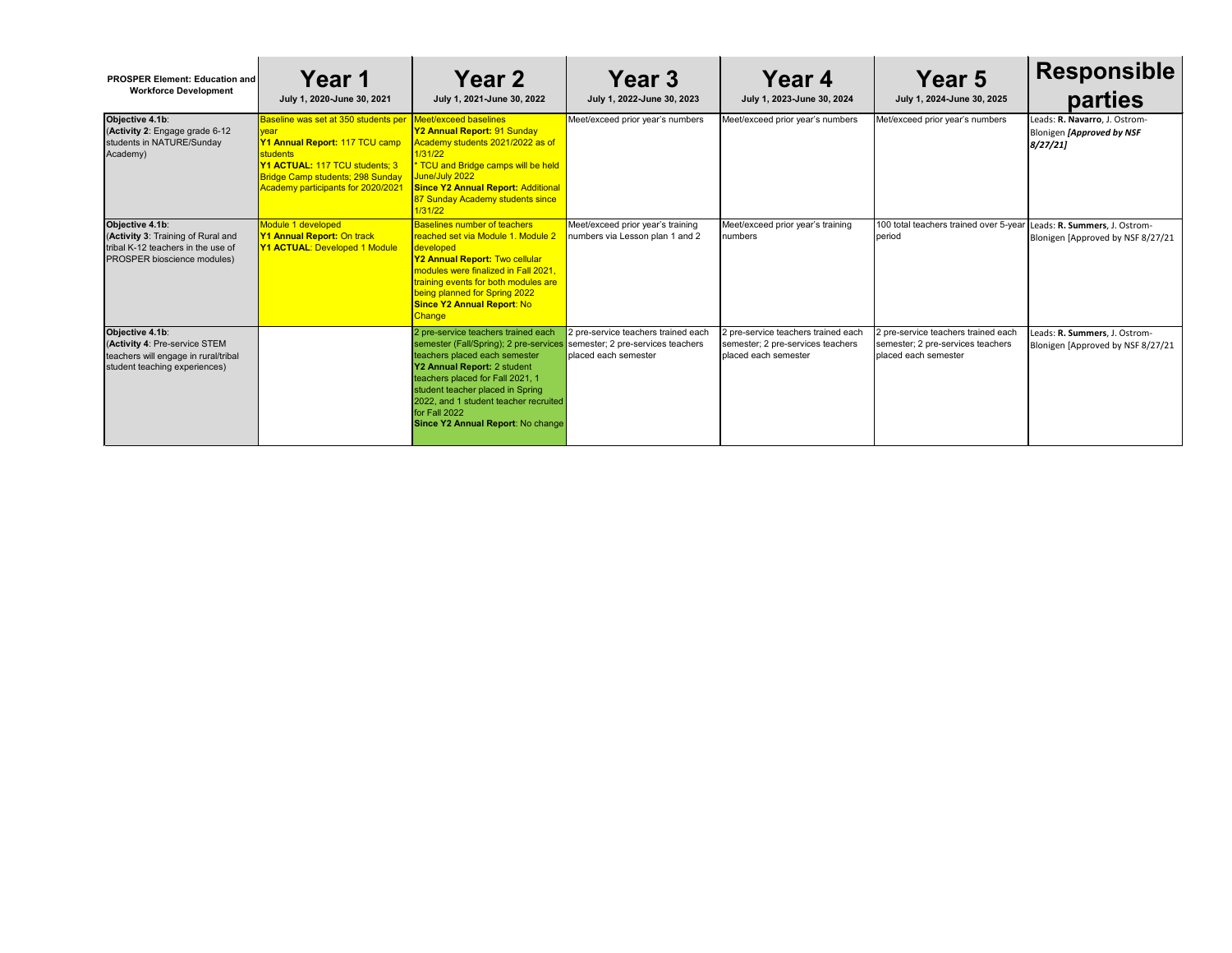| <b>PROSPER Element: Education and</b><br><b>Workforce Development</b>                                                      | Year 1<br>July 1, 2020-June 30, 2021                                                                                                                                                                                        | <b>Year 2</b><br>July 1, 2021-June 30, 2022                                                                                                                                                                                                                                                                          | Year 3<br>July 1, 2022-June 30, 2023                                                             | Year 4<br>July 1, 2023-June 30, 2024                                                              | Year 5<br>July 1, 2024-June 30, 2025                                                             | <b>Responsible</b><br>parties                                         |
|----------------------------------------------------------------------------------------------------------------------------|-----------------------------------------------------------------------------------------------------------------------------------------------------------------------------------------------------------------------------|----------------------------------------------------------------------------------------------------------------------------------------------------------------------------------------------------------------------------------------------------------------------------------------------------------------------|--------------------------------------------------------------------------------------------------|---------------------------------------------------------------------------------------------------|--------------------------------------------------------------------------------------------------|-----------------------------------------------------------------------|
| Objective 4.1b:<br>(Activity 2: Engage grade 6-12<br>students in NATURE/Sunday<br>Academy)                                 | Baseline was set at 350 students per<br><b>Vear</b><br>Y1 Annual Report: 117 TCU camp<br><b>students</b><br>Y1 ACTUAL: 117 TCU students; 3<br><b>Bridge Camp students; 298 Sunday</b><br>Academy participants for 2020/2021 | Meet/exceed baselines<br>Y2 Annual Report: 91 Sunday<br>Academy students 2021/2022 as of<br>1/31/22<br>TCU and Bridge camps will be held<br>June/July 2022<br><b>Since Y2 Annual Report: Additional</b><br>87 Sunday Academy students since<br>1/31/22                                                               | Meet/exceed prior year's numbers                                                                 | Meet/exceed prior year's numbers                                                                  | Met/exceed prior year's numbers                                                                  | Leads: R. Navarro, J. Ostrom-<br>Blonigen [Approved by NSF<br>8/27/21 |
| Objective 4.1b:<br>(Activity 3: Training of Rural and<br>tribal K-12 teachers in the use of<br>PROSPER bioscience modules) | Module 1 developed<br><b>Y1 Annual Report: On track</b><br><b>Y1 ACTUAL: Developed 1 Module</b>                                                                                                                             | <b>Baselines number of teachers</b><br>reached set via Module 1. Module 2<br>developed<br>Y2 Annual Report: Two cellular<br>nodules were finalized in Fall 2021,<br>raining events for both modules are<br>being planned for Spring 2022<br><b>Since Y2 Annual Report: No</b><br><b>Change</b>                       | Meet/exceed prior year's training<br>numbers via Lesson plan 1 and 2                             | Meet/exceed prior year's training<br>numbers                                                      | 100 total teachers trained over 5-year<br>period                                                 | Leads: R. Summers, J. Ostrom-<br>Blonigen [Approved by NSF 8/27/21    |
| Objective 4.1b:<br>(Activity 4: Pre-service STEM<br>teachers will engage in rural/tribal<br>student teaching experiences)  |                                                                                                                                                                                                                             | 2 pre-service teachers trained each<br>semester (Fall/Spring); 2 pre-services<br>teachers placed each semester<br>Y2 Annual Report: 2 student<br>teachers placed for Fall 2021, 1<br>student teacher placed in Spring<br>2022, and 1 student teacher recruited<br>for Fall 2022<br>Since Y2 Annual Report: No change | 2 pre-service teachers trained each<br>semester; 2 pre-services teachers<br>placed each semester | 2 pre-service teachers trained each<br>semester; 2 pre-services teachers<br>Iplaced each semester | 2 pre-service teachers trained each<br>semester; 2 pre-services teachers<br>placed each semester | Leads: R. Summers, J. Ostrom-<br>Blonigen [Approved by NSF 8/27/21    |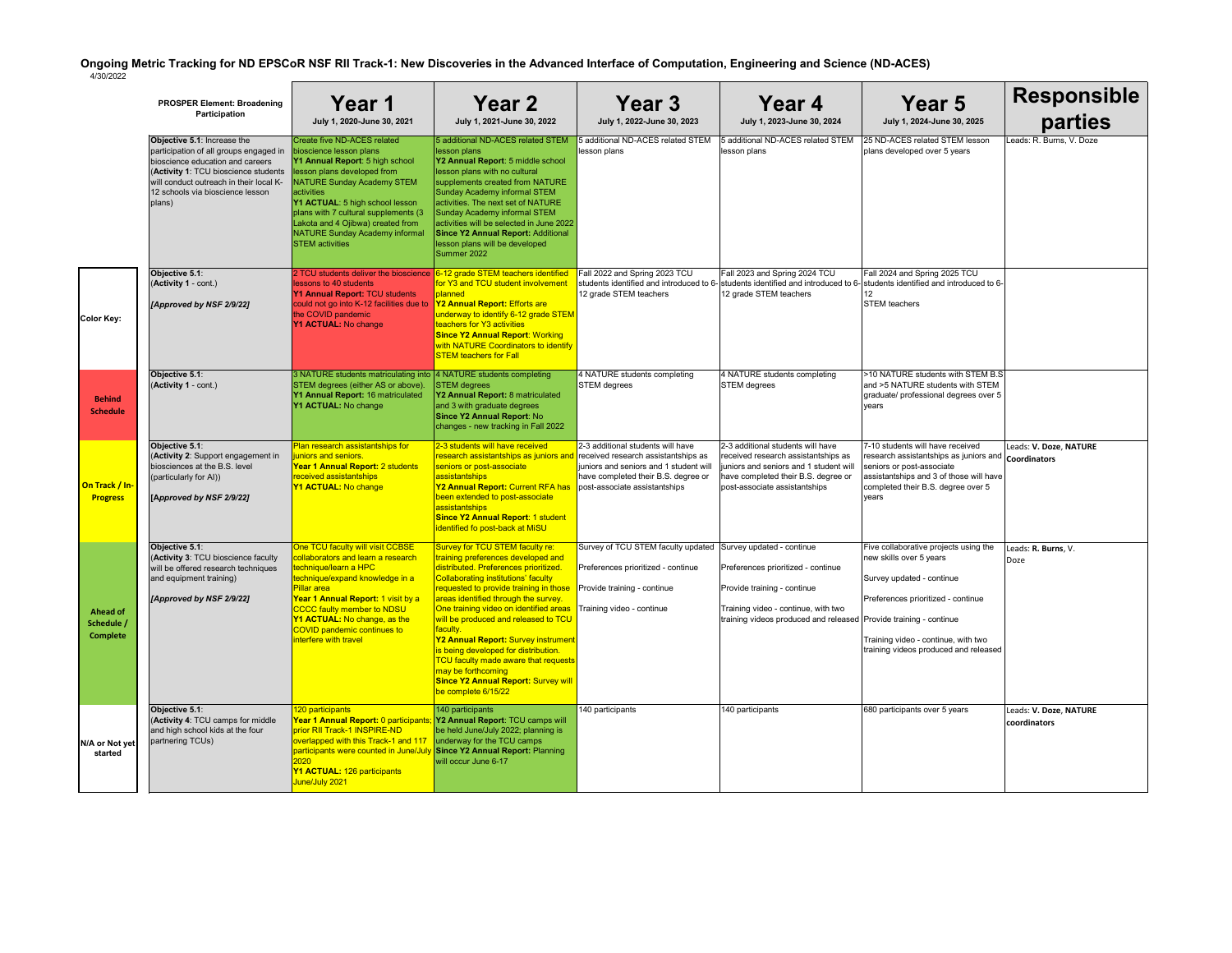|                                                  | <b>PROSPER Element: Broadening</b><br>Participation                                                                                                                                                                                        | Year 1<br>July 1, 2020-June 30, 2021                                                                                                                                                                                                                                                                                                                    | <b>Year 2</b><br>July 1, 2021-June 30, 2022                                                                                                                                                                                                                                                                                                                                                                                                                                                                                                                           | <b>Year 3</b><br>July 1, 2022-June 30, 2023                                                                                                         |                                               |
|--------------------------------------------------|--------------------------------------------------------------------------------------------------------------------------------------------------------------------------------------------------------------------------------------------|---------------------------------------------------------------------------------------------------------------------------------------------------------------------------------------------------------------------------------------------------------------------------------------------------------------------------------------------------------|-----------------------------------------------------------------------------------------------------------------------------------------------------------------------------------------------------------------------------------------------------------------------------------------------------------------------------------------------------------------------------------------------------------------------------------------------------------------------------------------------------------------------------------------------------------------------|-----------------------------------------------------------------------------------------------------------------------------------------------------|-----------------------------------------------|
|                                                  | Objective 5.1: Increase the<br>participation of all groups engaged in<br>bioscience education and careers<br>(Activity 1: TCU bioscience students<br>will conduct outreach in their local K-<br>12 schools via bioscience lesson<br>plans) | Create five ND-ACES related<br>bioscience lesson plans<br>Y1 Annual Report: 5 high school<br>lesson plans developed from<br>NATURE Sunday Academy STEM<br>activities<br>Y1 ACTUAL: 5 high school lesson<br>plans with 7 cultural supplements (3<br>Lakota and 4 Ojibwa) created from<br><b>NATURE Sunday Academy informal</b><br><b>STEM</b> activities | 5 additional ND-ACES related STEM<br>lesson plans<br>Y2 Annual Report: 5 middle school<br>lesson plans with no cultural<br>supplements created from NATURE<br>Sunday Academy informal STEM<br>activities. The next set of NATURE<br><b>Sunday Academy informal STEM</b><br>activities will be selected in June 2022<br><b>Since Y2 Annual Report: Additional</b><br>lesson plans will be developed<br>Summer 2022                                                                                                                                                     | 5 additional ND-ACES related STEM<br>lesson plans                                                                                                   | 5 add<br>lesso                                |
| <b>Color Key:</b>                                | Objective 5.1:<br>(Activity 1 - cont.)<br>[Approved by NSF 2/9/22]                                                                                                                                                                         | 2 TCU students deliver the bioscience<br>lessons to 40 students<br>Y1 Annual Report: TCU students<br>could not go into K-12 facilities due to<br>the COVID pandemic<br>Y1 ACTUAL: No change                                                                                                                                                             | 6-12 grade STEM teachers identified<br>for Y3 and TCU student involvement<br>planned<br>Y2 Annual Report: Efforts are<br>underway to identify 6-12 grade STEM<br>teachers for Y3 activities<br><b>Since Y2 Annual Report: Working</b><br>with NATURE Coordinators to identify<br><b>STEM teachers for Fall</b>                                                                                                                                                                                                                                                        | Fall 2022 and Spring 2023 TCU<br>students identified and introduced to 6- stude<br>12 grade STEM teachers                                           | Fall 2<br>$12$ gra                            |
| <b>Behind</b><br><b>Schedule</b>                 | Objective 5.1:<br>(Activity 1 - cont.)                                                                                                                                                                                                     | 3 NATURE students matriculating into<br>STEM degrees (either AS or above).<br>Y1 Annual Report: 16 matriculated<br>Y1 ACTUAL: No change                                                                                                                                                                                                                 | 4 NATURE students completing<br><b>STEM</b> degrees<br>Y2 Annual Report: 8 matriculated<br>and 3 with graduate degrees<br>Since Y2 Annual Report: No<br>changes - new tracking in Fall 2022                                                                                                                                                                                                                                                                                                                                                                           | 4 NATURE students completing<br><b>STEM</b> degrees                                                                                                 | 4 <sub>NA</sub><br><b>STEM</b>                |
| On Track / In-<br><b>Progress</b>                | <b>Objective 5.1:</b><br>(Activity 2: Support engagement in<br>biosciences at the B.S. level<br>(particularly for AI))<br>[Approved by NSF 2/9/22]                                                                                         | Plan research assistantships for<br>juniors and seniors.<br>Year 1 Annual Report: 2 students<br>received assistantships<br>Y1 ACTUAL: No change                                                                                                                                                                                                         | 2-3 students will have received<br><mark>research assistantships as juniors and ∣</mark> received research assistantships as<br>seniors or post-associate<br>assistantships<br>Y2 Annual Report: Current RFA has<br>been extended to post-associate<br>assistantships<br><b>Since Y2 Annual Report: 1 student</b><br>identified fo post-back at MiSU                                                                                                                                                                                                                  | 2-3 additional students will have<br>juniors and seniors and 1 student will<br>have completed their B.S. degree or<br>post-associate assistantships | $2-3$ a<br>receiv<br>junior<br>have<br>post-a |
| <b>Ahead of</b><br>Schedule /<br><b>Complete</b> | Objective 5.1:<br>(Activity 3: TCU bioscience faculty<br>will be offered research techniques<br>and equipment training)<br>[Approved by NSF 2/9/22]                                                                                        | One TCU faculty will visit CCBSE<br>collaborators and learn a research<br>technique/learn a HPC<br>technique/expand knowledge in a<br><b>Pillar area</b><br>Year 1 Annual Report: 1 visit by a<br><b>CCCC faulty member to NDSU</b><br>Y1 ACTUAL: No change, as the<br><b>COVID pandemic continues to</b><br>interfere with travel                      | Survey for TCU STEM faculty re:<br>training preferences developed and<br>distributed. Preferences prioritized.<br><b>Collaborating institutions' faculty</b><br>requested to provide training in those<br>areas identified through the survey.<br>One training video on identified areas<br>will be produced and released to TCU<br>faculty.<br>Y2 Annual Report: Survey instrument<br>is being developed for distribution.<br><b>TCU faculty made aware that requests</b><br>may be forthcoming<br><b>Since Y2 Annual Report: Survey will</b><br>be complete 6/15/22 | Survey of TCU STEM faculty updated<br>Preferences prioritized - continue<br>Provide training - continue<br>Training video - continue                | Surve<br>Prefe<br>Provi<br>Traini<br>trainir  |
| N/A or Not yet<br>started                        | Objective 5.1:<br>(Activity 4: TCU camps for middle<br>and high school kids at the four<br>partnering TCUs)                                                                                                                                | 120 participants<br>Year 1 Annual Report: 0 participants;<br>prior RII Track-1 INSPIRE-ND<br>overlapped with this Track-1 and 117<br>participants were counted in June/July<br>2020<br>Y1 ACTUAL: 126 participants<br>June/July 2021                                                                                                                    | 140 participants<br>Y2 Annual Report: TCU camps will<br>be held June/July 2022; planning is<br>underway for the TCU camps<br><b>Since Y2 Annual Report: Planning</b><br>will occur June 6-17                                                                                                                                                                                                                                                                                                                                                                          | 140 participants                                                                                                                                    | 140 p                                         |

| Year 3<br>July 1, 2022-June 30, 2023                                                                                                                                                       | Year 4<br>July 1, 2023-June 30, 2024                                                                                                                                                       | <b>Year 5</b><br>July 1, 2024-June 30, 2025                                                                                                                                                                           | <b>Responsible</b><br>parties          |
|--------------------------------------------------------------------------------------------------------------------------------------------------------------------------------------------|--------------------------------------------------------------------------------------------------------------------------------------------------------------------------------------------|-----------------------------------------------------------------------------------------------------------------------------------------------------------------------------------------------------------------------|----------------------------------------|
| 5 additional ND-ACES related STEM<br>lesson plans                                                                                                                                          | 5 additional ND-ACES related STEM<br>lesson plans                                                                                                                                          | 25 ND-ACES related STEM lesson<br>plans developed over 5 years                                                                                                                                                        | Leads: R. Burns, V. Doze               |
| Fall 2022 and Spring 2023 TCU<br>12 grade STEM teachers                                                                                                                                    | Fall 2023 and Spring 2024 TCU<br>students identified and introduced to 6- students identified and introduced to 6-<br>12 grade STEM teachers                                               | Fall 2024 and Spring 2025 TCU<br>students identified and introduced to 6-<br>12<br><b>STEM</b> teachers                                                                                                               |                                        |
| 4 NATURE students completing<br><b>STEM</b> degrees                                                                                                                                        | 4 NATURE students completing<br><b>STEM</b> degrees                                                                                                                                        | >10 NATURE students with STEM B.S<br>and >5 NATURE students with STEM<br>graduate/ professional degrees over 5<br>vears                                                                                               |                                        |
| 2-3 additional students will have<br>received research assistantships as<br>juniors and seniors and 1 student will<br>have completed their B.S. degree or<br>post-associate assistantships | 2-3 additional students will have<br>received research assistantships as<br>juniors and seniors and 1 student will<br>have completed their B.S. degree or<br>post-associate assistantships | 7-10 students will have received<br>research assistantships as juniors and <b>Coordinators</b><br>seniors or post-associate<br>assistantships and 3 of those will have<br>completed their B.S. degree over 5<br>years | Leads: V. Doze, NATURE                 |
| Survey of TCU STEM faculty updated                                                                                                                                                         | Survey updated - continue                                                                                                                                                                  | Five collaborative projects using the<br>new skills over 5 years                                                                                                                                                      | Leads: R. Burns, V.                    |
| Preferences prioritized - continue                                                                                                                                                         | Preferences prioritized - continue                                                                                                                                                         | Survey updated - continue                                                                                                                                                                                             | Doze                                   |
| Provide training - continue                                                                                                                                                                | Provide training - continue                                                                                                                                                                | Preferences prioritized - continue                                                                                                                                                                                    |                                        |
| Training video - continue                                                                                                                                                                  | Training video - continue, with two<br>training videos produced and released Provide training - continue                                                                                   | Training video - continue, with two<br>training videos produced and released                                                                                                                                          |                                        |
| 140 participants                                                                                                                                                                           | 140 participants                                                                                                                                                                           | 680 participants over 5 years                                                                                                                                                                                         | Leads: V. Doze, NATURE<br>coordinators |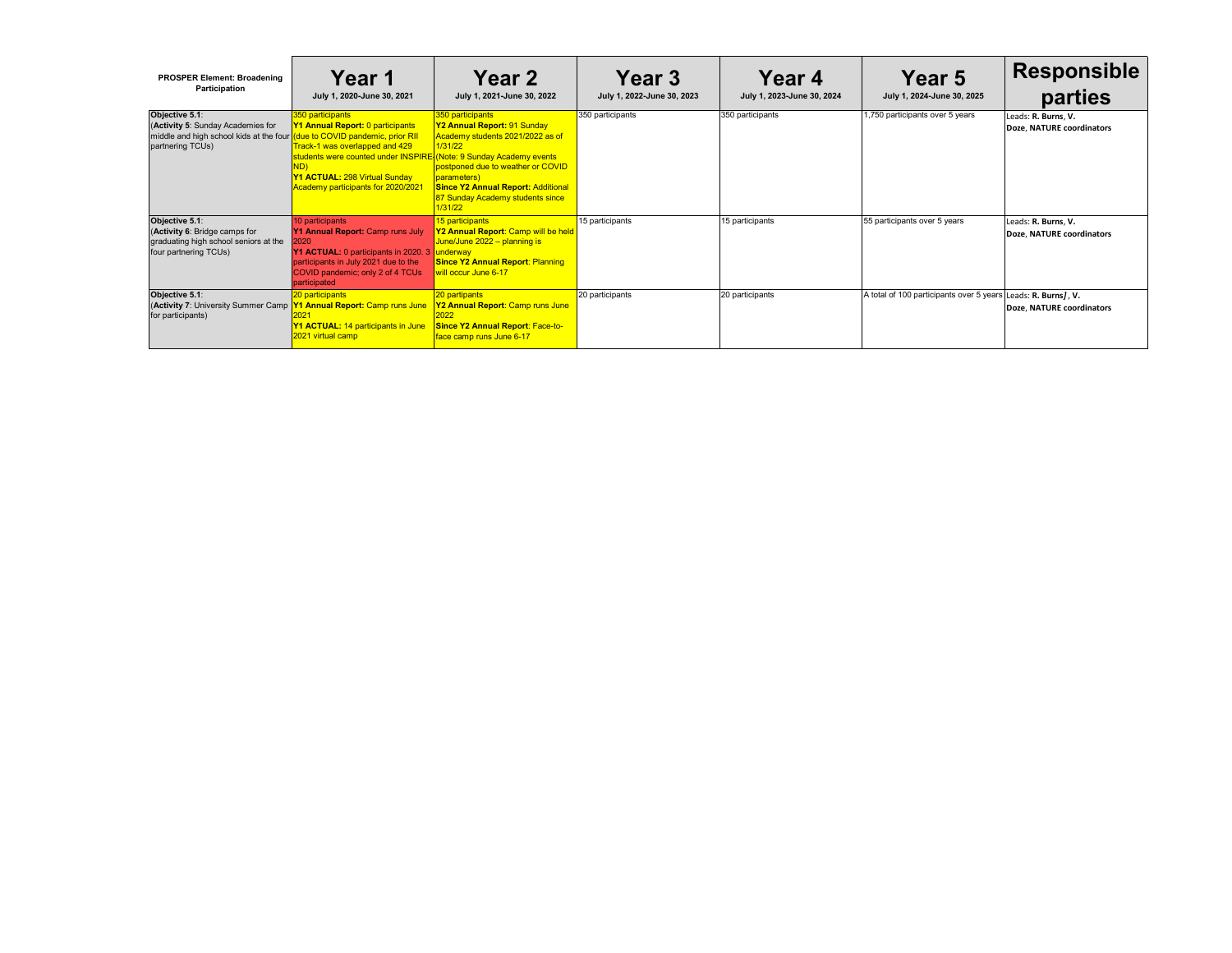| <b>PROSPER Element: Broadening</b><br>Participation                                                                                                  | <b>Year 1</b><br>July 1, 2020-June 30, 2021                                                                                                                                                                                         | <b>Year 2</b><br>July 1, 2021-June 30, 2022                                                                                                                                                                                                           | Year 3<br>July 1, 2022-June 30, 2023 | <b>Year 4</b><br>July 1, 2023-June 30, 2024 | Year 5<br>July 1, 2024-June 30, 2025     | <b>Responsible</b><br>parties                     |
|------------------------------------------------------------------------------------------------------------------------------------------------------|-------------------------------------------------------------------------------------------------------------------------------------------------------------------------------------------------------------------------------------|-------------------------------------------------------------------------------------------------------------------------------------------------------------------------------------------------------------------------------------------------------|--------------------------------------|---------------------------------------------|------------------------------------------|---------------------------------------------------|
| Objective 5.1:<br>(Activity 5: Sunday Academies for<br>middle and high school kids at the four (due to COVID pandemic, prior RII<br>partnering TCUs) | 350 participants<br>Y1 Annual Report: 0 participants<br>Track-1 was overlapped and 429<br>students were counted under INSPIRE (Note: 9 Sunday Academy events<br>Y1 ACTUAL: 298 Virtual Sunday<br>Academy participants for 2020/2021 | 350 participants<br><b>Y2 Annual Report: 91 Sunday</b><br>Academy students 2021/2022 as of<br>1/31/22<br>postponed due to weather or COVID<br>parameters)<br><b>Since Y2 Annual Report: Additional</b><br>87 Sunday Academy students since<br>1/31/22 | 350 participants                     | 350 participants                            | 1,750 participants over 5 years          | Leads: R. Burns, V.<br>Doze, NATURE coordinators  |
| Objective 5.1:<br>(Activity 6: Bridge camps for<br>graduating high school seniors at the<br>four partnering TCUs)                                    | 10 participants<br>Y1 Annual Report: Camp runs July<br>2020<br>Y1 ACTUAL: 0 participants in 2020. 3<br>participants in July 2021 due to the<br>COVID pandemic; only 2 of 4 TCUs<br>participated                                     | 15 participants<br>Y2 Annual Report: Camp will be held<br>June/June 2022 - planning is<br>underway<br><b>Since Y2 Annual Report: Planning</b><br>will occur June 6-17                                                                                 | 15 participants                      | 15 participants                             | 55 participants over 5 years             | Leads: R. Burns, V.<br>Doze, NATURE coordinators  |
| Objective 5.1:<br>(Activity 7: University Summer Camp<br>for participants)                                                                           | 20 participants<br><b>Y1 Annual Report: Camp runs June</b><br>Y1 ACTUAL: 14 participants in June<br>2021 virtual camp                                                                                                               | 20 partipants<br><b>Y2 Annual Report</b> : Camp runs June<br><b>Since Y2 Annual Report: Face-to-</b><br>face camp runs June 6-17                                                                                                                      | 20 participants                      | 20 participants                             | A total of 100 participants over 5 years | Leads: R. Burns], V.<br>Doze, NATURE coordinators |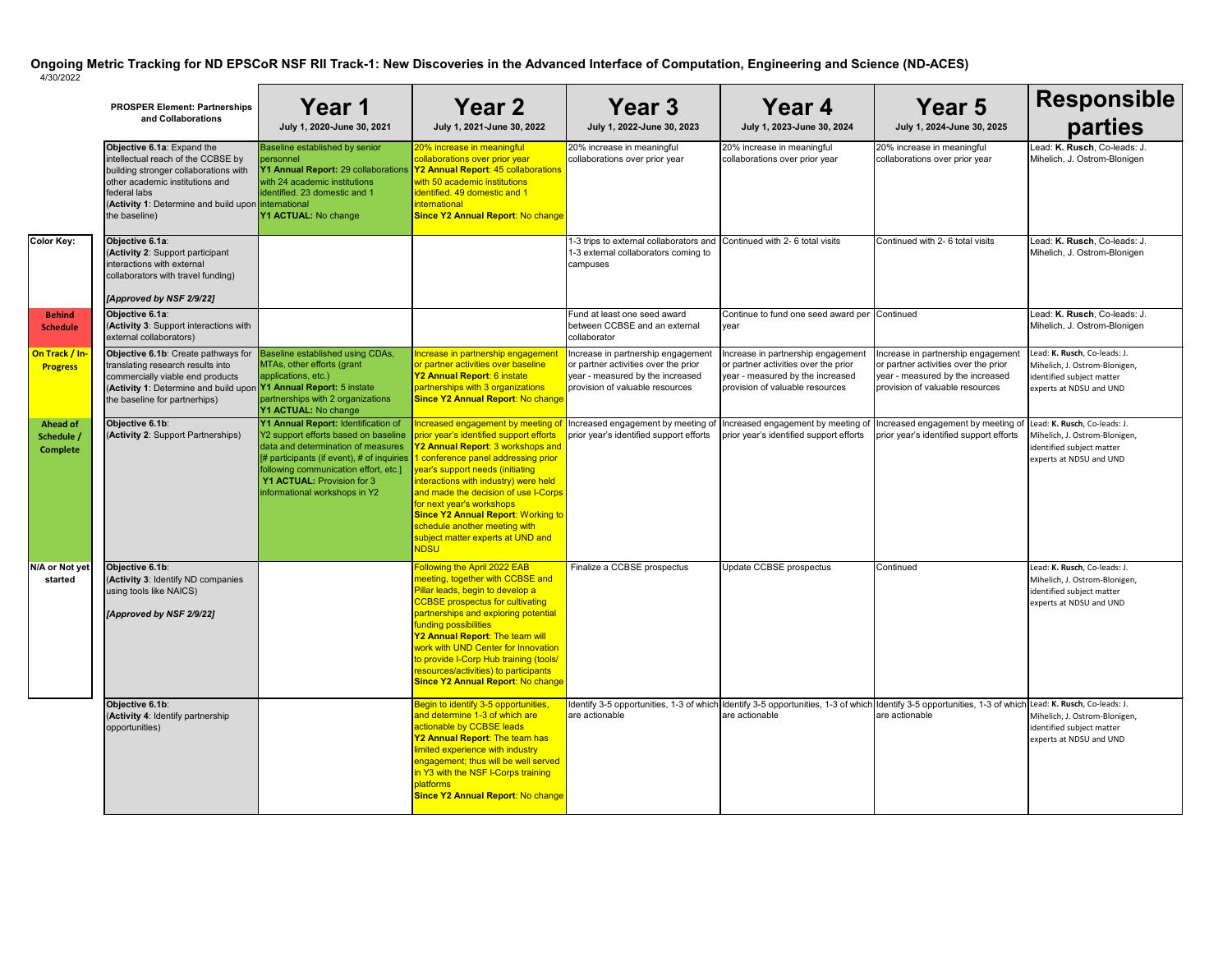|                                                  | <b>PROSPER Element: Partnerships</b><br>and Collaborations                                                                                                                                                                           | Year 1<br>July 1, 2020-June 30, 2021                                                                                                                                                                                                                                                             | <b>Year 2</b><br>July 1, 2021-June 30, 2022                                                                                                                                                                                                                                                                                                                                                                                                       | Year 3<br>July 1, 2022-June 30, 2023                                                                                                              | Year 4<br>July 1, 2023-June 30, 2024                                                                                                             | Year 5<br>July 1, 2024-June 30, 2025                                                                                                                                      | <b>Responsible</b><br>parties                                                                                         |
|--------------------------------------------------|--------------------------------------------------------------------------------------------------------------------------------------------------------------------------------------------------------------------------------------|--------------------------------------------------------------------------------------------------------------------------------------------------------------------------------------------------------------------------------------------------------------------------------------------------|---------------------------------------------------------------------------------------------------------------------------------------------------------------------------------------------------------------------------------------------------------------------------------------------------------------------------------------------------------------------------------------------------------------------------------------------------|---------------------------------------------------------------------------------------------------------------------------------------------------|--------------------------------------------------------------------------------------------------------------------------------------------------|---------------------------------------------------------------------------------------------------------------------------------------------------------------------------|-----------------------------------------------------------------------------------------------------------------------|
|                                                  | Objective 6.1a: Expand the<br>intellectual reach of the CCBSE by<br>building stronger collaborations with<br>other academic institutions and<br>federal labs<br>(Activity 1: Determine and build upon international<br>the baseline) | Baseline established by senior<br>personnel<br><b>Y1 Annual Report:</b> 29 collaborations <b>Y2 Annual Report: 45 collaborations</b><br>with 24 academic institutions<br>identified. 23 domestic and 1<br>Y1 ACTUAL: No change                                                                   | 20% increase in meaningful<br>collaborations over prior year<br>with 50 academic institutions<br>lidentified. 49 domestic and 1<br>international<br><b>Since Y2 Annual Report: No change</b>                                                                                                                                                                                                                                                      | 20% increase in meaningful<br>collaborations over prior year                                                                                      | 20% increase in meaningful<br>collaborations over prior year                                                                                     | 20% increase in meaningful<br>collaborations over prior year                                                                                                              | Lead: K. Rusch, Co-leads: J.<br>Mihelich, J. Ostrom-Blonigen                                                          |
| <b>Color Key:</b>                                | Objective 6.1a:<br>(Activity 2: Support participant<br>interactions with external<br>collaborators with travel funding)<br>[Approved by NSF 2/9/22]                                                                                  |                                                                                                                                                                                                                                                                                                  |                                                                                                                                                                                                                                                                                                                                                                                                                                                   | 1-3 trips to external collaborators and Continued with 2-6 total visits<br>1-3 external collaborators coming to<br>campuses                       |                                                                                                                                                  | Continued with 2- 6 total visits                                                                                                                                          | Lead: K. Rusch, Co-leads: J.<br>Mihelich, J. Ostrom-Blonigen                                                          |
| <b>Behind</b><br><b>Schedule</b>                 | Objective 6.1a:<br>(Activity 3: Support interactions with<br>external collaborators)                                                                                                                                                 |                                                                                                                                                                                                                                                                                                  |                                                                                                                                                                                                                                                                                                                                                                                                                                                   | Fund at least one seed award<br>between CCBSE and an external<br>collaborator                                                                     | Continue to fund one seed award per Continued<br>year                                                                                            |                                                                                                                                                                           | Lead: K. Rusch, Co-leads: J.<br>Mihelich, J. Ostrom-Blonigen                                                          |
| On Track / In-<br><b>Progress</b>                | Objective 6.1b: Create pathways for<br>translating research results into<br>commercially viable end products<br>(Activity 1: Determine and build upon Y1 Annual Report: 5 instate<br>the baseline for partnerhips)                   | Baseline established using CDAs,<br>MTAs, other efforts (grant<br>applications, etc.)<br>partnerships with 2 organizations<br>Y1 ACTUAL: No change                                                                                                                                               | Increase in partnership engagemen<br>or partner activities over baseline<br>Y2 Annual Report: 6 instate<br>partnerships with 3 organizations<br><b>Since Y2 Annual Report: No change</b>                                                                                                                                                                                                                                                          | Increase in partnership engagement<br>or partner activities over the prior<br>year - measured by the increased<br>provision of valuable resources | Increase in partnership engagemen<br>or partner activities over the prior<br>year - measured by the increased<br>provision of valuable resources | Increase in partnership engagement<br>or partner activities over the prior<br>year - measured by the increased<br>provision of valuable resources                         | Lead: K. Rusch, Co-leads: J.<br>Mihelich, J. Ostrom-Blonigen,<br>identified subject matter<br>experts at NDSU and UND |
| <b>Ahead of</b><br>Schedule /<br><b>Complete</b> | Objective 6.1b:<br>(Activity 2: Support Partnerships)                                                                                                                                                                                | Y1 Annual Report: Identification of<br>Y2 support efforts based on baseline<br>data and determination of measures<br>$\frac{1}{4}$ participants (if event), # of inquiries $\frac{1}{4}$<br>following communication effort, etc.]<br>Y1 ACTUAL: Provision for 3<br>informational workshops in Y2 | <u> Increased engagement by meeting </u><br>prior year's identified support efforts<br>Y2 Annual Report: 3 workshops and<br>conference panel addressing prior<br>year's support needs (initiating<br>interactions with industry) were held<br>and made the decision of use I-Corps<br>for next year's workshops<br><b>Since Y2 Annual Report: Working to</b><br>schedule another meeting with<br>subject matter experts at UND and<br><b>NDSU</b> | Increased engagement by meeting o<br>prior year's identified support efforts                                                                      | Increased engagement by meeting o<br>prior year's identified support efforts                                                                     | Increased engagement by meeting of<br>prior year's identified support efforts                                                                                             | Lead: K. Rusch, Co-leads: J.<br>Mihelich, J. Ostrom-Blonigen,<br>identified subject matter<br>experts at NDSU and UND |
| N/A or Not yet<br>started                        | Objective 6.1b:<br>(Activity 3: Identify ND companies<br>using tools like NAICS)<br>[Approved by NSF 2/9/22]                                                                                                                         |                                                                                                                                                                                                                                                                                                  | Following the April 2022 EAB<br>meeting, together with CCBSE and<br>Pillar leads, begin to develop a<br><b>CCBSE</b> prospectus for cultivating<br>partnerships and exploring potential<br>funding possibilities<br><b>Y2 Annual Report: The team will</b><br>work with UND Center for Innovation<br>to provide I-Corp Hub training (tools/<br>resources/activities) to participants<br><b>Since Y2 Annual Report: No change</b>                  | Finalize a CCBSE prospectus                                                                                                                       | Update CCBSE prospectus                                                                                                                          | Continued                                                                                                                                                                 | Lead: K. Rusch, Co-leads: J.<br>Mihelich, J. Ostrom-Blonigen,<br>identified subject matter<br>experts at NDSU and UND |
|                                                  | Objective 6.1b:<br>(Activity 4: Identify partnership<br>opportunities)                                                                                                                                                               |                                                                                                                                                                                                                                                                                                  | Begin to identify 3-5 opportunities,<br>and determine 1-3 of which are<br>actionable by CCBSE leads<br>Y2 Annual Report: The team has<br>limited experience with industry<br>engagement; thus will be well served<br>in Y3 with the NSF I-Corps training<br>platforms<br><b>Since Y2 Annual Report: No change</b>                                                                                                                                 | are actionable                                                                                                                                    | are actionable                                                                                                                                   | Identify 3-5 opportunities, 1-3 of which Identify 3-5 opportunities, 1-3 of which Identify 3-5 opportunities, 1-3 of which Lead: K. Rusch, Co-leads: J.<br>are actionable | Mihelich, J. Ostrom-Blonigen,<br>identified subject matter<br>experts at NDSU and UND                                 |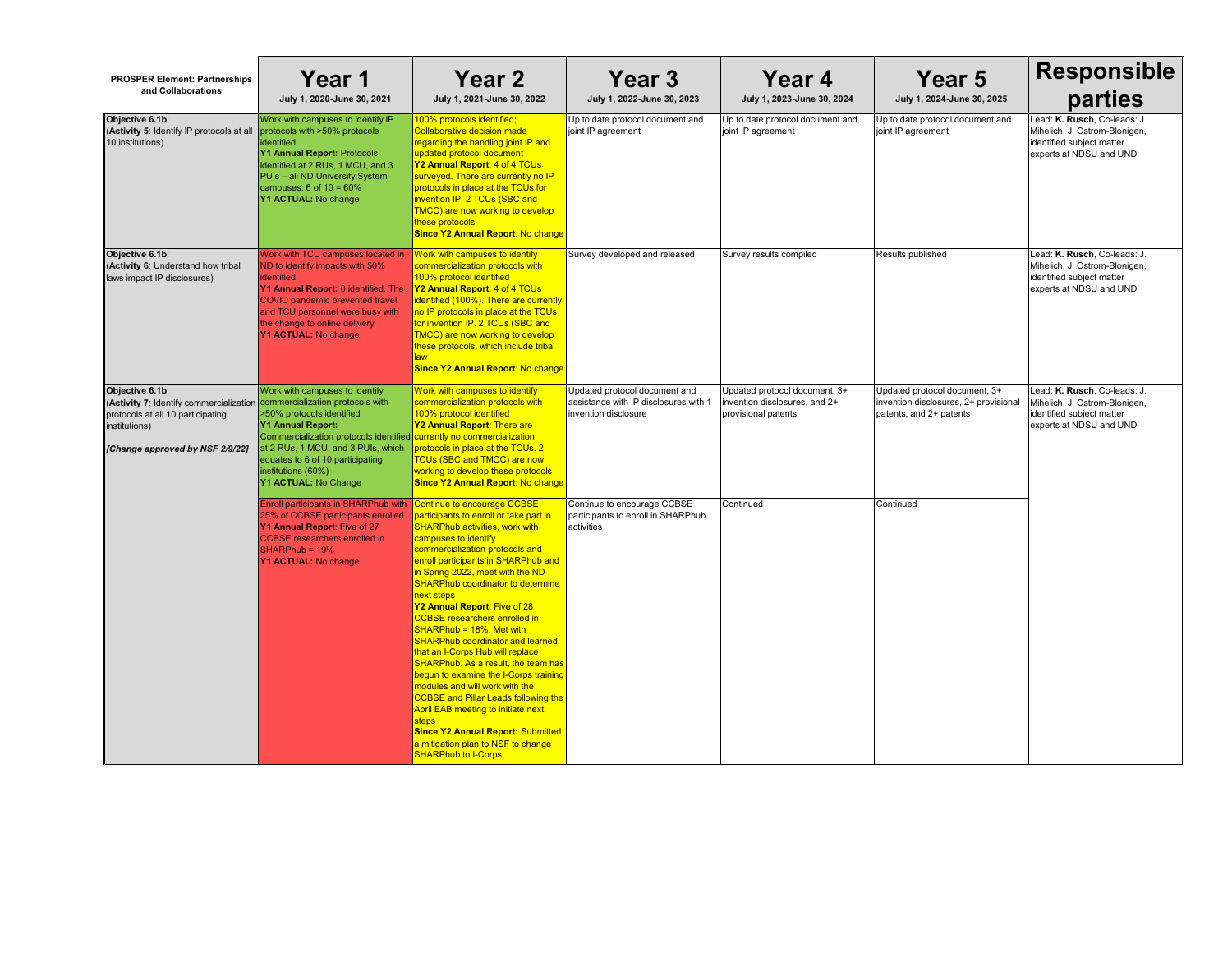| <b>PROSPER Element: Partnerships</b><br>and Collaborations                                                                                                                           | Year 1<br>July 1, 2020-June 30, 2021                                                                                                                                                                                                                                    | <b>Year 2</b><br>July 1, 2021-June 30, 2022                                                                                                                                                                                                                                                                                                                                                                                                                                                                                                                                                                                                                                                                                                                                                                                                            | Year 3<br>July 1, 2022-June 30, 2023                                                           | Year 4<br>July 1, 2023-June 30, 2024                                                  | <b>Year 5</b><br>July 1, 2024-June 30, 2025                                                      | <b>Responsible</b><br>parties                                                                                         |
|--------------------------------------------------------------------------------------------------------------------------------------------------------------------------------------|-------------------------------------------------------------------------------------------------------------------------------------------------------------------------------------------------------------------------------------------------------------------------|--------------------------------------------------------------------------------------------------------------------------------------------------------------------------------------------------------------------------------------------------------------------------------------------------------------------------------------------------------------------------------------------------------------------------------------------------------------------------------------------------------------------------------------------------------------------------------------------------------------------------------------------------------------------------------------------------------------------------------------------------------------------------------------------------------------------------------------------------------|------------------------------------------------------------------------------------------------|---------------------------------------------------------------------------------------|--------------------------------------------------------------------------------------------------|-----------------------------------------------------------------------------------------------------------------------|
| Objective 6.1b:<br>(Activity 5: Identify IP protocols at all<br>10 institutions)                                                                                                     | Work with campuses to identify IP<br>protocols with >50% protocols<br>identified<br>Y1 Annual Report: Protocols<br>identified at 2 RUs, 1 MCU, and 3<br>PUIs - all ND University System<br>campuses: $6$ of $10 = 60\%$<br>Y1 ACTUAL: No change                         | 100% protocols identified;<br><b>Collaborative decision made</b><br>regarding the handling joint IP and<br>updated protocol document<br>Y2 Annual Report: 4 of 4 TCUs<br>surveyed. There are currently no IP<br>protocols in place at the TCUs for<br>invention IP. 2 TCUs (SBC and<br><b>TMCC)</b> are now working to develop<br>these protocols<br><b>Since Y2 Annual Report: No change</b>                                                                                                                                                                                                                                                                                                                                                                                                                                                          | Up to date protocol document and<br>joint IP agreement                                         | Up to date protocol document and<br>joint IP agreement                                | Up to date protocol document and<br>joint IP agreement                                           | Lead: K. Rusch, Co-leads: J.<br>Mihelich, J. Ostrom-Blonigen,<br>identified subject matter<br>experts at NDSU and UND |
| Objective 6.1b:<br>(Activity 6: Understand how tribal<br>laws impact IP disclosures)                                                                                                 | Work with TCU campuses located in<br>ND to identify impacts with 50%<br><b>identified</b><br>Y1 Annual Report: 0 identified. The<br><b>COVID</b> pandemic prevented travel<br>and TCU personnel were busy with<br>the change to online delivery<br>Y1 ACTUAL: No change | Work with campuses to identify<br>commercialization protocols with<br>100% protocol identified<br>Y2 Annual Report: 4 of 4 TCUs<br>identified (100%). There are currently<br>no IP protocols in place at the TCUs<br>for invention IP. 2 TCUs (SBC and<br>TMCC) are now working to develop<br>these protocols, which include tribal<br><b>Since Y2 Annual Report: No change</b>                                                                                                                                                                                                                                                                                                                                                                                                                                                                        | Survey developed and released                                                                  | Survey results compiled                                                               | Results published                                                                                | Lead: K. Rusch, Co-leads: J.<br>Mihelich, J. Ostrom-Blonigen,<br>identified subject matter<br>experts at NDSU and UND |
| Objective 6.1b:<br>(Activity 7: Identify commercialization commercialization protocols with<br>protocols at all 10 participating<br>institutions)<br>[Change approved by NSF 2/9/22] | Work with campuses to identify<br>>50% protocols identified<br><b>Y1 Annual Report:</b><br>Commercialization protocols identified<br>at 2 RUs, 1 MCU, and 3 PUIs, which<br>equates to 6 of 10 participating<br>institutions (60%)<br>Y1 ACTUAL: No Change               | Work with campuses to identify<br>commercialization protocols with<br>100% protocol identified<br>Y2 Annual Report: There are<br>currently no commercialization<br>protocols in place at the TCUs. 2<br><b>TCUs (SBC and TMCC) are now</b><br>working to develop these protocols<br><b>Since Y2 Annual Report: No change</b>                                                                                                                                                                                                                                                                                                                                                                                                                                                                                                                           | Updated protocol document and<br>assistance with IP disclosures with 1<br>invention disclosure | Updated protocol document, 3+<br>invention disclosures, and 2+<br>provisional patents | Updated protocol document, 3+<br>invention disclosures, 2+ provisiona<br>patents, and 2+ patents | Lead: K. Rusch, Co-leads: J.<br>Mihelich, J. Ostrom-Blonigen,<br>identified subject matter<br>experts at NDSU and UND |
|                                                                                                                                                                                      | Enroll participants in SHARPhub with<br>25% of CCBSE participants enrolled<br>Y1 Annual Report: Five of 27<br><b>CCBSE</b> researchers enrolled in<br>$SHARPhub = 19%$<br>Y1 ACTUAL: No change                                                                          | Continue to encourage CCBSE<br>participants to enroll or take part in<br><b>SHARPhub activities, work with</b><br>campuses to identify<br>commercialization protocols and<br>enroll participants in SHARPhub and<br>in Spring 2022, meet with the ND<br><b>SHARPhub coordinator to determine</b><br>next steps<br>Y2 Annual Report: Five of 28<br><b>CCBSE</b> researchers enrolled in<br>SHARPhub = 18%. Met with<br><b>SHARPhub coordinator and learned</b><br>that an I-Corps Hub will replace<br><b>SHARPhub. As a result, the team has</b><br>begun to examine the I-Corps training<br>modules and will work with the<br><b>CCBSE and Pillar Leads following the</b><br><b>April EAB meeting to initiate next</b><br><b>steps</b><br><b>Since Y2 Annual Report: Submitted</b><br>a mitigation plan to NSF to change<br><b>SHARPhub to I-Corps</b> | Continue to encourage CCBSE<br>participants to enroll in SHARPhub<br>activities                | Continued                                                                             | Continued                                                                                        |                                                                                                                       |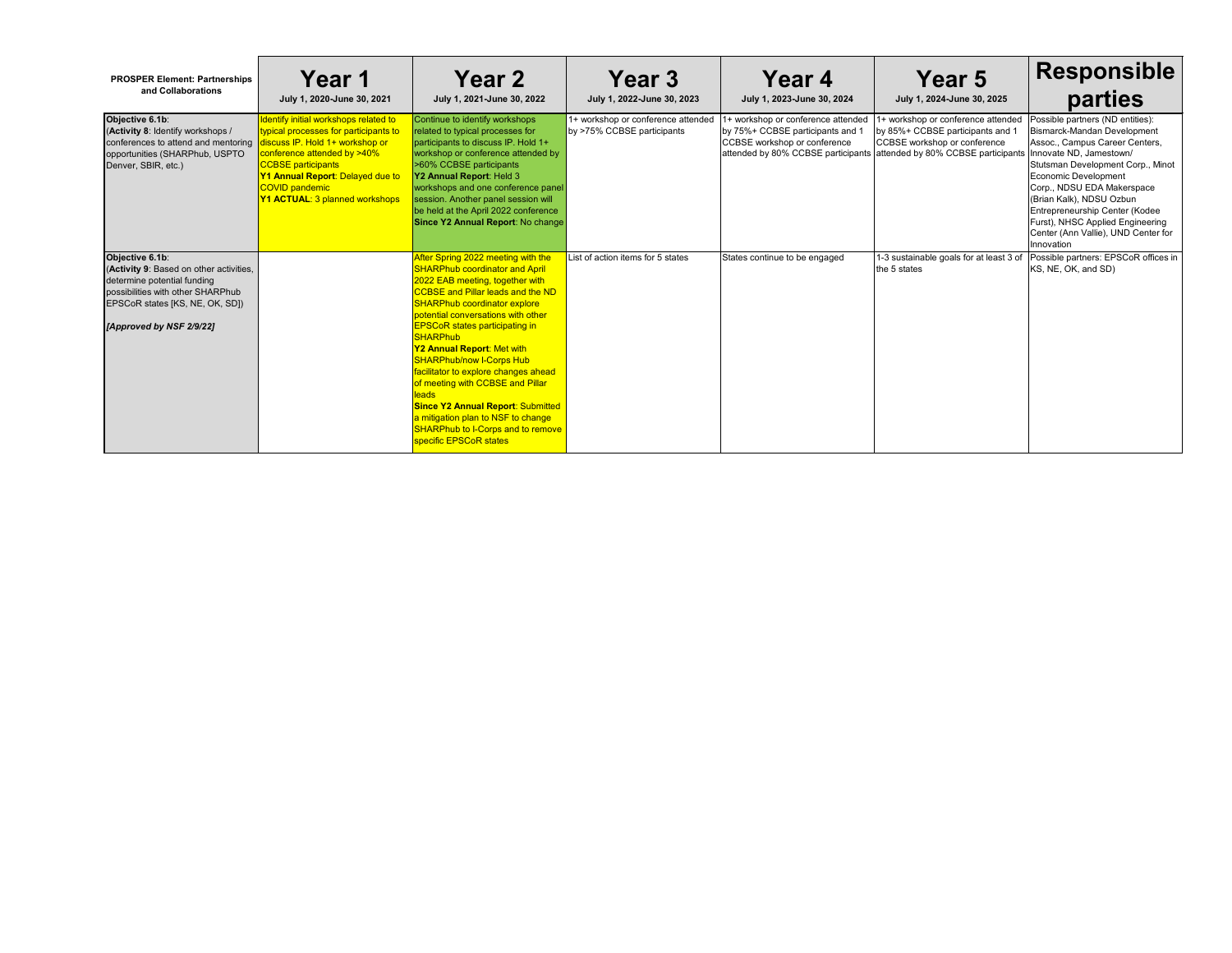| <b>PROSPER Element: Partnerships</b><br>and Collaborations                                                                                                                                    | Year 1<br>July 1, 2020-June 30, 2021                                                                                                                                                                                                                                                | <b>Year 2</b><br>July 1, 2021-June 30, 2022                                                                                                                                                                                                                                                                                                                                                                                                                                                                                                                                                                              | Year 3<br>July 1, 2022-June 30, 2023                             | Year 4<br>July 1, 2023-June 30, 2024                                                                                                         | Year 5<br>July 1, 2024-June 30, 2025                                                                                                                                 | <b>Responsible</b><br>parties                                                                                                                                                                                                                                                                                                                              |
|-----------------------------------------------------------------------------------------------------------------------------------------------------------------------------------------------|-------------------------------------------------------------------------------------------------------------------------------------------------------------------------------------------------------------------------------------------------------------------------------------|--------------------------------------------------------------------------------------------------------------------------------------------------------------------------------------------------------------------------------------------------------------------------------------------------------------------------------------------------------------------------------------------------------------------------------------------------------------------------------------------------------------------------------------------------------------------------------------------------------------------------|------------------------------------------------------------------|----------------------------------------------------------------------------------------------------------------------------------------------|----------------------------------------------------------------------------------------------------------------------------------------------------------------------|------------------------------------------------------------------------------------------------------------------------------------------------------------------------------------------------------------------------------------------------------------------------------------------------------------------------------------------------------------|
| Objective 6.1b:<br>(Activity 8: Identify workshops /<br>conferences to attend and mentoring<br>opportunities (SHARPhub, USPTO<br>Denver, SBIR, etc.)                                          | Identify initial workshops related to<br>typical processes for participants to<br>discuss IP. Hold 1+ workshop or<br>conference attended by >40%<br><b>CCBSE</b> participants<br>Y1 Annual Report: Delayed due to<br><b>COVID pandemic</b><br><b>Y1 ACTUAL: 3 planned workshops</b> | Continue to identify workshops<br>related to typical processes for<br>participants to discuss IP. Hold 1+<br>workshop or conference attended by<br>>60% CCBSE participants<br>Y2 Annual Report: Held 3<br>workshops and one conference panel<br>session. Another panel session will<br>be held at the April 2022 conference<br>Since Y2 Annual Report: No change                                                                                                                                                                                                                                                         | 1+ workshop or conference attended<br>by >75% CCBSE participants | 1+ workshop or conference attended<br>by 75%+ CCBSE participants and 1<br>CCBSE workshop or conference<br>attended by 80% CCBSE participants | 1+ workshop or conference attended<br>by 85%+ CCBSE participants and 1<br>CCBSE workshop or conference<br>attended by 80% CCBSE participants Innovate ND, Jamestown/ | Possible partners (ND entities):<br><b>Bismarck-Mandan Development</b><br>Assoc., Campus Career Centers,<br>Stutsman Development Corp., Minot<br>Economic Development<br>Corp., NDSU EDA Makerspace<br>(Brian Kalk), NDSU Ozbun<br>Entrepreneurship Center (Kodee<br>Furst), NHSC Applied Engineering<br>Center (Ann Vallie), UND Center for<br>Innovation |
| Objective 6.1b:<br>(Activity 9: Based on other activities,<br>determine potential funding<br>possibilities with other SHARPhub<br>EPSCoR states [KS, NE, OK, SD])<br>[Approved by NSF 2/9/22] |                                                                                                                                                                                                                                                                                     | After Spring 2022 meeting with the<br><b>SHARPhub coordinator and April</b><br>2022 EAB meeting, together with<br><b>CCBSE and Pillar leads and the ND</b><br><b>SHARPhub coordinator explore</b><br>potential conversations with other<br><b>EPSCoR states participating in</b><br><b>SHARPhub</b><br>Y2 Annual Report: Met with<br><b>SHARPhub/now I-Corps Hub</b><br>facilitator to explore changes ahead<br>of meeting with CCBSE and Pillar<br><b>leads</b><br><b>Since Y2 Annual Report: Submitted</b><br>a mitigation plan to NSF to change<br><b>SHARPhub to I-Corps and to remove</b><br>specific EPSCoR states | List of action items for 5 states                                | States continue to be engaged                                                                                                                | 1-3 sustainable goals for at least 3 of<br>the 5 states                                                                                                              | Possible partners: EPSCoR offices in<br>KS, NE, OK, and SD)                                                                                                                                                                                                                                                                                                |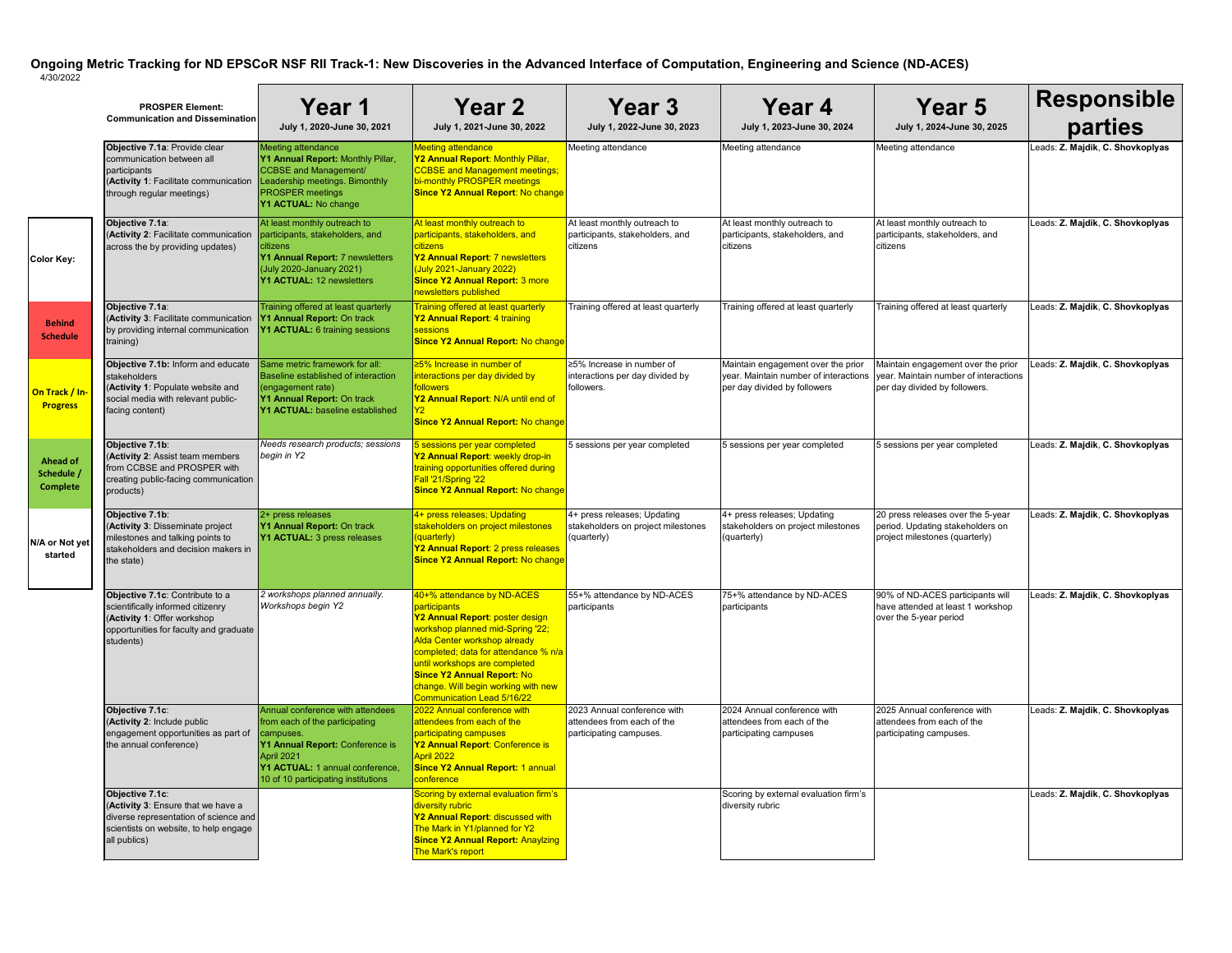|                                                  | <b>PROSPER Element:</b><br><b>Communication and Dissemination</b>                                                                                          | Year 1<br>July 1, 2020-June 30, 2021                                                                                                                                                                       | <b>Year 2</b><br>July 1, 2021-June 30, 2022                                                                                                                                                                                                                                                                                          | Year 3<br>July 1, 2022-June 30, 2023                                                 | Year 4<br>July 1, 2023-June 30, 2024                                                                        | <b>Year 5</b><br>July 1, 2024-June 30, 2025                                                                  | Responsible<br>parties           |
|--------------------------------------------------|------------------------------------------------------------------------------------------------------------------------------------------------------------|------------------------------------------------------------------------------------------------------------------------------------------------------------------------------------------------------------|--------------------------------------------------------------------------------------------------------------------------------------------------------------------------------------------------------------------------------------------------------------------------------------------------------------------------------------|--------------------------------------------------------------------------------------|-------------------------------------------------------------------------------------------------------------|--------------------------------------------------------------------------------------------------------------|----------------------------------|
|                                                  | Objective 7.1a: Provide clear<br>communication between all<br>participants<br>(Activity 1: Facilitate communication<br>through regular meetings)           | Meeting attendance<br>Y1 Annual Report: Monthly Pillar,<br>CCBSE and Management/<br>Leadership meetings. Bimonthly<br><b>PROSPER</b> meetings<br><b>Y1 ACTUAL: No change</b>                               | <b>Meeting attendance</b><br><b>Y2 Annual Report: Monthly Pillar,</b><br><b>CCBSE and Management meetings;</b><br>bi-monthly PROSPER meetings<br><b>Since Y2 Annual Report: No change</b>                                                                                                                                            | Meeting attendance                                                                   | Meeting attendance                                                                                          | Meeting attendance                                                                                           | Leads: Z. Majdik, C. Shovkoplyas |
| <b>Color Key:</b>                                | Objective 7.1a:<br>(Activity 2: Facilitate communication<br>across the by providing updates)                                                               | At least monthly outreach to<br>participants, stakeholders, and<br>citizens<br>Y1 Annual Report: 7 newsletters<br>(July 2020-January 2021)<br><b>Y1 ACTUAL: 12 newsletters</b>                             | At least monthly outreach to<br>participants, stakeholders, and<br><u>lcitizens</u><br>Y2 Annual Report: 7 newsletters<br>$\sqrt{($ July 2021-January 2022)<br><b>Since Y2 Annual Report: 3 more</b><br>newsletters published                                                                                                        | At least monthly outreach to<br>participants, stakeholders, and<br>citizens          | At least monthly outreach to<br>participants, stakeholders, and<br>citizens                                 | At least monthly outreach to<br>participants, stakeholders, and<br>citizens                                  | Leads: Z. Majdik, C. Shovkoplyas |
| <b>Behind</b><br><b>Schedule</b>                 | Objective 7.1a:<br>(Activity 3: Facilitate communication<br>by providing internal communication<br>training)                                               | Training offered at least quarterly<br>Y1 Annual Report: On track<br><b>Y1 ACTUAL:</b> 6 training sessions                                                                                                 | <b>Training offered at least quarterly</b><br>Y2 Annual Report: 4 training<br><b>I</b> sessions<br><b>Since Y2 Annual Report: No change</b>                                                                                                                                                                                          | Training offered at least quarterly                                                  | Training offered at least quarterly                                                                         | Training offered at least quarterly                                                                          | Leads: Z. Majdik, C. Shovkoplyas |
| On Track / In-<br><b>Progress</b>                | Objective 7.1b: Inform and educate<br><b>stakeholders</b><br>(Activity 1: Populate website and<br>social media with relevant public-<br>facing content)    | Same metric framework for all:<br>Baseline established of interaction<br>$\sqrt{\frac{1}{2}}$ (engagement rate)<br>Y1 Annual Report: On track<br><b>Y1 ACTUAL:</b> baseline established                    | ≥5% Increase in number of<br>interactions per day divided by<br><b>followers</b><br>Y2 Annual Report: N/A until end of<br><b>Since Y2 Annual Report: No change</b>                                                                                                                                                                   | ≥5% Increase in number of<br>interactions per day divided by<br>followers.           | Maintain engagement over the prior<br>year. Maintain number of interactions<br>per day divided by followers | Maintain engagement over the prior<br>vear. Maintain number of interactions<br>per day divided by followers. | Leads: Z. Majdik, C. Shovkoplyas |
| <b>Ahead of</b><br>Schedule /<br><b>Complete</b> | Objective 7.1b:<br>(Activity 2: Assist team members<br>from CCBSE and PROSPER with<br>creating public-facing communication<br>products)                    | Needs research products; sessions<br>begin in Y2                                                                                                                                                           | b sessions per year completed<br>Y2 Annual Report: weekly drop-in<br>training opportunities offered during<br><b>Fall '21/Spring '22</b><br><b>Since Y2 Annual Report: No change</b>                                                                                                                                                 | 5 sessions per year completed                                                        | 5 sessions per year completed                                                                               | 5 sessions per year completed                                                                                | Leads: Z. Majdik, C. Shovkoplyas |
| N/A or Not yet<br>started                        | Objective 7.1b:<br>(Activity 3: Disseminate project<br>milestones and talking points to<br>stakeholders and decision makers in<br>the state)               | $2+$ press releases<br>Y1 Annual Report: On track<br><b>Y1 ACTUAL:</b> 3 press releases                                                                                                                    | 4+ press releases; Updating<br>stakeholders on project milestones<br>(quarterly)<br>Y2 Annual Report: 2 press releases<br><b>Since Y2 Annual Report: No change</b>                                                                                                                                                                   | 4+ press releases; Updating<br>stakeholders on project milestones<br>(quarterly)     | 4+ press releases; Updating<br>stakeholders on project milestones<br>(quarterly)                            | 20 press releases over the 5-year<br>period. Updating stakeholders on<br>project milestones (quarterly)      | Leads: Z. Majdik, C. Shovkoplyas |
|                                                  | Objective 7.1c: Contribute to a<br>scientifically informed citizenry<br>(Activity 1: Offer workshop<br>opportunities for faculty and graduate<br>students) | 2 workshops planned annually.<br><b>Workshops begin Y2</b>                                                                                                                                                 | 40+% attendance by ND-ACES<br>participants<br>Y2 Annual Report: poster design<br>workshop planned mid-Spring '22;<br>Alda Center workshop already<br>completed; data for attendance % n/a<br>until workshops are completed<br><b>Since Y2 Annual Report: No</b><br>change. Will begin working with new<br>Communication Lead 5/16/22 | 55+% attendance by ND-ACES<br>participants                                           | 75+% attendance by ND-ACES<br>participants                                                                  | 90% of ND-ACES participants will<br>have attended at least 1 workshop<br>over the 5-year period              | Leads: Z. Majdik, C. Shovkoplyas |
|                                                  | Objective 7.1c:<br>(Activity 2: Include public<br>engagement opportunities as part of<br>the annual conference)                                            | Annual conference with attendees<br>from each of the participating<br>campuses.<br>Y1 Annual Report: Conference is<br>April 2021<br>Y1 ACTUAL: 1 annual conference,<br>10 of 10 participating institutions | 2022 Annual conference with<br>attendees from each of the<br>participating campuses<br>Y2 Annual Report: Conference is<br>April 2022<br><b>Since Y2 Annual Report: 1 annual</b><br>conference                                                                                                                                        | 2023 Annual conference with<br>attendees from each of the<br>participating campuses. | 2024 Annual conference with<br>attendees from each of the<br>participating campuses                         | 2025 Annual conference with<br>attendees from each of the<br>participating campuses.                         | Leads: Z. Majdik, C. Shovkoplyas |
|                                                  | Objective 7.1c:<br>(Activity 3: Ensure that we have a<br>diverse representation of science and<br>scientists on website, to help engage<br>all publics)    |                                                                                                                                                                                                            | Scoring by external evaluation firm's<br>diversity rubric<br>Y2 Annual Report: discussed with<br>The Mark in Y1/planned for Y2<br><b>Since Y2 Annual Report: Anaylzing</b><br>The Mark's report                                                                                                                                      |                                                                                      | Scoring by external evaluation firm's<br>diversity rubric                                                   |                                                                                                              | Leads: Z. Majdik, C. Shovkoplyas |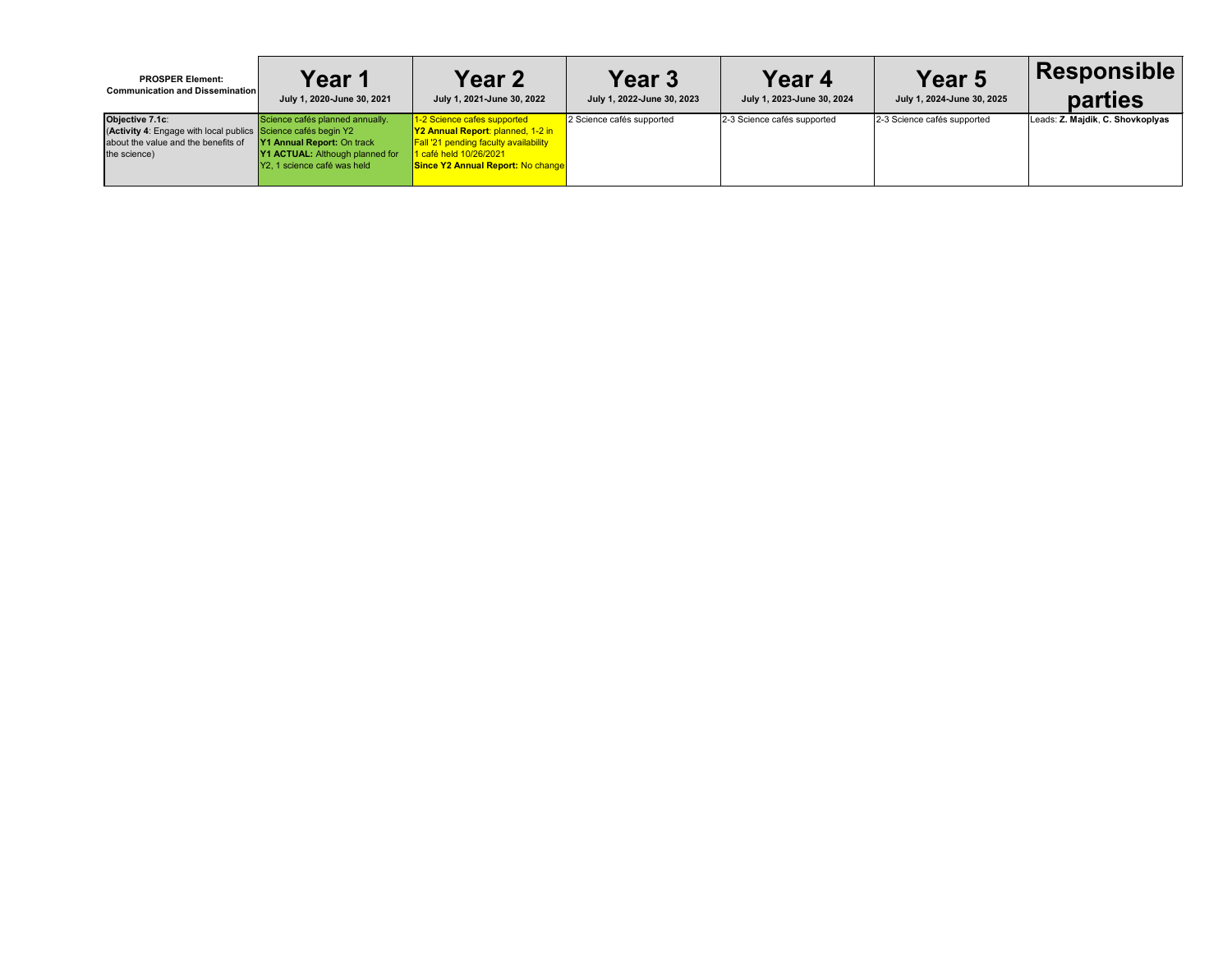| <b>PROSPER Element:</b>                                                                                                                 | Year 1                                                                                                                                        | <b>Year 2</b>                                                                                                                                                                                 | Year 3                     | Year 4                      | <b>Year 5</b>               | <b>Responsible</b>               |
|-----------------------------------------------------------------------------------------------------------------------------------------|-----------------------------------------------------------------------------------------------------------------------------------------------|-----------------------------------------------------------------------------------------------------------------------------------------------------------------------------------------------|----------------------------|-----------------------------|-----------------------------|----------------------------------|
| <b>Communication and Dissemination</b>                                                                                                  | July 1, 2020-June 30, 2021                                                                                                                    | July 1, 2021-June 30, 2022                                                                                                                                                                    | July 1, 2022-June 30, 2023 | July 1, 2023-June 30, 2024  | July 1, 2024-June 30, 2025  | <b>parties</b>                   |
| Objective 7.1c:<br>(Activity 4: Engage with local publics Science cafés begin Y2<br>about the value and the benefits of<br>the science) | Science cafés planned annually.<br><b>Y1 Annual Report: On track</b><br><b>Y1 ACTUAL:</b> Although planned for<br>Y2, 1 science café was held | 1-2 Science cafes supported<br><b>Y2 Annual Report: planned, 1-2 in</b><br><b>Fall '21 pending faculty availability</b><br>1 café held 10/26/2021<br><b>Since Y2 Annual Report: No change</b> | 2 Science cafés supported  | 2-3 Science cafés supported | 2-3 Science cafés supported | Leads: Z. Majdik, C. Shovkoplyas |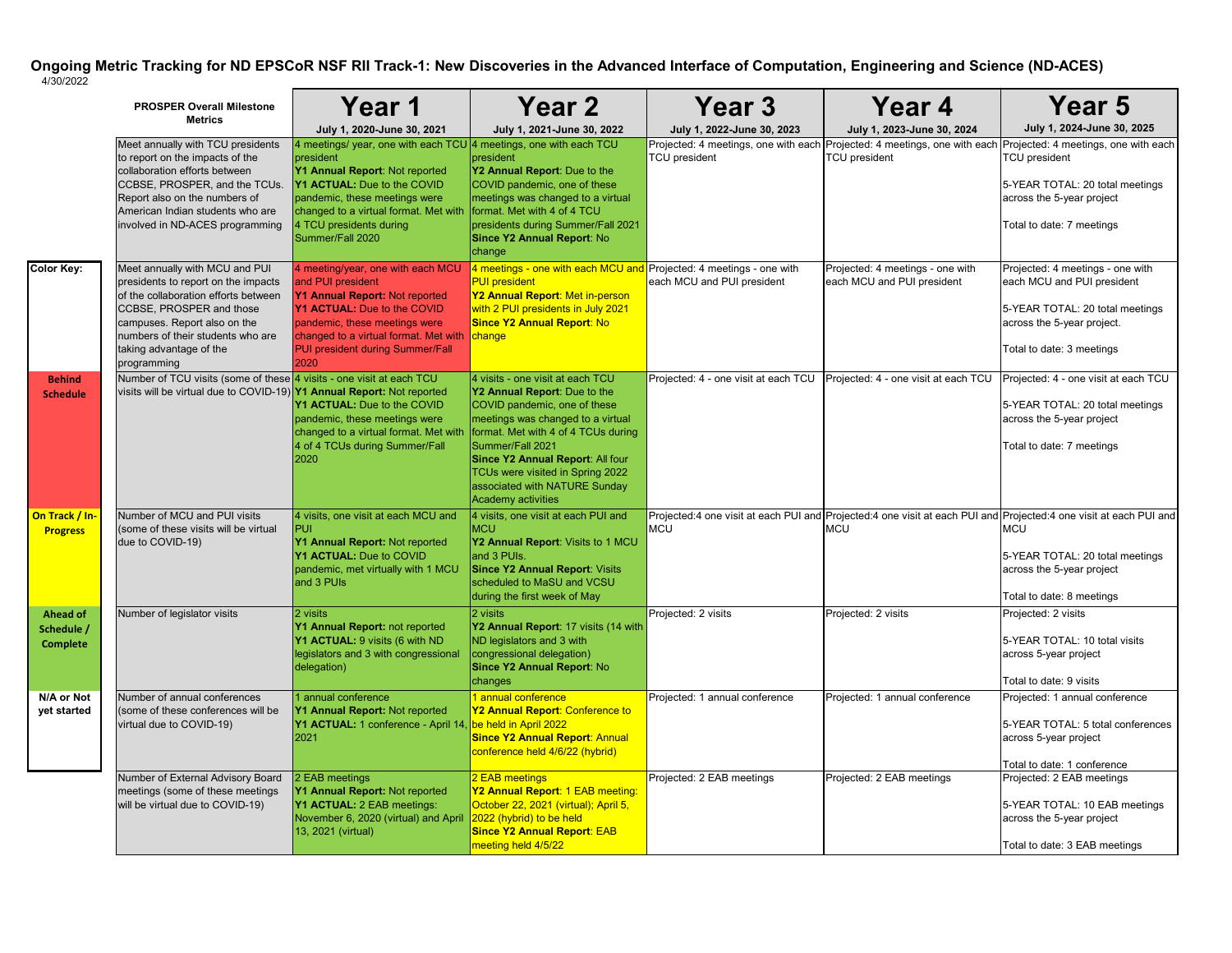|                                                  | <b>PROSPER Overall Milestone</b><br><b>Metrics</b>                                                                                                                                                                                                       | Year 1                                                                                                                                                                                                                                                                   | <b>Year 2</b>                                                                                                                                                                                                                                                                                                                          | Year 3                                                       | Year 4                                                         | <b>Year 5</b>                                                                                                                                                                                                                |
|--------------------------------------------------|----------------------------------------------------------------------------------------------------------------------------------------------------------------------------------------------------------------------------------------------------------|--------------------------------------------------------------------------------------------------------------------------------------------------------------------------------------------------------------------------------------------------------------------------|----------------------------------------------------------------------------------------------------------------------------------------------------------------------------------------------------------------------------------------------------------------------------------------------------------------------------------------|--------------------------------------------------------------|----------------------------------------------------------------|------------------------------------------------------------------------------------------------------------------------------------------------------------------------------------------------------------------------------|
|                                                  |                                                                                                                                                                                                                                                          | July 1, 2020-June 30, 2021                                                                                                                                                                                                                                               | July 1, 2021-June 30, 2022                                                                                                                                                                                                                                                                                                             | July 1, 2022-June 30, 2023                                   | July 1, 2023-June 30, 2024                                     | July 1, 2024-June 30, 2025                                                                                                                                                                                                   |
|                                                  | Meet annually with TCU presidents<br>to report on the impacts of the<br>collaboration efforts between<br>CCBSE, PROSPER, and the TCUs.<br>Report also on the numbers of<br>American Indian students who are<br>involved in ND-ACES programming           | 4 meetings/ year, one with each TCU 4 meetings, one with each TCU<br>president<br>Y1 Annual Report: Not reported<br>Y1 ACTUAL: Due to the COVID<br>pandemic, these meetings were<br>changed to a virtual format. Met with<br>4 TCU presidents during<br>Summer/Fall 2020 | president<br>Y2 Annual Report: Due to the<br>COVID pandemic, one of these<br>meetings was changed to a virtual<br>format. Met with 4 of 4 TCU<br>presidents during Summer/Fall 2021<br>Since Y2 Annual Report: No<br>change                                                                                                            | Projected: 4 meetings, one with each<br><b>TCU</b> president | <b>TCU</b> president                                           | Projected: 4 meetings, one with each Projected: 4 meetings, one with each<br><b>TCU</b> president<br>5-YEAR TOTAL: 20 total meetings<br>across the 5-year project<br>Total to date: 7 meetings                               |
| <b>Color Key:</b>                                | Meet annually with MCU and PUI<br>presidents to report on the impacts<br>of the collaboration efforts between<br>CCBSE, PROSPER and those<br>campuses. Report also on the<br>numbers of their students who are<br>taking advantage of the<br>programming | 4 meeting/year, one with each MCU<br>and PUI president<br>Y1 Annual Report: Not reported<br><b>Y1 ACTUAL:</b> Due to the COVID<br>pandemic, these meetings were<br>changed to a virtual format. Met with<br><b>PUI president during Summer/Fall</b><br>2020              | 4 meetings - one with each MCU and Projected: 4 meetings - one with<br><b>PUI</b> president<br>Y2 Annual Report: Met in-person<br>with 2 PUI presidents in July 2021<br><b>Since Y2 Annual Report: No</b><br>change                                                                                                                    | each MCU and PUI president                                   | Projected: 4 meetings - one with<br>each MCU and PUI president | Projected: 4 meetings - one with<br>each MCU and PUI president<br>5-YEAR TOTAL: 20 total meetings<br>across the 5-year project.<br>Total to date: 3 meetings                                                                 |
| <b>Behind</b><br><b>Schedule</b>                 | Number of TCU visits (some of these 4 visits - one visit at each TCU<br>visits will be virtual due to COVID-19) Y1 Annual Report: Not reported                                                                                                           | Y1 ACTUAL: Due to the COVID<br>pandemic, these meetings were<br>changed to a virtual format. Met with<br>4 of 4 TCUs during Summer/Fall<br>2020                                                                                                                          | 4 visits - one visit at each TCU<br>Y2 Annual Report: Due to the<br>COVID pandemic, one of these<br>meetings was changed to a virtual<br>format. Met with 4 of 4 TCUs during<br>Summer/Fall 2021<br><b>Since Y2 Annual Report: All four</b><br>TCUs were visited in Spring 2022<br>associated with NATURE Sunday<br>Academy activities | Projected: 4 - one visit at each TCU                         | Projected: 4 - one visit at each TCU                           | Projected: 4 - one visit at each TCU<br>5-YEAR TOTAL: 20 total meetings<br>across the 5-year project<br>Total to date: 7 meetings                                                                                            |
| On Track / In-<br><b>Progress</b>                | Number of MCU and PUI visits<br>(some of these visits will be virtual<br>due to COVID-19)                                                                                                                                                                | 4 visits, one visit at each MCU and<br><b>PUI</b><br>Y1 Annual Report: Not reported<br>Y1 ACTUAL: Due to COVID<br>pandemic, met virtually with 1 MCU<br>and 3 PUIs                                                                                                       | 4 visits, one visit at each PUI and<br><b>IMCU</b><br>Y2 Annual Report: Visits to 1 MCU<br>and 3 PUIs.<br><b>Since Y2 Annual Report: Visits</b><br>scheduled to MaSU and VCSU<br>during the first week of May                                                                                                                          | <b>MCU</b>                                                   | <b>MCU</b>                                                     | Projected:4 one visit at each PUI and Projected:4 one visit at each PUI and Projected:4 one visit at each PUI and<br><b>MCU</b><br>5-YEAR TOTAL: 20 total meetings<br>across the 5-year project<br>Total to date: 8 meetings |
| <b>Ahead of</b><br>Schedule /<br><b>Complete</b> | Number of legislator visits                                                                                                                                                                                                                              | 2 visits<br>Y1 Annual Report: not reported<br>Y1 ACTUAL: 9 visits (6 with ND<br>legislators and 3 with congressional<br>delegation)                                                                                                                                      | 2 visits<br>Y2 Annual Report: 17 visits (14 with<br>ND legislators and 3 with<br>congressional delegation)<br><b>Since Y2 Annual Report: No</b><br>changes                                                                                                                                                                             | Projected: 2 visits                                          | Projected: 2 visits                                            | Projected: 2 visits<br>5-YEAR TOTAL: 10 total visits<br>across 5-year project<br>Total to date: 9 visits                                                                                                                     |
| N/A or Not<br>yet started                        | Number of annual conferences<br>(some of these conferences will be<br>virtual due to COVID-19)                                                                                                                                                           | 1 annual conference<br>Y1 Annual Report: Not reported<br>Y1 ACTUAL: 1 conference - April 14,<br>2021                                                                                                                                                                     | <mark>1 annual conference</mark><br>Y2 Annual Report: Conference to<br>be held in April 2022<br><b>Since Y2 Annual Report: Annual</b><br>conference held 4/6/22 (hybrid)                                                                                                                                                               | Projected: 1 annual conference                               | Projected: 1 annual conference                                 | Projected: 1 annual conference<br>5-YEAR TOTAL: 5 total conferences<br>across 5-year project<br>Total to date: 1 conference                                                                                                  |
|                                                  | Number of External Advisory Board<br>meetings (some of these meetings<br>will be virtual due to COVID-19)                                                                                                                                                | 2 EAB meetings<br>Y1 Annual Report: Not reported<br>Y1 ACTUAL: 2 EAB meetings:<br>November 6, 2020 (virtual) and April<br>13, 2021 (virtual)                                                                                                                             | <b>2 EAB meetings</b><br>Y2 Annual Report: 1 EAB meeting:<br>October 22, 2021 (virtual); April 5,<br>2022 (hybrid) to be held<br><b>Since Y2 Annual Report: EAB</b><br>meeting held 4/5/22                                                                                                                                             | Projected: 2 EAB meetings                                    | Projected: 2 EAB meetings                                      | Projected: 2 EAB meetings<br>5-YEAR TOTAL: 10 EAB meetings<br>across the 5-year project<br>Total to date: 3 EAB meetings                                                                                                     |